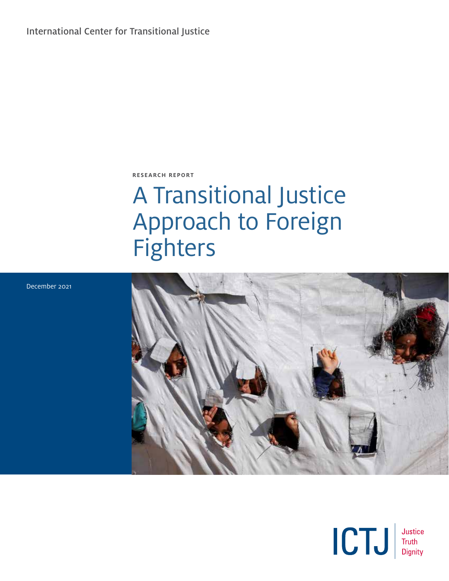International Center for Transitional Justice

**RESEARCH REPORT**

# A Transitional Justice Approach to Foreign Fighters





December 2021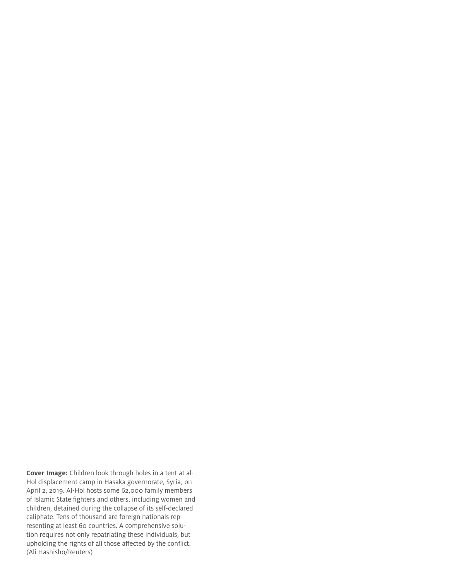**Cover Image:** Children look through holes in a tent at al-Hol displacement camp in Hasaka governorate, Syria, on April 2, 2019. Al-Hol hosts some 62,000 family members of Islamic State fighters and others, including women and children, detained during the collapse of its self-declared caliphate. Tens of thousand are foreign nationals representing at least 60 countries. A comprehensive solution requires not only repatriating these individuals, but upholding the rights of all those affected by the conflict. (Ali Hashisho/Reuters)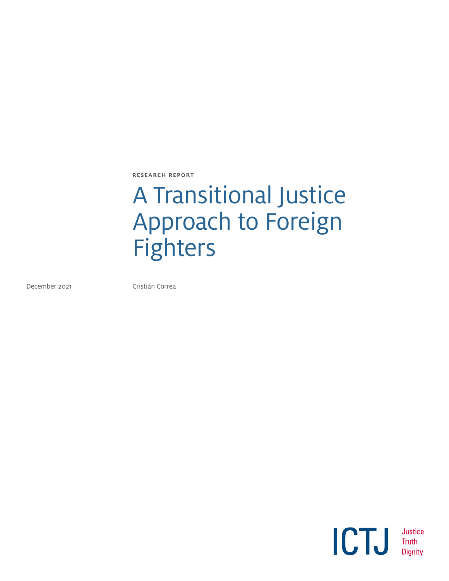**RESEARCH REPORT**

# A Transitional Justice Approach to Foreign Fighters

December 2021 **Cristián Correa** 

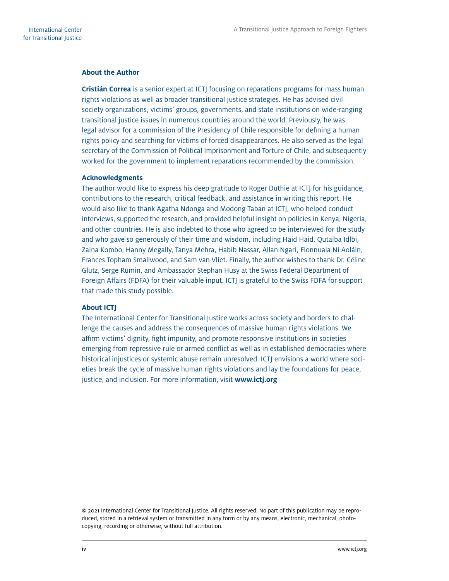#### **About the Author**

**Cristián Correa** is a senior expert at ICTJ focusing on reparations programs for mass human rights violations as well as broader transitional justice strategies. He has advised civil society organizations, victims' groups, governments, and state institutions on wide-ranging transitional justice issues in numerous countries around the world. Previously, he was legal advisor for a commission of the Presidency of Chile responsible for defining a human rights policy and searching for victims of forced disappearances. He also served as the legal secretary of the Commission of Political Imprisonment and Torture of Chile, and subsequently worked for the government to implement reparations recommended by the commission.

#### **Acknowledgments**

The author would like to express his deep gratitude to Roger Duthie at ICTJ for his guidance, contributions to the research, critical feedback, and assistance in writing this report. He would also like to thank Agatha Ndonga and Modong Taban at ICTJ, who helped conduct interviews, supported the research, and provided helpful insight on policies in Kenya, Nigeria, and other countries. He is also indebted to those who agreed to be interviewed for the study and who gave so generously of their time and wisdom, including Haid Haid, Qutaiba Idlbi, Zaina Kombo, Hanny Megally, Tanya Mehra, Habib Nassar, Allan Ngari, Fionnuala Ní Aoláin, Frances Topham Smallwood, and Sam van Vliet. Finally, the author wishes to thank Dr. Céline Glutz, Serge Rumin, and Ambassador Stephan Husy at the Swiss Federal Department of Foreign Affairs (FDFA) for their valuable input. ICTJ is grateful to the Swiss FDFA for support that made this study possible.

#### **About ICTJ**

The International Center for Transitional Justice works across society and borders to challenge the causes and address the consequences of massive human rights violations. We affirm victims' dignity, fight impunity, and promote responsive institutions in societies emerging from repressive rule or armed conflict as well as in established democracies where historical injustices or systemic abuse remain unresolved. ICTJ envisions a world where societies break the cycle of massive human rights violations and lay the foundations for peace, justice, and inclusion. For more information, visit **www.ictj.org**

© 2021 International Center for Transitional Justice. All rights reserved. No part of this publication may be reproduced, stored in a retrieval system or transmitted in any form or by any means, electronic, mechanical, photocopying, recording or otherwise, without full attribution.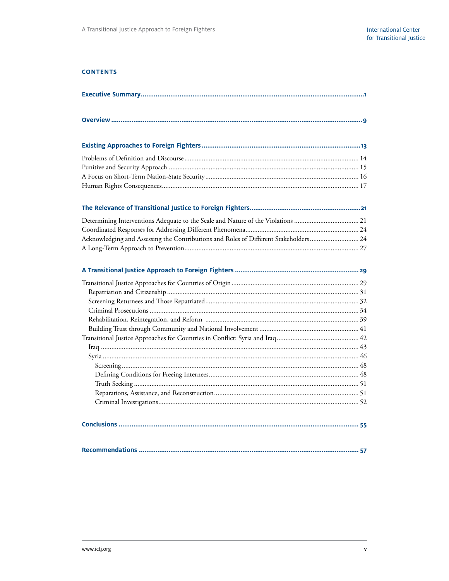#### **CONTENTS**

| Determining Interventions Adequate to the Scale and Nature of the Violations  21     |
|--------------------------------------------------------------------------------------|
|                                                                                      |
| Acknowledging and Assessing the Contributions and Roles of Different Stakeholders 24 |
|                                                                                      |
|                                                                                      |
|                                                                                      |
|                                                                                      |
|                                                                                      |
|                                                                                      |
|                                                                                      |
|                                                                                      |
|                                                                                      |
|                                                                                      |
|                                                                                      |
|                                                                                      |
|                                                                                      |
|                                                                                      |
|                                                                                      |
|                                                                                      |
|                                                                                      |
|                                                                                      |
|                                                                                      |
|                                                                                      |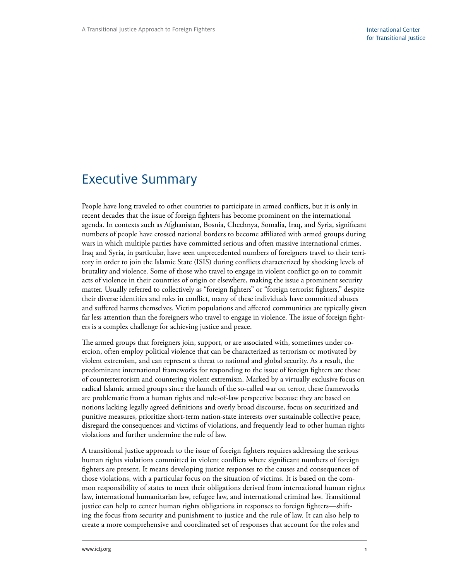## <span id="page-6-0"></span>Executive Summary

People have long traveled to other countries to participate in armed conflicts, but it is only in recent decades that the issue of foreign fighters has become prominent on the international agenda. In contexts such as Afghanistan, Bosnia, Chechnya, Somalia, Iraq, and Syria, significant numbers of people have crossed national borders to become affiliated with armed groups during wars in which multiple parties have committed serious and often massive international crimes. Iraq and Syria, in particular, have seen unprecedented numbers of foreigners travel to their territory in order to join the Islamic State (ISIS) during conflicts characterized by shocking levels of brutality and violence. Some of those who travel to engage in violent conflict go on to commit acts of violence in their countries of origin or elsewhere, making the issue a prominent security matter. Usually referred to collectively as "foreign fighters" or "foreign terrorist fighters," despite their diverse identities and roles in conflict, many of these individuals have committed abuses and suffered harms themselves. Victim populations and affected communities are typically given far less attention than the foreigners who travel to engage in violence. The issue of foreign fighters is a complex challenge for achieving justice and peace.

The armed groups that foreigners join, support, or are associated with, sometimes under coercion, often employ political violence that can be characterized as terrorism or motivated by violent extremism, and can represent a threat to national and global security. As a result, the predominant international frameworks for responding to the issue of foreign fighters are those of counterterrorism and countering violent extremism. Marked by a virtually exclusive focus on radical Islamic armed groups since the launch of the so-called war on terror, these frameworks are problematic from a human rights and rule-of-law perspective because they are based on notions lacking legally agreed definitions and overly broad discourse, focus on securitized and punitive measures, prioritize short-term nation-state interests over sustainable collective peace, disregard the consequences and victims of violations, and frequently lead to other human rights violations and further undermine the rule of law.

A transitional justice approach to the issue of foreign fighters requires addressing the serious human rights violations committed in violent conflicts where significant numbers of foreign fighters are present. It means developing justice responses to the causes and consequences of those violations, with a particular focus on the situation of victims. It is based on the common responsibility of states to meet their obligations derived from international human rights law, international humanitarian law, refugee law, and international criminal law. Transitional justice can help to center human rights obligations in responses to foreign fighters—shifting the focus from security and punishment to justice and the rule of law. It can also help to create a more comprehensive and coordinated set of responses that account for the roles and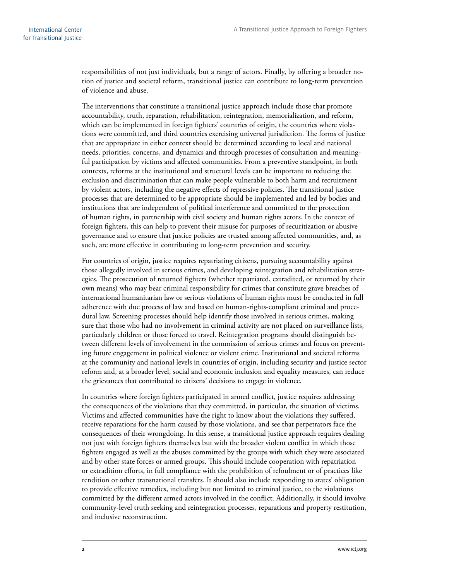responsibilities of not just individuals, but a range of actors. Finally, by offering a broader notion of justice and societal reform, transitional justice can contribute to long-term prevention of violence and abuse.

The interventions that constitute a transitional justice approach include those that promote accountability, truth, reparation, rehabilitation, reintegration, memorialization, and reform, which can be implemented in foreign fighters' countries of origin, the countries where violations were committed, and third countries exercising universal jurisdiction. The forms of justice that are appropriate in either context should be determined according to local and national needs, priorities, concerns, and dynamics and through processes of consultation and meaningful participation by victims and affected communities. From a preventive standpoint, in both contexts, reforms at the institutional and structural levels can be important to reducing the exclusion and discrimination that can make people vulnerable to both harm and recruitment by violent actors, including the negative effects of repressive policies. The transitional justice processes that are determined to be appropriate should be implemented and led by bodies and institutions that are independent of political interference and committed to the protection of human rights, in partnership with civil society and human rights actors. In the context of foreign fighters, this can help to prevent their misuse for purposes of securitization or abusive governance and to ensure that justice policies are trusted among affected communities, and, as such, are more effective in contributing to long-term prevention and security.

For countries of origin, justice requires repatriating citizens, pursuing accountability against those allegedly involved in serious crimes, and developing reintegration and rehabilitation strategies. The prosecution of returned fighters (whether repatriated, extradited, or returned by their own means) who may bear criminal responsibility for crimes that constitute grave breaches of international humanitarian law or serious violations of human rights must be conducted in full adherence with due process of law and based on human-rights-compliant criminal and procedural law. Screening processes should help identify those involved in serious crimes, making sure that those who had no involvement in criminal activity are not placed on surveillance lists, particularly children or those forced to travel. Reintegration programs should distinguish between different levels of involvement in the commission of serious crimes and focus on preventing future engagement in political violence or violent crime. Institutional and societal reforms at the community and national levels in countries of origin, including security and justice sector reform and, at a broader level, social and economic inclusion and equality measures, can reduce the grievances that contributed to citizens' decisions to engage in violence.

In countries where foreign fighters participated in armed conflict, justice requires addressing the consequences of the violations that they committed, in particular, the situation of victims. Victims and affected communities have the right to know about the violations they suffered, receive reparations for the harm caused by those violations, and see that perpetrators face the consequences of their wrongdoing. In this sense, a transitional justice approach requires dealing not just with foreign fighters themselves but with the broader violent conflict in which those fighters engaged as well as the abuses committed by the groups with which they were associated and by other state forces or armed groups. This should include cooperation with repatriation or extradition efforts, in full compliance with the prohibition of refoulment or of practices like rendition or other transnational transfers. It should also include responding to states' obligation to provide effective remedies, including but not limited to criminal justice, to the violations committed by the different armed actors involved in the conflict. Additionally, it should involve community-level truth seeking and reintegration processes, reparations and property restitution, and inclusive reconstruction.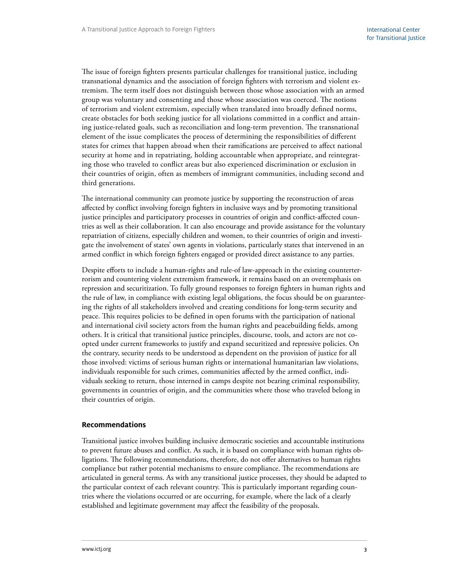The issue of foreign fighters presents particular challenges for transitional justice, including transnational dynamics and the association of foreign fighters with terrorism and violent extremism. The term itself does not distinguish between those whose association with an armed group was voluntary and consenting and those whose association was coerced. The notions of terrorism and violent extremism, especially when translated into broadly defined norms, create obstacles for both seeking justice for all violations committed in a conflict and attaining justice-related goals, such as reconciliation and long-term prevention. The transnational element of the issue complicates the process of determining the responsibilities of different states for crimes that happen abroad when their ramifications are perceived to affect national security at home and in repatriating, holding accountable when appropriate, and reintegrating those who traveled to conflict areas but also experienced discrimination or exclusion in their countries of origin, often as members of immigrant communities, including second and third generations.

The international community can promote justice by supporting the reconstruction of areas affected by conflict involving foreign fighters in inclusive ways and by promoting transitional justice principles and participatory processes in countries of origin and conflict-affected countries as well as their collaboration. It can also encourage and provide assistance for the voluntary repatriation of citizens, especially children and women, to their countries of origin and investigate the involvement of states' own agents in violations, particularly states that intervened in an armed conflict in which foreign fighters engaged or provided direct assistance to any parties.

Despite efforts to include a human-rights and rule-of law-approach in the existing counterterrorism and countering violent extremism framework, it remains based on an overemphasis on repression and securitization. To fully ground responses to foreign fighters in human rights and the rule of law, in compliance with existing legal obligations, the focus should be on guaranteeing the rights of all stakeholders involved and creating conditions for long-term security and peace. This requires policies to be defined in open forums with the participation of national and international civil society actors from the human rights and peacebuilding fields, among others. It is critical that transitional justice principles, discourse, tools, and actors are not coopted under current frameworks to justify and expand securitized and repressive policies. On the contrary, security needs to be understood as dependent on the provision of justice for all those involved: victims of serious human rights or international humanitarian law violations, individuals responsible for such crimes, communities affected by the armed conflict, individuals seeking to return, those interned in camps despite not bearing criminal responsibility, governments in countries of origin, and the communities where those who traveled belong in their countries of origin.

#### **Recommendations**

Transitional justice involves building inclusive democratic societies and accountable institutions to prevent future abuses and conflict. As such, it is based on compliance with human rights obligations. The following recommendations, therefore, do not offer alternatives to human rights compliance but rather potential mechanisms to ensure compliance. The recommendations are articulated in general terms. As with any transitional justice processes, they should be adapted to the particular context of each relevant country. This is particularly important regarding countries where the violations occurred or are occurring, for example, where the lack of a clearly established and legitimate government may affect the feasibility of the proposals.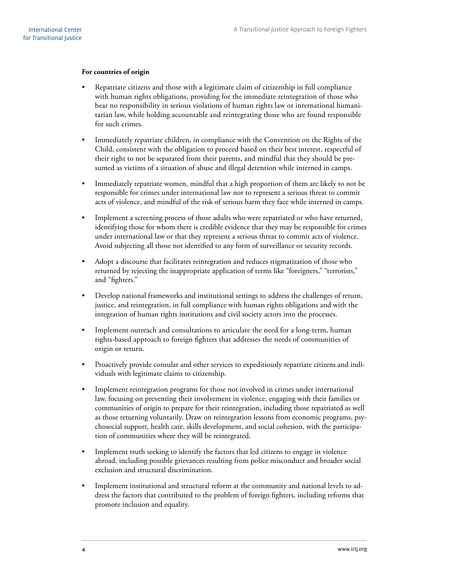#### **For countries of origin**

- Repatriate citizens and those with a legitimate claim of citizenship in full compliance with human rights obligations, providing for the immediate reintegration of those who bear no responsibility in serious violations of human rights law or international humanitarian law, while holding accountable and reintegrating those who are found responsible for such crimes.
- Immediately repatriate children, in compliance with the Convention on the Rights of the Child, consistent with the obligation to proceed based on their best interest, respectful of their right to not be separated from their parents, and mindful that they should be presumed as victims of a situation of abuse and illegal detention while interned in camps.
- Immediately repatriate women, mindful that a high proportion of them are likely to not be responsible for crimes under international law nor to represent a serious threat to commit acts of violence, and mindful of the risk of serious harm they face while interned in camps.
- Implement a screening process of those adults who were repatriated or who have returned, identifying those for whom there is credible evidence that they may be responsible for crimes under international law or that they represent a serious threat to commit acts of violence. Avoid subjecting all those not identified to any form of surveillance or security records.
- Adopt a discourse that facilitates reintegration and reduces stigmatization of those who returned by rejecting the inappropriate application of terms like "foreigners," "terrorists," and "fighters."
- Develop national frameworks and institutional settings to address the challenges of return, justice, and reintegration, in full compliance with human rights obligations and with the integration of human rights institutions and civil society actors into the processes.
- Implement outreach and consultations to articulate the need for a long-term, human rights-based approach to foreign fighters that addresses the needs of communities of origin or return.
- Proactively provide consular and other services to expeditiously repatriate citizens and individuals with legitimate claims to citizenship.
- Implement reintegration programs for those not involved in crimes under international law, focusing on preventing their involvement in violence, engaging with their families or communities of origin to prepare for their reintegration, including those repatriated as well as those returning voluntarily. Draw on reintegration lessons from economic programs, psychosocial support, health care, skills development, and social cohesion, with the participation of communities where they will be reintegrated.
- Implement truth seeking to identify the factors that led citizens to engage in violence abroad, including possible grievances resulting from police misconduct and broader social exclusion and structural discrimination.
- Implement institutional and structural reform at the community and national levels to address the factors that contributed to the problem of foreign fighters, including reforms that promote inclusion and equality.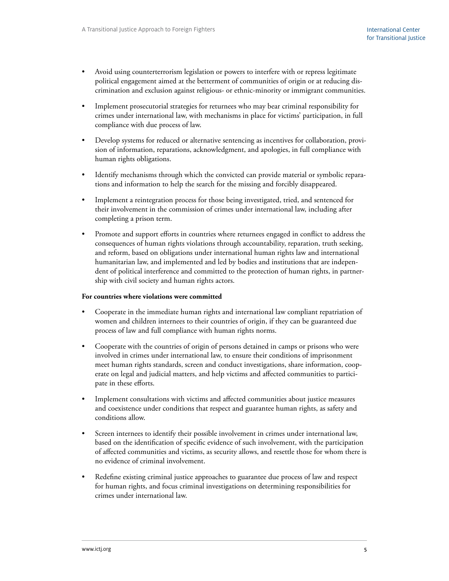- Avoid using counterterrorism legislation or powers to interfere with or repress legitimate political engagement aimed at the betterment of communities of origin or at reducing discrimination and exclusion against religious- or ethnic-minority or immigrant communities.
- Implement prosecutorial strategies for returnees who may bear criminal responsibility for crimes under international law, with mechanisms in place for victims' participation, in full compliance with due process of law.
- Develop systems for reduced or alternative sentencing as incentives for collaboration, provision of information, reparations, acknowledgment, and apologies, in full compliance with human rights obligations.
- Identify mechanisms through which the convicted can provide material or symbolic reparations and information to help the search for the missing and forcibly disappeared.
- Implement a reintegration process for those being investigated, tried, and sentenced for their involvement in the commission of crimes under international law, including after completing a prison term.
- Promote and support efforts in countries where returnees engaged in conflict to address the consequences of human rights violations through accountability, reparation, truth seeking, and reform, based on obligations under international human rights law and international humanitarian law, and implemented and led by bodies and institutions that are independent of political interference and committed to the protection of human rights, in partnership with civil society and human rights actors.

#### **For countries where violations were committed**

- Cooperate in the immediate human rights and international law compliant repatriation of women and children internees to their countries of origin, if they can be guaranteed due process of law and full compliance with human rights norms.
- Cooperate with the countries of origin of persons detained in camps or prisons who were involved in crimes under international law, to ensure their conditions of imprisonment meet human rights standards, screen and conduct investigations, share information, cooperate on legal and judicial matters, and help victims and affected communities to participate in these efforts.
- Implement consultations with victims and affected communities about justice measures and coexistence under conditions that respect and guarantee human rights, as safety and conditions allow.
- Screen internees to identify their possible involvement in crimes under international law, based on the identification of specific evidence of such involvement, with the participation of affected communities and victims, as security allows, and resettle those for whom there is no evidence of criminal involvement.
- Redefine existing criminal justice approaches to guarantee due process of law and respect for human rights, and focus criminal investigations on determining responsibilities for crimes under international law.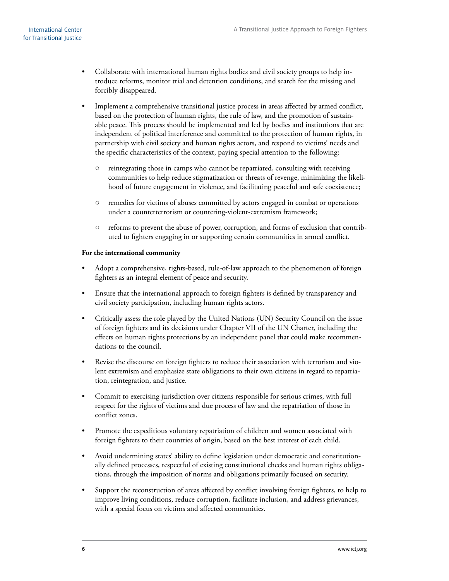- Collaborate with international human rights bodies and civil society groups to help introduce reforms, monitor trial and detention conditions, and search for the missing and forcibly disappeared.
- Implement a comprehensive transitional justice process in areas affected by armed conflict, based on the protection of human rights, the rule of law, and the promotion of sustainable peace. This process should be implemented and led by bodies and institutions that are independent of political interference and committed to the protection of human rights, in partnership with civil society and human rights actors, and respond to victims' needs and the specific characteristics of the context, paying special attention to the following:
	- reintegrating those in camps who cannot be repatriated, consulting with receiving communities to help reduce stigmatization or threats of revenge, minimizing the likelihood of future engagement in violence, and facilitating peaceful and safe coexistence;
	- remedies for victims of abuses committed by actors engaged in combat or operations under a counterterrorism or countering-violent-extremism framework;
	- reforms to prevent the abuse of power, corruption, and forms of exclusion that contributed to fighters engaging in or supporting certain communities in armed conflict.

#### **For the international community**

- Adopt a comprehensive, rights-based, rule-of-law approach to the phenomenon of foreign fighters as an integral element of peace and security.
- Ensure that the international approach to foreign fighters is defined by transparency and civil society participation, including human rights actors.
- Critically assess the role played by the United Nations (UN) Security Council on the issue of foreign fighters and its decisions under Chapter VII of the UN Charter, including the effects on human rights protections by an independent panel that could make recommendations to the council.
- Revise the discourse on foreign fighters to reduce their association with terrorism and violent extremism and emphasize state obligations to their own citizens in regard to repatriation, reintegration, and justice.
- Commit to exercising jurisdiction over citizens responsible for serious crimes, with full respect for the rights of victims and due process of law and the repatriation of those in conflict zones.
- Promote the expeditious voluntary repatriation of children and women associated with foreign fighters to their countries of origin, based on the best interest of each child.
- Avoid undermining states' ability to define legislation under democratic and constitutionally defined processes, respectful of existing constitutional checks and human rights obligations, through the imposition of norms and obligations primarily focused on security.
- Support the reconstruction of areas affected by conflict involving foreign fighters, to help to improve living conditions, reduce corruption, facilitate inclusion, and address grievances, with a special focus on victims and affected communities.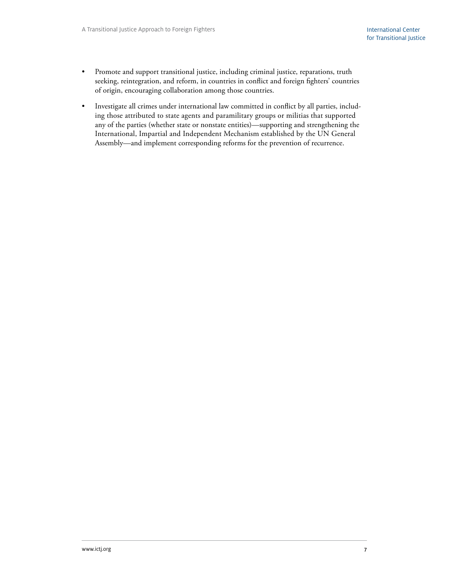- Promote and support transitional justice, including criminal justice, reparations, truth seeking, reintegration, and reform, in countries in conflict and foreign fighters' countries of origin, encouraging collaboration among those countries.
- Investigate all crimes under international law committed in conflict by all parties, including those attributed to state agents and paramilitary groups or militias that supported any of the parties (whether state or nonstate entities)—supporting and strengthening the International, Impartial and Independent Mechanism established by the UN General Assembly—and implement corresponding reforms for the prevention of recurrence.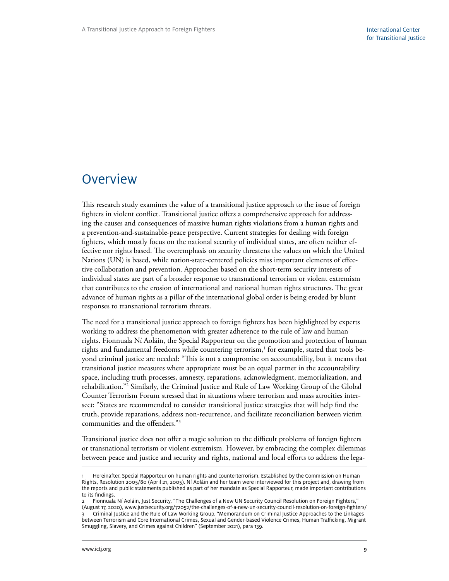### <span id="page-14-0"></span>**Overview**

This research study examines the value of a transitional justice approach to the issue of foreign fighters in violent conflict. Transitional justice offers a comprehensive approach for addressing the causes and consequences of massive human rights violations from a human rights and a prevention-and-sustainable-peace perspective. Current strategies for dealing with foreign fighters, which mostly focus on the national security of individual states, are often neither effective nor rights based. The overemphasis on security threatens the values on which the United Nations (UN) is based, while nation-state-centered policies miss important elements of effective collaboration and prevention. Approaches based on the short-term security interests of individual states are part of a broader response to transnational terrorism or violent extremism that contributes to the erosion of international and national human rights structures. The great advance of human rights as a pillar of the international global order is being eroded by blunt responses to transnational terrorism threats.

The need for a transitional justice approach to foreign fighters has been highlighted by experts working to address the phenomenon with greater adherence to the rule of law and human rights. Fionnuala Ní Aoláin, the Special Rapporteur on the promotion and protection of human rights and fundamental freedoms while countering terrorism, $^1$  for example, stated that tools beyond criminal justice are needed: "This is not a compromise on accountability, but it means that transitional justice measures where appropriate must be an equal partner in the accountability space, including truth processes, amnesty, reparations, acknowledgment, memorialization, and rehabilitation."2 Similarly, the Criminal Justice and Rule of Law Working Group of the Global Counter Terrorism Forum stressed that in situations where terrorism and mass atrocities intersect: "States are recommended to consider transitional justice strategies that will help find the truth, provide reparations, address non-recurrence, and facilitate reconciliation between victim communities and the offenders."3

Transitional justice does not offer a magic solution to the difficult problems of foreign fighters or transnational terrorism or violent extremism. However, by embracing the complex dilemmas between peace and justice and security and rights, national and local efforts to address the lega-

Hereinafter, Special Rapporteur on human rights and counterterrorism. Established by the Commission on Human Rights, Resolution 2005/80 (April 21, 2005). Ní Aoláin and her team were interviewed for this project and, drawing from the reports and public statements published as part of her mandate as Special Rapporteur, made important contributions to its findings.

<sup>2</sup> Fionnuala Ní Aoláin, Just Security, "The Challenges of a New UN Security Council Resolution on Foreign Fighters,"

<sup>(</sup>August 17, 2020), www.justsecurity.org/72052/the-challenges-of-a-new-un-security-council-resolution-on-foreign-fighters/ 3 Criminal Justice and the Rule of Law Working Group, "Memorandum on Criminal Justice Approaches to the Linkages between Terrorism and Core International Crimes, Sexual and Gender-based Violence Crimes, Human Trafficking, Migrant Smuggling, Slavery, and Crimes against Children" (September 2021), para 139.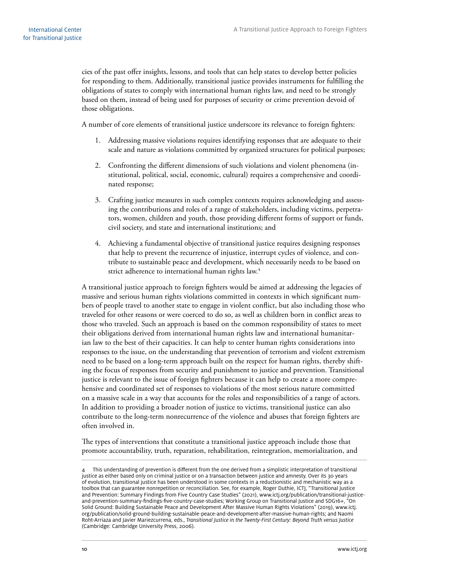cies of the past offer insights, lessons, and tools that can help states to develop better policies for responding to them. Additionally, transitional justice provides instruments for fulfilling the obligations of states to comply with international human rights law, and need to be strongly based on them, instead of being used for purposes of security or crime prevention devoid of those obligations.

A number of core elements of transitional justice underscore its relevance to foreign fighters:

- 1. Addressing massive violations requires identifying responses that are adequate to their scale and nature as violations committed by organized structures for political purposes;
- 2. Confronting the different dimensions of such violations and violent phenomena (institutional, political, social, economic, cultural) requires a comprehensive and coordinated response;
- 3. Crafting justice measures in such complex contexts requires acknowledging and assessing the contributions and roles of a range of stakeholders, including victims, perpetrators, women, children and youth, those providing different forms of support or funds, civil society, and state and international institutions; and
- 4. Achieving a fundamental objective of transitional justice requires designing responses that help to prevent the recurrence of injustice, interrupt cycles of violence, and contribute to sustainable peace and development, which necessarily needs to be based on strict adherence to international human rights law.<sup>4</sup>

A transitional justice approach to foreign fighters would be aimed at addressing the legacies of massive and serious human rights violations committed in contexts in which significant numbers of people travel to another state to engage in violent conflict, but also including those who traveled for other reasons or were coerced to do so, as well as children born in conflict areas to those who traveled. Such an approach is based on the common responsibility of states to meet their obligations derived from international human rights law and international humanitarian law to the best of their capacities. It can help to center human rights considerations into responses to the issue, on the understanding that prevention of terrorism and violent extremism need to be based on a long-term approach built on the respect for human rights, thereby shifting the focus of responses from security and punishment to justice and prevention. Transitional justice is relevant to the issue of foreign fighters because it can help to create a more comprehensive and coordinated set of responses to violations of the most serious nature committed on a massive scale in a way that accounts for the roles and responsibilities of a range of actors. In addition to providing a broader notion of justice to victims, transitional justice can also contribute to the long-term nonrecurrence of the violence and abuses that foreign fighters are often involved in.

The types of interventions that constitute a transitional justice approach include those that promote accountability, truth, reparation, rehabilitation, reintegration, memorialization, and

This understanding of prevention is different from the one derived from a simplistic interpretation of transitional justice as either based only on criminal justice or on a transaction between justice and amnesty. Over its 30 years of evolution, transitional justice has been understood in some contexts in a reductionistic and mechanistic way as a toolbox that can guarantee nonrepetition or reconciliation. See, for example, Roger Duthie, ICTJ, "Transitional Justice and Prevention: Summary Findings from Five Country Case Studies" (2021), www.ictj.org/publication/transitional-justiceand-prevention-summary-findings-five-country-case-studies; Working Group on Transitional Justice and SDG16+, "On Solid Ground: Building Sustainable Peace and Development After Massive Human Rights Violations" (2019), [www.ictj.](https://www.ictj.org/publication/solid-ground-building-sustainable-peace-and-development-after-massive-human-rights) [org/publication/solid-ground-building-sustainable-peace-and-development-after-massive-human-rights;](https://www.ictj.org/publication/solid-ground-building-sustainable-peace-and-development-after-massive-human-rights) and Naomi Roht-Arriaza and Javier Mariezcurrena, eds., *Transitional Justice in the Twenty-First Century: Beyond Truth versus Justice*  (Cambridge: Cambridge University Press, 2006).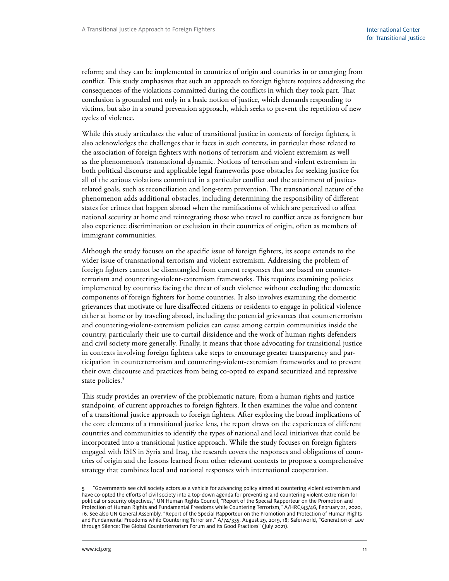reform; and they can be implemented in countries of origin and countries in or emerging from conflict. This study emphasizes that such an approach to foreign fighters requires addressing the consequences of the violations committed during the conflicts in which they took part. That conclusion is grounded not only in a basic notion of justice, which demands responding to victims, but also in a sound prevention approach, which seeks to prevent the repetition of new cycles of violence.

While this study articulates the value of transitional justice in contexts of foreign fighters, it also acknowledges the challenges that it faces in such contexts, in particular those related to the association of foreign fighters with notions of terrorism and violent extremism as well as the phenomenon's transnational dynamic. Notions of terrorism and violent extremism in both political discourse and applicable legal frameworks pose obstacles for seeking justice for all of the serious violations committed in a particular conflict and the attainment of justicerelated goals, such as reconciliation and long-term prevention. The transnational nature of the phenomenon adds additional obstacles, including determining the responsibility of different states for crimes that happen abroad when the ramifications of which are perceived to affect national security at home and reintegrating those who travel to conflict areas as foreigners but also experience discrimination or exclusion in their countries of origin, often as members of immigrant communities.

Although the study focuses on the specific issue of foreign fighters, its scope extends to the wider issue of transnational terrorism and violent extremism. Addressing the problem of foreign fighters cannot be disentangled from current responses that are based on counterterrorism and countering-violent-extremism frameworks. This requires examining policies implemented by countries facing the threat of such violence without excluding the domestic components of foreign fighters for home countries. It also involves examining the domestic grievances that motivate or lure disaffected citizens or residents to engage in political violence either at home or by traveling abroad, including the potential grievances that counterterrorism and countering-violent-extremism policies can cause among certain communities inside the country, particularly their use to curtail dissidence and the work of human rights defenders and civil society more generally. Finally, it means that those advocating for transitional justice in contexts involving foreign fighters take steps to encourage greater transparency and participation in counterterrorism and countering-violent-extremism frameworks and to prevent their own discourse and practices from being co-opted to expand securitized and repressive state policies.<sup>5</sup>

This study provides an overview of the problematic nature, from a human rights and justice standpoint, of current approaches to foreign fighters. It then examines the value and content of a transitional justice approach to foreign fighters. After exploring the broad implications of the core elements of a transitional justice lens, the report draws on the experiences of different countries and communities to identify the types of national and local initiatives that could be incorporated into a transitional justice approach. While the study focuses on foreign fighters engaged with ISIS in Syria and Iraq, the research covers the responses and obligations of countries of origin and the lessons learned from other relevant contexts to propose a comprehensive strategy that combines local and national responses with international cooperation.

<sup>5</sup> "Governments see civil society actors as a vehicle for advancing policy aimed at countering violent extremism and have co-opted the efforts of civil society into a top-down agenda for preventing and countering violent extremism for political or security objectives," UN Human Rights Council, "Report of the Special Rapporteur on the Promotion and Protection of Human Rights and Fundamental Freedoms while Countering Terrorism," A/HRC/43/46, February 21, 2020, 16. See also UN General Assembly, "Report of the Special Rapporteur on the Promotion and Protection of Human Rights and Fundamental Freedoms while Countering Terrorism," A/74/335, August 29, 2019, 18; Saferworld, "Generation of Law through Silence: The Global Counterterrorism Forum and Its Good Practices" (July 2021).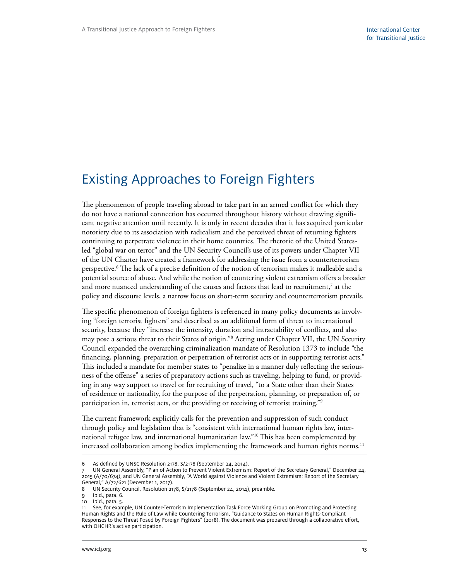# <span id="page-18-0"></span>Existing Approaches to Foreign Fighters

The phenomenon of people traveling abroad to take part in an armed conflict for which they do not have a national connection has occurred throughout history without drawing significant negative attention until recently. It is only in recent decades that it has acquired particular notoriety due to its association with radicalism and the perceived threat of returning fighters continuing to perpetrate violence in their home countries. The rhetoric of the United Statesled "global war on terror" and the UN Security Council's use of its powers under Chapter VII of the UN Charter have created a framework for addressing the issue from a counterterrorism perspective.6 The lack of a precise definition of the notion of terrorism makes it malleable and a potential source of abuse. And while the notion of countering violent extremism offers a broader and more nuanced understanding of the causes and factors that lead to recruitment, $^7$  at the policy and discourse levels, a narrow focus on short-term security and counterterrorism prevails.

The specific phenomenon of foreign fighters is referenced in many policy documents as involving "foreign terrorist fighters" and described as an additional form of threat to international security, because they "increase the intensity, duration and intractability of conflicts, and also may pose a serious threat to their States of origin."8 Acting under Chapter VII, the UN Security Council expanded the overarching criminalization mandate of Resolution 1373 to include "the financing, planning, preparation or perpetration of terrorist acts or in supporting terrorist acts." This included a mandate for member states to "penalize in a manner duly reflecting the seriousness of the offense" a series of preparatory actions such as traveling, helping to fund, or providing in any way support to travel or for recruiting of travel, "to a State other than their States of residence or nationality, for the purpose of the perpetration, planning, or preparation of, or participation in, terrorist acts, or the providing or receiving of terrorist training."<sup>9</sup>

The current framework explicitly calls for the prevention and suppression of such conduct through policy and legislation that is "consistent with international human rights law, international refugee law, and international humanitarian law."10 This has been complemented by increased collaboration among bodies implementing the framework and human rights norms.<sup>11</sup>

<sup>6</sup> As defined by UNSC Resolution 2178, S/2178 (September 24, 2014).

UN General Assembly, "Plan of Action to Prevent Violent Extremism: Report of the Secretary General," December 24, 2015 (A/70/674), and UN General Assembly, "A World against Violence and Violent Extremism: Report of the Secretary General," A/72/621 (December 1, 2017).

<sup>8</sup> UN Security Council, Resolution 2178, S/2178 (September 24, 2014), preamble.

<sup>9</sup> Ibid., para. 6.

<sup>10</sup> Ibid., para. 5.

<sup>11</sup> See, for example, UN Counter-Terrorism Implementation Task Force Working Group on Promoting and Protecting Human Rights and the Rule of Law while Countering Terrorism, "Guidance to States on Human Rights-Compliant Responses to the Threat Posed by Foreign Fighters" (2018). The document was prepared through a collaborative effort, with OHCHR's active participation.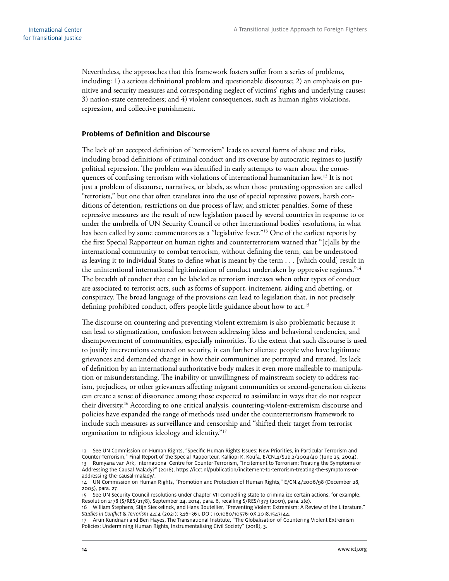<span id="page-19-0"></span>Nevertheless, the approaches that this framework fosters suffer from a series of problems, including: 1) a serious definitional problem and questionable discourse; 2) an emphasis on punitive and security measures and corresponding neglect of victims' rights and underlying causes; 3) nation-state centeredness; and 4) violent consequences, such as human rights violations, repression, and collective punishment.

#### **Problems of Definition and Discourse**

The lack of an accepted definition of "terrorism" leads to several forms of abuse and risks, including broad definitions of criminal conduct and its overuse by autocratic regimes to justify political repression. The problem was identified in early attempts to warn about the consequences of confusing terrorism with violations of international humanitarian law.<sup>12</sup> It is not just a problem of discourse, narratives, or labels, as when those protesting oppression are called "terrorists," but one that often translates into the use of special repressive powers, harsh conditions of detention, restrictions on due process of law, and stricter penalties. Some of these repressive measures are the result of new legislation passed by several countries in response to or under the umbrella of UN Security Council or other international bodies' resolutions, in what has been called by some commentators as a "legislative fever."<sup>13</sup> One of the earliest reports by the first Special Rapporteur on human rights and counterterrorism warned that "[c]alls by the international community to combat terrorism, without defining the term, can be understood as leaving it to individual States to define what is meant by the term . . . [which could] result in the unintentional international legitimization of conduct undertaken by oppressive regimes."<sup>14</sup> The breadth of conduct that can be labeled as terrorism increases when other types of conduct are associated to terrorist acts, such as forms of support, incitement, aiding and abetting, or conspiracy. The broad language of the provisions can lead to legislation that, in not precisely defining prohibited conduct, offers people little guidance about how to act.<sup>15</sup>

The discourse on countering and preventing violent extremism is also problematic because it can lead to stigmatization, confusion between addressing ideas and behavioral tendencies, and disempowerment of communities, especially minorities. To the extent that such discourse is used to justify interventions centered on security, it can further alienate people who have legitimate grievances and demanded change in how their communities are portrayed and treated. Its lack of definition by an international authoritative body makes it even more malleable to manipulation or misunderstanding. The inability or unwillingness of mainstream society to address racism, prejudices, or other grievances affecting migrant communities or second-generation citizens can create a sense of dissonance among those expected to assimilate in ways that do not respect their diversity.16 According to one critical analysis, countering-violent-extremism discourse and policies have expanded the range of methods used under the counterterrorism framework to include such measures as surveillance and censorship and "shifted their target from terrorist organisation to religious ideology and identity."17

16 William Stephens, Stijn Sieckelinck, and Hans Boutellier, "Preventing Violent Extremism: A Review of the Literature," *Studies in Conflict* & *Terrorism* 44:4 (2021): 346–361, DOI: 10.1080/1057610X.2018.1543144.

<sup>12</sup> See UN Commission on Human Rights, "Specific Human Rights Issues: New Priorities, in Particular Terrorism and Counter-Terrorism," Final Report of the Special Rapporteur, Kalliopi K. Koufa, E/CN.4/Sub.2/2004/40 ( June 25, 2004). 13 Rumyana van Ark, International Centre for Counter-Terrorism, "Incitement to Terrorism: Treating the Symptoms or Addressing the Causal Malady?" (2018), https://icct.nl/publication/incitement-to-terrorism-treating-the-symptoms-oraddressing-the-causal-malady/.

<sup>14</sup> UN Commission on Human Rights, "Promotion and Protection of Human Rights," E/CN.4/2006/98 (December 28, 2005), para. 27.

<sup>15</sup> See UN Security Council resolutions under chapter VII compelling state to criminalize certain actions, for example, Resolution 2178 (S/RES/2178), September 24, 2014, para. 6, recalling S/RES/1373 (2001), para. 2(e).

<sup>17</sup> Arun Kundnani and Ben Hayes, The Transnational Institute, "The Globalisation of Countering Violent Extremism Policies: Undermining Human Rights, Instrumentalising Civil Society" (2018), 3.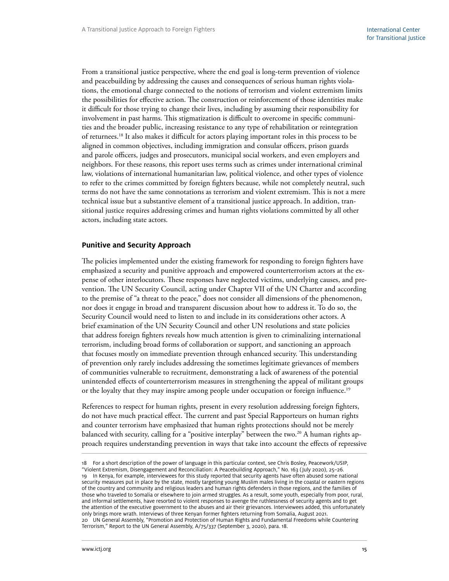<span id="page-20-0"></span>From a transitional justice perspective, where the end goal is long-term prevention of violence and peacebuilding by addressing the causes and consequences of serious human rights violations, the emotional charge connected to the notions of terrorism and violent extremism limits the possibilities for effective action. The construction or reinforcement of those identities make it difficult for those trying to change their lives, including by assuming their responsibility for involvement in past harms. This stigmatization is difficult to overcome in specific communities and the broader public, increasing resistance to any type of rehabilitation or reintegration of returnees.18 It also makes it difficult for actors playing important roles in this process to be aligned in common objectives, including immigration and consular officers, prison guards and parole officers, judges and prosecutors, municipal social workers, and even employers and neighbors. For these reasons, this report uses terms such as crimes under international criminal law, violations of international humanitarian law, political violence, and other types of violence to refer to the crimes committed by foreign fighters because, while not completely neutral, such terms do not have the same connotations as terrorism and violent extremism. This is not a mere technical issue but a substantive element of a transitional justice approach. In addition, transitional justice requires addressing crimes and human rights violations committed by all other actors, including state actors.

#### **Punitive and Security Approach**

The policies implemented under the existing framework for responding to foreign fighters have emphasized a security and punitive approach and empowered counterterrorism actors at the expense of other interlocutors. These responses have neglected victims, underlying causes, and prevention. The UN Security Council, acting under Chapter VII of the UN Charter and according to the premise of "a threat to the peace," does not consider all dimensions of the phenomenon, nor does it engage in broad and transparent discussion about how to address it. To do so, the Security Council would need to listen to and include in its considerations other actors. A brief examination of the UN Security Council and other UN resolutions and state policies that address foreign fighters reveals how much attention is given to criminalizing international terrorism, including broad forms of collaboration or support, and sanctioning an approach that focuses mostly on immediate prevention through enhanced security. This understanding of prevention only rarely includes addressing the sometimes legitimate grievances of members of communities vulnerable to recruitment, demonstrating a lack of awareness of the potential unintended effects of counterterrorism measures in strengthening the appeal of militant groups or the loyalty that they may inspire among people under occupation or foreign influence.<sup>19</sup>

References to respect for human rights, present in every resolution addressing foreign fighters, do not have much practical effect. The current and past Special Rapporteurs on human rights and counter terrorism have emphasized that human rights protections should not be merely balanced with security, calling for a "positive interplay" between the two.<sup>20</sup> A human rights approach requires understanding prevention in ways that take into account the effects of repressive

<sup>18</sup> For a short description of the power of language in this particular context, see Chris Bosley, Peacework/USIP, "Violent Extremism, Disengagement and Reconciliation: A Peacebuilding Approach," No. 163 (July 2020), 25–26. 19 In Kenya, for example, interviewees for this study reported that security agents have often abused some national security measures put in place by the state, mostly targeting young Muslim males living in the coastal or eastern regions of the country and community and religious leaders and human rights defenders in those regions, and the families of those who traveled to Somalia or elsewhere to join armed struggles. As a result, some youth, especially from poor, rural, and informal settlements, have resorted to violent responses to avenge the ruthlessness of security agents and to get the attention of the executive government to the abuses and air their grievances. Interviewees added, this unfortunately only brings more wrath. Interviews of three Kenyan former fighters returning from Somalia, August 2021. 20 UN General Assembly, "Promotion and Protection of Human Rights and Fundamental Freedoms while Countering Terrorism," Report to the UN General Assembly, A/75/337 (September 3, 2020), para. 18.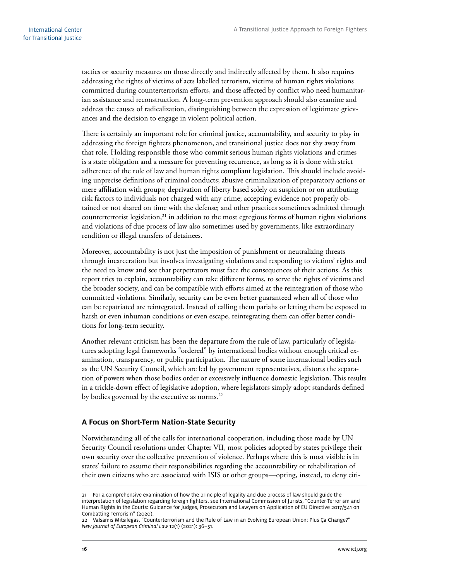<span id="page-21-0"></span>tactics or security measures on those directly and indirectly affected by them. It also requires addressing the rights of victims of acts labelled terrorism, victims of human rights violations committed during counterterrorism efforts, and those affected by conflict who need humanitarian assistance and reconstruction. A long-term prevention approach should also examine and address the causes of radicalization, distinguishing between the expression of legitimate grievances and the decision to engage in violent political action.

There is certainly an important role for criminal justice, accountability, and security to play in addressing the foreign fighters phenomenon, and transitional justice does not shy away from that role. Holding responsible those who commit serious human rights violations and crimes is a state obligation and a measure for preventing recurrence, as long as it is done with strict adherence of the rule of law and human rights compliant legislation. This should include avoiding unprecise definitions of criminal conducts; abusive criminalization of preparatory actions or mere affiliation with groups; deprivation of liberty based solely on suspicion or on attributing risk factors to individuals not charged with any crime; accepting evidence not properly obtained or not shared on time with the defense; and other practices sometimes admitted through counterterrorist legislation,<sup>21</sup> in addition to the most egregious forms of human rights violations and violations of due process of law also sometimes used by governments, like extraordinary rendition or illegal transfers of detainees.

Moreover, accountability is not just the imposition of punishment or neutralizing threats through incarceration but involves investigating violations and responding to victims' rights and the need to know and see that perpetrators must face the consequences of their actions. As this report tries to explain, accountability can take different forms, to serve the rights of victims and the broader society, and can be compatible with efforts aimed at the reintegration of those who committed violations. Similarly, security can be even better guaranteed when all of those who can be repatriated are reintegrated. Instead of calling them pariahs or letting them be exposed to harsh or even inhuman conditions or even escape, reintegrating them can offer better conditions for long-term security.

Another relevant criticism has been the departure from the rule of law, particularly of legislatures adopting legal frameworks "ordered" by international bodies without enough critical examination, transparency, or public participation. The nature of some international bodies such as the UN Security Council, which are led by government representatives, distorts the separation of powers when those bodies order or excessively influence domestic legislation. This results in a trickle-down effect of legislative adoption, where legislators simply adopt standards defined by bodies governed by the executive as norms.<sup>22</sup>

#### **A Focus on Short-Term Nation-State Security**

Notwithstanding all of the calls for international cooperation, including those made by UN Security Council resolutions under Chapter VII, most policies adopted by states privilege their own security over the collective prevention of violence. Perhaps where this is most visible is in states' failure to assume their responsibilities regarding the accountability or rehabilitation of their own citizens who are associated with ISIS or other groups―opting, instead, to deny citi-

<sup>21</sup> For a comprehensive examination of how the principle of legality and due process of law should guide the interpretation of legislation regarding foreign fighters, see International Commission of Jurists, "Counter-Terrorism and Human Rights in the Courts: Guidance for Judges, Prosecutors and Lawyers on Application of EU Directive 2017/541 on Combatting Terrorism" (2020).

<sup>22</sup> Valsamis Mitsilegas, "Counterterrorism and the Rule of Law in an Evolving European Union: Plus Ça Change?" *New Journal of European Criminal Law* 12(1) (2021): 36–51.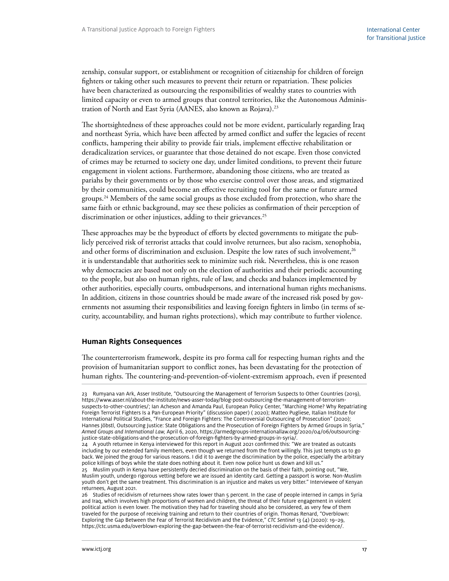<span id="page-22-0"></span>zenship, consular support, or establishment or recognition of citizenship for children of foreign fighters or taking other such measures to prevent their return or repatriation. These policies have been characterized as outsourcing the responsibilities of wealthy states to countries with limited capacity or even to armed groups that control territories, like the Autonomous Administration of North and East Syria (AANES, also known as Rojava).23

The shortsightedness of these approaches could not be more evident, particularly regarding Iraq and northeast Syria, which have been affected by armed conflict and suffer the legacies of recent conflicts, hampering their ability to provide fair trials, implement effective rehabilitation or deradicalization services, or guarantee that those detained do not escape. Even those convicted of crimes may be returned to society one day, under limited conditions, to prevent their future engagement in violent actions. Furthermore, abandoning those citizens, who are treated as pariahs by their governments or by those who exercise control over those areas, and stigmatized by their communities, could become an effective recruiting tool for the same or future armed groups.<sup>24</sup> Members of the same social groups as those excluded from protection, who share the same faith or ethnic background, may see these policies as confirmation of their perception of discrimination or other injustices, adding to their grievances.<sup>25</sup>

These approaches may be the byproduct of efforts by elected governments to mitigate the publicly perceived risk of terrorist attacks that could involve returnees, but also racism, xenophobia, and other forms of discrimination and exclusion. Despite the low rates of such involvement, $^{26}$ it is understandable that authorities seek to minimize such risk. Nevertheless, this is one reason why democracies are based not only on the election of authorities and their periodic accounting to the people, but also on human rights, rule of law, and checks and balances implemented by other authorities, especially courts, ombudspersons, and international human rights mechanisms. In addition, citizens in those countries should be made aware of the increased risk posed by governments not assuming their responsibilities and leaving foreign fighters in limbo (in terms of security, accountability, and human rights protections), which may contribute to further violence.

#### **Human Rights Consequences**

The counterterrorism framework, despite its pro forma call for respecting human rights and the provision of humanitarian support to conflict zones, has been devastating for the protection of human rights. The countering-and-prevention-of-violent-extremism approach, even if presented

<sup>23</sup> Rumyana van Ark, Asser Institute, "Outsourcing the Management of Terrorism Suspects to Other Countries (2019), https://www.asser.nl/about-the-institute/news-asser-today/blog-post-outsourcing-the-management-of-terrorismsuspects-to-other-countries/; Ian Acheson and Amanda Paul, European Policy Center, "Marching Home? Why Repatriating Foreign Terrorist Fighters Is a Pan-European Priority" (discussion paper) ( 2020); Matteo Pugliese, Italian Institute for International Political Studies, "France and Foreign Fighters: The Controversial Outsourcing of Prosecution" (2020); Hannes Jöbstl, Outsourcing Justice: State Obligations and the Prosecution of Foreign Fighters by Armed Groups in Syria," *Armed Groups and International Law,* April 6, 2020, https://armedgroups-internationallaw.org/2020/04/06/outsourcingjustice-state-obligations-and-the-prosecution-of-foreign-fighters-by-armed-groups-in-syria/.

<sup>24</sup> A youth returnee in Kenya interviewed for this report in August 2021 confirmed this: "We are treated as outcasts including by our extended family members, even though we returned from the front willingly. This just tempts us to go back. We joined the group for various reasons. I did it to avenge the discrimination by the police, especially the arbitrary police killings of boys while the state does nothing about it. Even now police hunt us down and kill us."

<sup>25</sup> Muslim youth in Kenya have persistently decried discrimination on the basis of their faith, pointing out, "We, Muslim youth, undergo rigorous vetting before we are issued an identity card. Getting a passport is worse. Non-Muslim youth don't get the same treatment. This discrimination is an injustice and makes us very bitter." Interviewee of Kenyan returnees, August 2021.

<sup>26</sup> Studies of recidivism of returnees show rates lower than 5 percent. In the case of people interned in camps in Syria and Iraq, which involves high proportions of women and children, the threat of their future engagement in violent political action is even lower. The motivation they had for traveling should also be considered, as very few of them traveled for the purpose of receiving training and return to their countries of origin. Thomas Renard, "Overblown: Exploring the Gap Between the Fear of Terrorist Recidivism and the Evidence," *CTC Sentinel* 13 (4) (2020): 19–29, https://ctc.usma.edu/overblown-exploring-the-gap-between-the-fear-of-terrorist-recidivism-and-the-evidence/.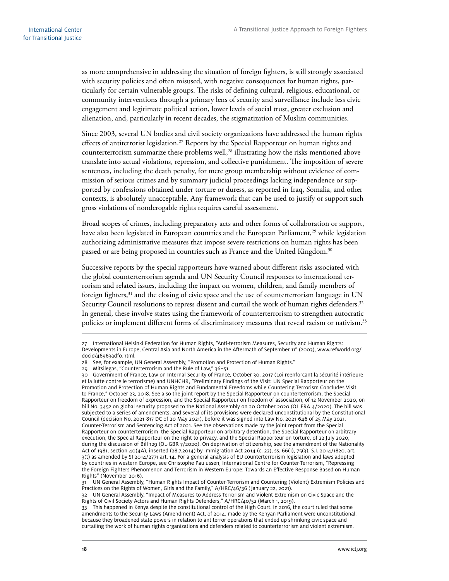as more comprehensive in addressing the situation of foreign fighters, is still strongly associated with security policies and often misused, with negative consequences for human rights, particularly for certain vulnerable groups. The risks of defining cultural, religious, educational, or community interventions through a primary lens of security and surveillance include less civic engagement and legitimate political action, lower levels of social trust, greater exclusion and alienation, and, particularly in recent decades, the stigmatization of Muslim communities.

Since 2003, several UN bodies and civil society organizations have addressed the human rights effects of antiterrorist legislation.<sup>27</sup> Reports by the Special Rapporteur on human rights and counterterrorism summarize these problems well,<sup>28</sup> illustrating how the risks mentioned above translate into actual violations, repression, and collective punishment. The imposition of severe sentences, including the death penalty, for mere group membership without evidence of commission of serious crimes and by summary judicial proceedings lacking independence or supported by confessions obtained under torture or duress, as reported in Iraq, Somalia, and other contexts, is absolutely unacceptable. Any framework that can be used to justify or support such gross violations of nonderogable rights requires careful assessment.

Broad scopes of crimes, including preparatory acts and other forms of collaboration or support, have also been legislated in European countries and the European Parliament,<sup>29</sup> while legislation authorizing administrative measures that impose severe restrictions on human rights has been passed or are being proposed in countries such as France and the United Kingdom.<sup>30</sup>

Successive reports by the special rapporteurs have warned about different risks associated with the global counterterrorism agenda and UN Security Council responses to international terrorism and related issues, including the impact on women, children, and family members of foreign fighters,<sup>31</sup> and the closing of civic space and the use of counterterrorism language in UN Security Council resolutions to repress dissent and curtail the work of human rights defenders.<sup>32</sup> In general, these involve states using the framework of counterterrorism to strengthen autocratic policies or implement different forms of discriminatory measures that reveal racism or nativism.33

<sup>27</sup> International Helsinki Federation for Human Rights, "Anti-terrorism Measures, Security and Human Rights: Developments in Europe, Central Asia and North America in the Aftermath of September 11" (2003), www.refworld.org/ docid/46963adf0.html.

<sup>28</sup> See, for example, UN General Assembly, "Promotion and Protection of Human Rights."

<sup>29</sup> Mitsilegas, "Counterterrorism and the Rule of Law," 36–51.

<sup>30</sup> Government of France, Law on Internal Security of France, October 30, 2017 (Loi reenforcant la sécurité intérieure et la lutte contre le terrorisme) and UNHCHR, "Preliminary Findings of the Visit: UN Special Rapporteur on the Promotion and Protection of Human Rights and Fundamental Freedoms while Countering Terrorism Concludes Visit to France," October 23, 2018. See also the joint report by the Special Rapporteur on counterterrorism, the Special Rapporteur on freedom of expression, and the Special Rapporteur on freedom of association, of 12 November 2020, on bill No. 3452 on global security proposed to the National Assembly on 20 October 2020 (OL FRA 4/2020). The bill was subjected to a series of amendments, and several of its provisions were declared unconstitutional by the Constitutional Council (decision No. 2021-817 DC of 20 May 2021), before it was signed into Law No. 2021-646 of 25 May 2021. Counter-Terrorism and Sentencing Act of 2021. See the observations made by the joint report from the Special Rapporteur on counterterrorism, the Special Rapporteur on arbitrary detention, the Special Rapporteur on arbitrary execution, the Special Rapporteur on the right to privacy, and the Special Rapporteur on torture, of 22 July 2020, during the discussion of Bill 129 (OL-GBR 7/2020). On deprivation of citizenship, see the amendment of the Nationality Act of 1981, section 40(4A), inserted (28.7.2014) by Immigration Act 2014 (c. 22), ss. 66(1), 75(3); S.I. 2014/1820, art. 3(t) as amended by SI 2014/2771 art. 14. For a general analysis of EU counterterrorism legislation and laws adopted by countries in western Europe, see Christophe Paulussen, International Centre for Counter-Terrorism, "Repressing the Foreign Fighters Phenomenon and Terrorism in Western Europe: Towards an Effective Response Based on Human Rights" (November 2016).

<sup>31</sup> UN General Assembly, "Human Rights Impact of Counter-Terrorism and Countering (Violent) Extremism Policies and Practices on the Rights of Women, Girls and the Family," A/HRC/46/36 (January 22, 2021).

<sup>32</sup> UN General Assembly, "Impact of Measures to Address Terrorism and Violent Extremism on Civic Space and the Rights of Civil Society Actors and Human Rights Defenders," A/HRC/40/52 (March 1, 2019).

<sup>33</sup> This happened in Kenya despite the constitutional control of the High Court. In 2016, the court ruled that some amendments to the Security Laws (Amendment) Act, of 2014, made by the Kenyan Parliament were unconstitutional, because they broadened state powers in relation to antiterror operations that ended up shrinking civic space and curtailing the work of human rights organizations and defenders related to counterterrorism and violent extremism.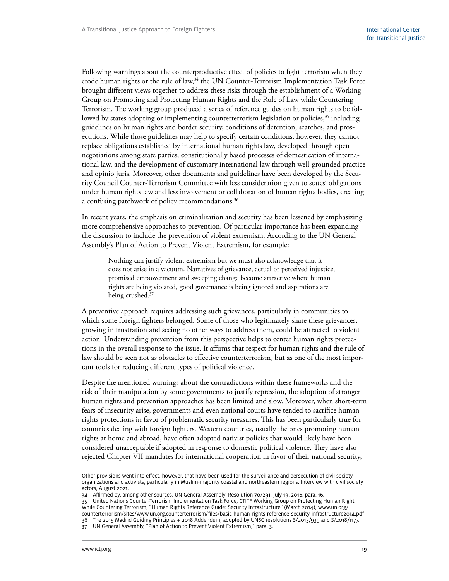Following warnings about the counterproductive effect of policies to fight terrorism when they erode human rights or the rule of law,<sup>34</sup> the UN Counter-Terrorism Implementation Task Force brought different views together to address these risks through the establishment of a Working Group on Promoting and Protecting Human Rights and the Rule of Law while Countering Terrorism. The working group produced a series of reference guides on human rights to be followed by states adopting or implementing counterterrorism legislation or policies,<sup>35</sup> including guidelines on human rights and border security, conditions of detention, searches, and prosecutions. While those guidelines may help to specify certain conditions, however, they cannot replace obligations established by international human rights law, developed through open negotiations among state parties, constitutionally based processes of domestication of international law, and the development of customary international law through well-grounded practice and opinio juris. Moreover, other documents and guidelines have been developed by the Security Council Counter-Terrorism Committee with less consideration given to states' obligations under human rights law and less involvement or collaboration of human rights bodies, creating a confusing patchwork of policy recommendations.<sup>36</sup>

In recent years, the emphasis on criminalization and security has been lessened by emphasizing more comprehensive approaches to prevention. Of particular importance has been expanding the discussion to include the prevention of violent extremism. According to the UN General Assembly's Plan of Action to Prevent Violent Extremism, for example:

Nothing can justify violent extremism but we must also acknowledge that it does not arise in a vacuum. Narratives of grievance, actual or perceived injustice, promised empowerment and sweeping change become attractive where human rights are being violated, good governance is being ignored and aspirations are being crushed.<sup>37</sup>

A preventive approach requires addressing such grievances, particularly in communities to which some foreign fighters belonged. Some of those who legitimately share these grievances, growing in frustration and seeing no other ways to address them, could be attracted to violent action. Understanding prevention from this perspective helps to center human rights protections in the overall response to the issue. It affirms that respect for human rights and the rule of law should be seen not as obstacles to effective counterterrorism, but as one of the most important tools for reducing different types of political violence.

Despite the mentioned warnings about the contradictions within these frameworks and the risk of their manipulation by some governments to justify repression, the adoption of stronger human rights and prevention approaches has been limited and slow. Moreover, when short-term fears of insecurity arise, governments and even national courts have tended to sacrifice human rights protections in favor of problematic security measures. This has been particularly true for countries dealing with foreign fighters. Western countries, usually the ones promoting human rights at home and abroad, have often adopted nativist policies that would likely have been considered unacceptable if adopted in response to domestic political violence. They have also rejected Chapter VII mandates for international cooperation in favor of their national security,

35 United Nations Counter-Terrorism Implementation Task Force, CTITF Working Group on Protecting Human Right While Countering Terrorism, "Human Rights Reference Guide: Security Infrastructure" (March 2014), [www.un.org/](http://www.un.org/counterterrorism/sites/www.un.org.counterterrorism/files/basic-human-rights-reference-security-infrastructure2014.pdf) [counterterrorism/sites/www.un.org.counterterrorism/files/basic-human-rights-reference-security-infrastructure2014.pdf](http://www.un.org/counterterrorism/sites/www.un.org.counterterrorism/files/basic-human-rights-reference-security-infrastructure2014.pdf)

36 The 2015 Madrid Guiding Principles + 2018 Addendum, adopted by UNSC resolutions S/2015/939 and S/2018/1177.

Other provisions went into effect, however, that have been used for the surveillance and persecution of civil society organizations and activists, particularly in Muslim-majority coastal and northeastern regions. Interview with civil society actors, August 2021.

<sup>34</sup> Affirmed by, among other sources, UN General Assembly, Resolution 70/291, July 19, 2016, para. 16.

<sup>37</sup> UN General Assembly, "Plan of Action to Prevent Violent Extremism," para. 3.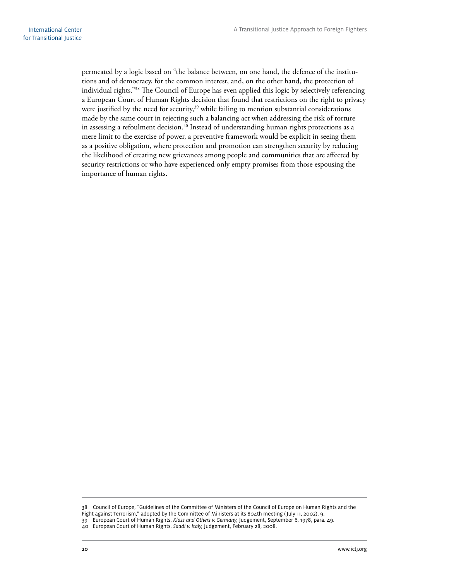permeated by a logic based on "the balance between, on one hand, the defence of the institutions and of democracy, for the common interest, and, on the other hand, the protection of individual rights."38 The Council of Europe has even applied this logic by selectively referencing a European Court of Human Rights decision that found that restrictions on the right to privacy were justified by the need for security,<sup>39</sup> while failing to mention substantial considerations made by the same court in rejecting such a balancing act when addressing the risk of torture in assessing a refoulment decision.<sup>40</sup> Instead of understanding human rights protections as a mere limit to the exercise of power, a preventive framework would be explicit in seeing them as a positive obligation, where protection and promotion can strengthen security by reducing the likelihood of creating new grievances among people and communities that are affected by security restrictions or who have experienced only empty promises from those espousing the importance of human rights.

<sup>38</sup> Council of Europe, "Guidelines of the Committee of Ministers of the Council of Europe on Human Rights and the

Fight against Terrorism," adopted by the Committee of Ministers at its 804th meeting (July 11, 2002), 9.

<sup>39</sup> European Court of Human Rights, *Klass and Others v. Germany,* Judgement, September 6, 1978, para. 49.

<sup>40</sup> European Court of Human Rights, *Saadi v. Italy,* Judgement, February 28, 2008.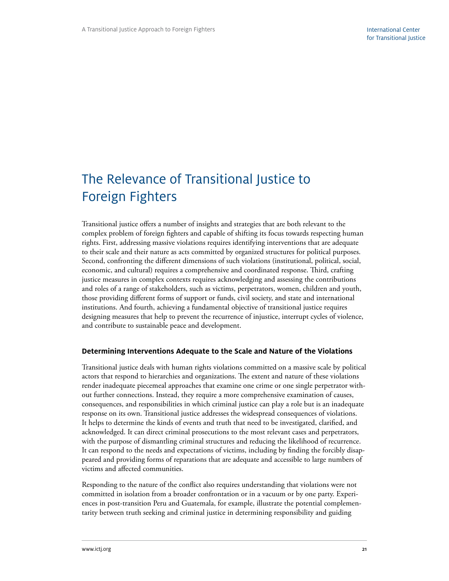# <span id="page-26-0"></span>The Relevance of Transitional Justice to Foreign Fighters

Transitional justice offers a number of insights and strategies that are both relevant to the complex problem of foreign fighters and capable of shifting its focus towards respecting human rights. First, addressing massive violations requires identifying interventions that are adequate to their scale and their nature as acts committed by organized structures for political purposes. Second, confronting the different dimensions of such violations (institutional, political, social, economic, and cultural) requires a comprehensive and coordinated response. Third, crafting justice measures in complex contexts requires acknowledging and assessing the contributions and roles of a range of stakeholders, such as victims, perpetrators, women, children and youth, those providing different forms of support or funds, civil society, and state and international institutions. And fourth, achieving a fundamental objective of transitional justice requires designing measures that help to prevent the recurrence of injustice, interrupt cycles of violence, and contribute to sustainable peace and development.

#### **Determining Interventions Adequate to the Scale and Nature of the Violations**

Transitional justice deals with human rights violations committed on a massive scale by political actors that respond to hierarchies and organizations. The extent and nature of these violations render inadequate piecemeal approaches that examine one crime or one single perpetrator without further connections. Instead, they require a more comprehensive examination of causes, consequences, and responsibilities in which criminal justice can play a role but is an inadequate response on its own. Transitional justice addresses the widespread consequences of violations. It helps to determine the kinds of events and truth that need to be investigated, clarified, and acknowledged. It can direct criminal prosecutions to the most relevant cases and perpetrators, with the purpose of dismantling criminal structures and reducing the likelihood of recurrence. It can respond to the needs and expectations of victims, including by finding the forcibly disappeared and providing forms of reparations that are adequate and accessible to large numbers of victims and affected communities.

Responding to the nature of the conflict also requires understanding that violations were not committed in isolation from a broader confrontation or in a vacuum or by one party. Experiences in post-transition Peru and Guatemala, for example, illustrate the potential complementarity between truth seeking and criminal justice in determining responsibility and guiding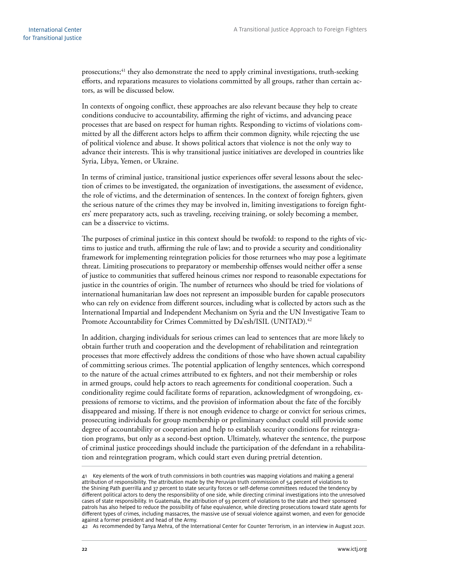prosecutions;<sup>41</sup> they also demonstrate the need to apply criminal investigations, truth-seeking efforts, and reparations measures to violations committed by all groups, rather than certain actors, as will be discussed below.

In contexts of ongoing conflict, these approaches are also relevant because they help to create conditions conducive to accountability, affirming the right of victims, and advancing peace processes that are based on respect for human rights. Responding to victims of violations committed by all the different actors helps to affirm their common dignity, while rejecting the use of political violence and abuse. It shows political actors that violence is not the only way to advance their interests. This is why transitional justice initiatives are developed in countries like Syria, Libya, Yemen, or Ukraine.

In terms of criminal justice, transitional justice experiences offer several lessons about the selection of crimes to be investigated, the organization of investigations, the assessment of evidence, the role of victims, and the determination of sentences. In the context of foreign fighters, given the serious nature of the crimes they may be involved in, limiting investigations to foreign fighters' mere preparatory acts, such as traveling, receiving training, or solely becoming a member, can be a disservice to victims.

The purposes of criminal justice in this context should be twofold: to respond to the rights of victims to justice and truth, affirming the rule of law; and to provide a security and conditionality framework for implementing reintegration policies for those returnees who may pose a legitimate threat. Limiting prosecutions to preparatory or membership offenses would neither offer a sense of justice to communities that suffered heinous crimes nor respond to reasonable expectations for justice in the countries of origin. The number of returnees who should be tried for violations of international humanitarian law does not represent an impossible burden for capable prosecutors who can rely on evidence from different sources, including what is collected by actors such as the International Impartial and Independent Mechanism on Syria and the UN Investigative Team to Promote Accountability for Crimes Committed by Da'esh/ISIL (UNITAD).<sup>42</sup>

In addition, charging individuals for serious crimes can lead to sentences that are more likely to obtain further truth and cooperation and the development of rehabilitation and reintegration processes that more effectively address the conditions of those who have shown actual capability of committing serious crimes. The potential application of lengthy sentences, which correspond to the nature of the actual crimes attributed to ex fighters, and not their membership or roles in armed groups, could help actors to reach agreements for conditional cooperation. Such a conditionality regime could facilitate forms of reparation, acknowledgment of wrongdoing, expressions of remorse to victims, and the provision of information about the fate of the forcibly disappeared and missing. If there is not enough evidence to charge or convict for serious crimes, prosecuting individuals for group membership or preliminary conduct could still provide some degree of accountability or cooperation and help to establish security conditions for reintegration programs, but only as a second-best option. Ultimately, whatever the sentence, the purpose of criminal justice proceedings should include the participation of the defendant in a rehabilitation and reintegration program, which could start even during pretrial detention.

<sup>41</sup> Key elements of the work of truth commissions in both countries was mapping violations and making a general attribution of responsibility. The attribution made by the Peruvian truth commission of 54 percent of violations to the Shining Path guerrilla and 37 percent to state security forces or self-defense committees reduced the tendency by different political actors to deny the responsibility of one side, while directing criminal investigations into the unresolved cases of state responsibility. In Guatemala, the attribution of 93 percent of violations to the state and their sponsored patrols has also helped to reduce the possibility of false equivalence, while directing prosecutions toward state agents for different types of crimes, including massacres, the massive use of sexual violence against women, and even for genocide against a former president and head of the Army.

<sup>42</sup> As recommended by Tanya Mehra, of the International Center for Counter Terrorism, in an interview in August 2021.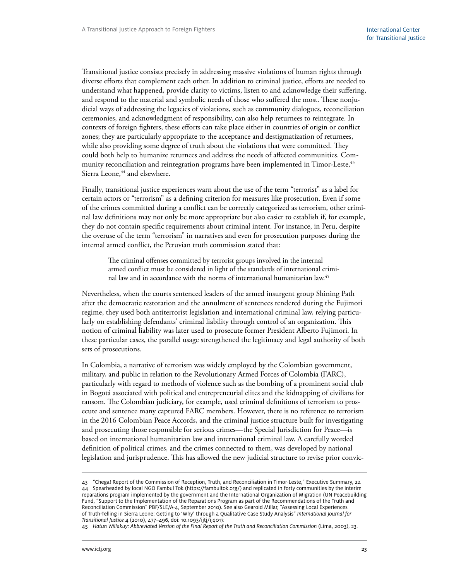Transitional justice consists precisely in addressing massive violations of human rights through diverse efforts that complement each other. In addition to criminal justice, efforts are needed to understand what happened, provide clarity to victims, listen to and acknowledge their suffering, and respond to the material and symbolic needs of those who suffered the most. These nonjudicial ways of addressing the legacies of violations, such as community dialogues, reconciliation ceremonies, and acknowledgment of responsibility, can also help returnees to reintegrate. In contexts of foreign fighters, these efforts can take place either in countries of origin or conflict zones; they are particularly appropriate to the acceptance and destigmatization of returnees, while also providing some degree of truth about the violations that were committed. They could both help to humanize returnees and address the needs of affected communities. Community reconciliation and reintegration programs have been implemented in Timor-Leste,<sup>43</sup> Sierra Leone,<sup>44</sup> and elsewhere.

Finally, transitional justice experiences warn about the use of the term "terrorist" as a label for certain actors or "terrorism" as a defining criterion for measures like prosecution. Even if some of the crimes committed during a conflict can be correctly categorized as terrorism, other criminal law definitions may not only be more appropriate but also easier to establish if, for example, they do not contain specific requirements about criminal intent. For instance, in Peru, despite the overuse of the term "terrorism" in narratives and even for prosecution purposes during the internal armed conflict, the Peruvian truth commission stated that:

The criminal offenses committed by terrorist groups involved in the internal armed conflict must be considered in light of the standards of international criminal law and in accordance with the norms of international humanitarian law.45

Nevertheless, when the courts sentenced leaders of the armed insurgent group Shining Path after the democratic restoration and the annulment of sentences rendered during the Fujimori regime, they used both antiterrorist legislation and international criminal law, relying particularly on establishing defendants' criminal liability through control of an organization. This notion of criminal liability was later used to prosecute former President Alberto Fujimori. In these particular cases, the parallel usage strengthened the legitimacy and legal authority of both sets of prosecutions.

In Colombia, a narrative of terrorism was widely employed by the Colombian government, military, and public in relation to the Revolutionary Armed Forces of Colombia (FARC), particularly with regard to methods of violence such as the bombing of a prominent social club in Bogotá associated with political and entrepreneurial elites and the kidnapping of civilians for ransom. The Colombian judiciary, for example, used criminal definitions of terrorism to prosecute and sentence many captured FARC members. However, there is no reference to terrorism in the 2016 Colombian Peace Accords, and the criminal justice structure built for investigating and prosecuting those responsible for serious crimes—the Special Jurisdiction for Peace—is based on international humanitarian law and international criminal law. A carefully worded definition of political crimes, and the crimes connected to them, was developed by national legislation and jurisprudence. This has allowed the new judicial structure to revise prior convic-

<sup>43</sup> "Chega! Report of the Commission of Reception, Truth, and Reconciliation in Timor-Leste," Executive Summary, 22. 44 Spearheaded by local NGO Fambul Tok (https://fambultok.org/) and replicated in forty communities by the interim reparations program implemented by the government and the International Organization of Migration (UN Peacebuilding Fund, "Support to the Implementation of the Reparations Program as part of the Recommendations of the Truth and Reconciliation Commission" PBF/SLE/A-4, September 2010). See also Gearoid Millar, "Assessing Local Experiences of Truth-Telling in Sierra Leone: Getting to 'Why' through a Qualitative Case Study Analysis" *International Journal for Transitional Justice* 4 (2010), 477–496, doi: 10.1093/ijtj/ijq017.

<sup>45</sup> *Hatun Willakuy: Abbreviated Version of the Final Report of the Truth and Reconciliation Commission* (Lima, 2003), 23.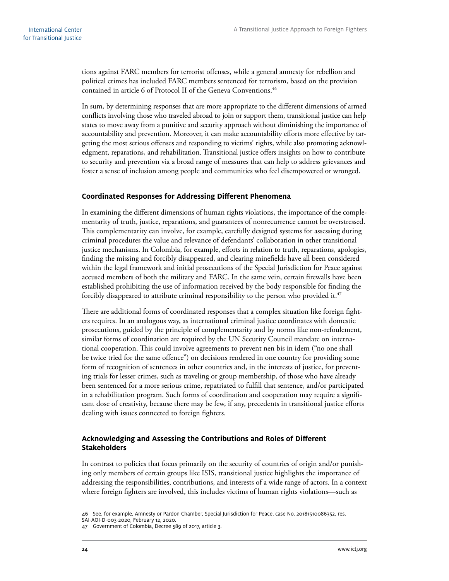<span id="page-29-0"></span>tions against FARC members for terrorist offenses, while a general amnesty for rebellion and political crimes has included FARC members sentenced for terrorism, based on the provision contained in article 6 of Protocol II of the Geneva Conventions.<sup>46</sup>

In sum, by determining responses that are more appropriate to the different dimensions of armed conflicts involving those who traveled abroad to join or support them, transitional justice can help states to move away from a punitive and security approach without diminishing the importance of accountability and prevention. Moreover, it can make accountability efforts more effective by targeting the most serious offenses and responding to victims' rights, while also promoting acknowledgment, reparations, and rehabilitation. Transitional justice offers insights on how to contribute to security and prevention via a broad range of measures that can help to address grievances and foster a sense of inclusion among people and communities who feel disempowered or wronged.

#### **Coordinated Responses for Addressing Different Phenomena**

In examining the different dimensions of human rights violations, the importance of the complementarity of truth, justice, reparations, and guarantees of nonrecurrence cannot be overstressed. This complementarity can involve, for example, carefully designed systems for assessing during criminal procedures the value and relevance of defendants' collaboration in other transitional justice mechanisms. In Colombia, for example, efforts in relation to truth, reparations, apologies, finding the missing and forcibly disappeared, and clearing minefields have all been considered within the legal framework and initial prosecutions of the Special Jurisdiction for Peace against accused members of both the military and FARC. In the same vein, certain firewalls have been established prohibiting the use of information received by the body responsible for finding the forcibly disappeared to attribute criminal responsibility to the person who provided it.<sup>47</sup>

There are additional forms of coordinated responses that a complex situation like foreign fighters requires. In an analogous way, as international criminal justice coordinates with domestic prosecutions, guided by the principle of complementarity and by norms like non-refoulement, similar forms of coordination are required by the UN Security Council mandate on international cooperation. This could involve agreements to prevent nen bis in idem ("no one shall be twice tried for the same offence") on decisions rendered in one country for providing some form of recognition of sentences in other countries and, in the interests of justice, for preventing trials for lesser crimes, such as traveling or group membership, of those who have already been sentenced for a more serious crime, repatriated to fulfill that sentence, and/or participated in a rehabilitation program. Such forms of coordination and cooperation may require a significant dose of creativity, because there may be few, if any, precedents in transitional justice efforts dealing with issues connected to foreign fighters.

#### **Acknowledging and Assessing the Contributions and Roles of Different Stakeholders**

In contrast to policies that focus primarily on the security of countries of origin and/or punishing only members of certain groups like ISIS, transitional justice highlights the importance of addressing the responsibilities, contributions, and interests of a wide range of actors. In a context where foreign fighters are involved, this includes victims of human rights violations—such as

<sup>46</sup> See, for example, Amnesty or Pardon Chamber, Special Jurisdiction for Peace, case No. 20181510086352, res.

SAI-AOI-D-003-2020, February 12, 2020.

<sup>47</sup> Government of Colombia, Decree 589 of 2017, article 3.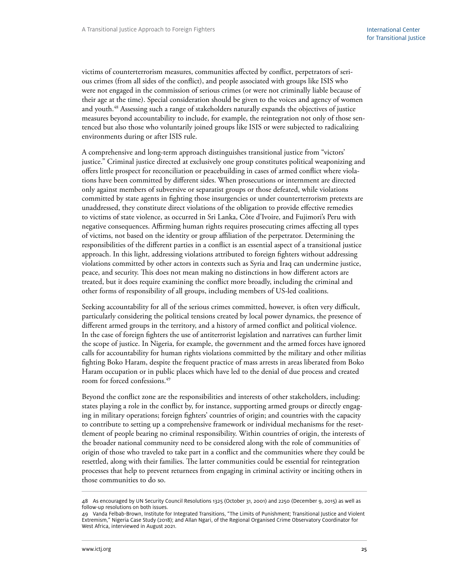victims of counterterrorism measures, communities affected by conflict, perpetrators of serious crimes (from all sides of the conflict), and people associated with groups like ISIS who were not engaged in the commission of serious crimes (or were not criminally liable because of their age at the time). Special consideration should be given to the voices and agency of women and youth.<sup>48</sup> Assessing such a range of stakeholders naturally expands the objectives of justice measures beyond accountability to include, for example, the reintegration not only of those sentenced but also those who voluntarily joined groups like ISIS or were subjected to radicalizing environments during or after ISIS rule.

A comprehensive and long-term approach distinguishes transitional justice from "victors' justice." Criminal justice directed at exclusively one group constitutes political weaponizing and offers little prospect for reconciliation or peacebuilding in cases of armed conflict where violations have been committed by different sides. When prosecutions or internment are directed only against members of subversive or separatist groups or those defeated, while violations committed by state agents in fighting those insurgencies or under counterterrorism pretexts are unaddressed, they constitute direct violations of the obligation to provide effective remedies to victims of state violence, as occurred in Sri Lanka, Côte d'Ivoire, and Fujimori's Peru with negative consequences. Affirming human rights requires prosecuting crimes affecting all types of victims, not based on the identity or group affiliation of the perpetrator. Determining the responsibilities of the different parties in a conflict is an essential aspect of a transitional justice approach. In this light, addressing violations attributed to foreign fighters without addressing violations committed by other actors in contexts such as Syria and Iraq can undermine justice, peace, and security. This does not mean making no distinctions in how different actors are treated, but it does require examining the conflict more broadly, including the criminal and other forms of responsibility of all groups, including members of US-led coalitions.

Seeking accountability for all of the serious crimes committed, however, is often very difficult, particularly considering the political tensions created by local power dynamics, the presence of different armed groups in the territory, and a history of armed conflict and political violence. In the case of foreign fighters the use of antiterrorist legislation and narratives can further limit the scope of justice. In Nigeria, for example, the government and the armed forces have ignored calls for accountability for human rights violations committed by the military and other militias fighting Boko Haram, despite the frequent practice of mass arrests in areas liberated from Boko Haram occupation or in public places which have led to the denial of due process and created room for forced confessions.<sup>49</sup>

Beyond the conflict zone are the responsibilities and interests of other stakeholders, including: states playing a role in the conflict by, for instance, supporting armed groups or directly engaging in military operations; foreign fighters' countries of origin; and countries with the capacity to contribute to setting up a comprehensive framework or individual mechanisms for the resettlement of people bearing no criminal responsibility. Within countries of origin, the interests of the broader national community need to be considered along with the role of communities of origin of those who traveled to take part in a conflict and the communities where they could be resettled, along with their families. The latter communities could be essential for reintegration processes that help to prevent returnees from engaging in criminal activity or inciting others in those communities to do so.

<sup>48</sup> As encouraged by UN Security Council Resolutions 1325 (October 31, 2001) and 2250 (December 9, 2015) as well as follow-up resolutions on both issues.

<sup>49</sup> Vanda Felbab-Brown, Institute for Integrated Transitions, "The Limits of Punishment; Transitional Justice and Violent Extremism," Nigeria Case Study (2018); and Allan Ngari, of the Regional Organised Crime Observatory Coordinator for West Africa, interviewed in August 2021.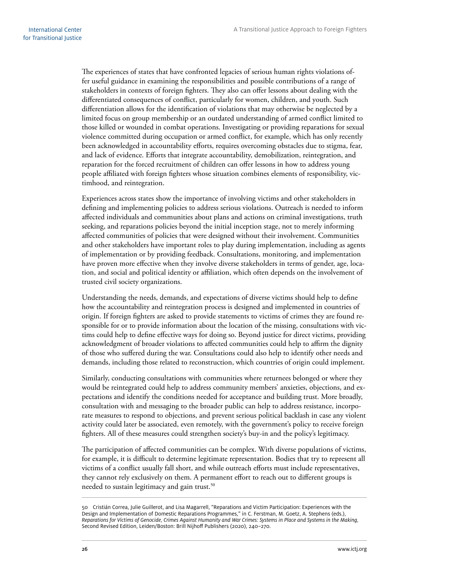The experiences of states that have confronted legacies of serious human rights violations offer useful guidance in examining the responsibilities and possible contributions of a range of stakeholders in contexts of foreign fighters. They also can offer lessons about dealing with the differentiated consequences of conflict, particularly for women, children, and youth. Such differentiation allows for the identification of violations that may otherwise be neglected by a limited focus on group membership or an outdated understanding of armed conflict limited to those killed or wounded in combat operations. Investigating or providing reparations for sexual violence committed during occupation or armed conflict, for example, which has only recently been acknowledged in accountability efforts, requires overcoming obstacles due to stigma, fear, and lack of evidence. Efforts that integrate accountability, demobilization, reintegration, and reparation for the forced recruitment of children can offer lessons in how to address young people affiliated with foreign fighters whose situation combines elements of responsibility, victimhood, and reintegration.

Experiences across states show the importance of involving victims and other stakeholders in defining and implementing policies to address serious violations. Outreach is needed to inform affected individuals and communities about plans and actions on criminal investigations, truth seeking, and reparations policies beyond the initial inception stage, not to merely informing affected communities of policies that were designed without their involvement. Communities and other stakeholders have important roles to play during implementation, including as agents of implementation or by providing feedback. Consultations, monitoring, and implementation have proven more effective when they involve diverse stakeholders in terms of gender, age, location, and social and political identity or affiliation, which often depends on the involvement of trusted civil society organizations.

Understanding the needs, demands, and expectations of diverse victims should help to define how the accountability and reintegration process is designed and implemented in countries of origin. If foreign fighters are asked to provide statements to victims of crimes they are found responsible for or to provide information about the location of the missing, consultations with victims could help to define effective ways for doing so. Beyond justice for direct victims, providing acknowledgment of broader violations to affected communities could help to affirm the dignity of those who suffered during the war. Consultations could also help to identify other needs and demands, including those related to reconstruction, which countries of origin could implement.

Similarly, conducting consultations with communities where returnees belonged or where they would be reintegrated could help to address community members' anxieties, objections, and expectations and identify the conditions needed for acceptance and building trust. More broadly, consultation with and messaging to the broader public can help to address resistance, incorporate measures to respond to objections, and prevent serious political backlash in case any violent activity could later be associated, even remotely, with the government's policy to receive foreign fighters. All of these measures could strengthen society's buy-in and the policy's legitimacy.

The participation of affected communities can be complex. With diverse populations of victims, for example, it is difficult to determine legitimate representation. Bodies that try to represent all victims of a conflict usually fall short, and while outreach efforts must include representatives, they cannot rely exclusively on them. A permanent effort to reach out to different groups is needed to sustain legitimacy and gain trust.<sup>50</sup>

<sup>50</sup> Cristián Correa, Julie Guillerot, and Lisa Magarrell, "Reparations and Victim Participation: Experiences with the Design and Implementation of Domestic Reparations Programmes," in C. Ferstman, M. Goetz, A. Stephens (eds.), *Reparations for Victims of Genocide, Crimes Against Humanity and War Crimes: Systems in Place and Systems in the Making,* Second Revised Edition, Leiden/Boston: Brill Nijhoff Publishers (2020), 240–270.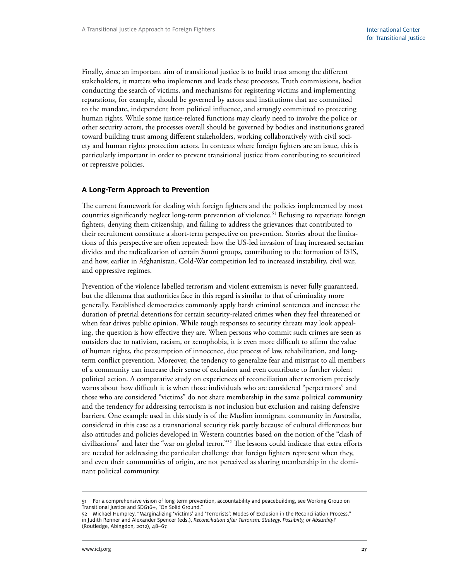<span id="page-32-0"></span>Finally, since an important aim of transitional justice is to build trust among the different stakeholders, it matters who implements and leads these processes. Truth commissions, bodies conducting the search of victims, and mechanisms for registering victims and implementing reparations, for example, should be governed by actors and institutions that are committed to the mandate, independent from political influence, and strongly committed to protecting human rights. While some justice-related functions may clearly need to involve the police or other security actors, the processes overall should be governed by bodies and institutions geared toward building trust among different stakeholders, working collaboratively with civil society and human rights protection actors. In contexts where foreign fighters are an issue, this is particularly important in order to prevent transitional justice from contributing to securitized or repressive policies.

#### **A Long-Term Approach to Prevention**

The current framework for dealing with foreign fighters and the policies implemented by most countries significantly neglect long-term prevention of violence.<sup>51</sup> Refusing to repatriate foreign fighters, denying them citizenship, and failing to address the grievances that contributed to their recruitment constitute a short-term perspective on prevention. Stories about the limitations of this perspective are often repeated: how the US-led invasion of Iraq increased sectarian divides and the radicalization of certain Sunni groups, contributing to the formation of ISIS, and how, earlier in Afghanistan, Cold-War competition led to increased instability, civil war, and oppressive regimes.

Prevention of the violence labelled terrorism and violent extremism is never fully guaranteed, but the dilemma that authorities face in this regard is similar to that of criminality more generally. Established democracies commonly apply harsh criminal sentences and increase the duration of pretrial detentions for certain security-related crimes when they feel threatened or when fear drives public opinion. While tough responses to security threats may look appealing, the question is how effective they are. When persons who commit such crimes are seen as outsiders due to nativism, racism, or xenophobia, it is even more difficult to affirm the value of human rights, the presumption of innocence, due process of law, rehabilitation, and longterm conflict prevention. Moreover, the tendency to generalize fear and mistrust to all members of a community can increase their sense of exclusion and even contribute to further violent political action. A comparative study on experiences of reconciliation after terrorism precisely warns about how difficult it is when those individuals who are considered "perpetrators" and those who are considered "victims" do not share membership in the same political community and the tendency for addressing terrorism is not inclusion but exclusion and raising defensive barriers. One example used in this study is of the Muslim immigrant community in Australia, considered in this case as a transnational security risk partly because of cultural differences but also attitudes and policies developed in Western countries based on the notion of the "clash of civilizations" and later the "war on global terror."52 The lessons could indicate that extra efforts are needed for addressing the particular challenge that foreign fighters represent when they, and even their communities of origin, are not perceived as sharing membership in the dominant political community.

<sup>51</sup> For a comprehensive vision of long-term prevention, accountability and peacebuilding, see Working Group on Transitional Justice and SDG16+, "On Solid Ground."

<sup>52</sup> Michael Humprey, "Marginalizing 'Victims' and 'Terrorists': Modes of Exclusion in the Reconciliation Process," in Judith Renner and Alexander Spencer (eds.), *Reconciliation after Terrorism: Strategy, Possibiity, or Absurdity?* (Routledge, Abingdon, 2012), 48–67.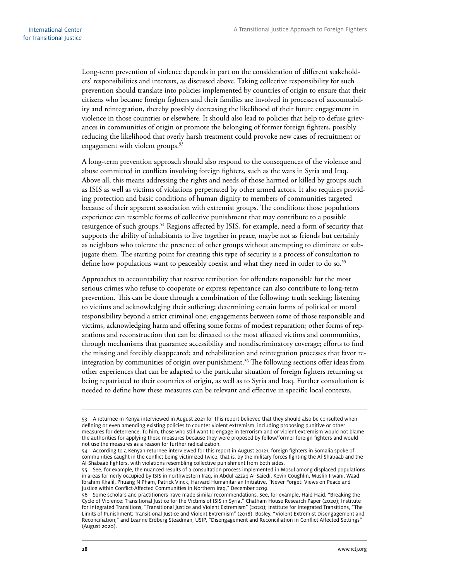Long-term prevention of violence depends in part on the consideration of different stakeholders' responsibilities and interests, as discussed above. Taking collective responsibility for such prevention should translate into policies implemented by countries of origin to ensure that their citizens who became foreign fighters and their families are involved in processes of accountability and reintegration, thereby possibly decreasing the likelihood of their future engagement in violence in those countries or elsewhere. It should also lead to policies that help to defuse grievances in communities of origin or promote the belonging of former foreign fighters, possibly reducing the likelihood that overly harsh treatment could provoke new cases of recruitment or engagement with violent groups.<sup>53</sup>

A long-term prevention approach should also respond to the consequences of the violence and abuse committed in conflicts involving foreign fighters, such as the wars in Syria and Iraq. Above all, this means addressing the rights and needs of those harmed or killed by groups such as ISIS as well as victims of violations perpetrated by other armed actors. It also requires providing protection and basic conditions of human dignity to members of communities targeted because of their apparent association with extremist groups. The conditions those populations experience can resemble forms of collective punishment that may contribute to a possible resurgence of such groups.54 Regions affected by ISIS, for example, need a form of security that supports the ability of inhabitants to live together in peace, maybe not as friends but certainly as neighbors who tolerate the presence of other groups without attempting to eliminate or subjugate them. The starting point for creating this type of security is a process of consultation to define how populations want to peaceably coexist and what they need in order to do so.<sup>55</sup>

Approaches to accountability that reserve retribution for offenders responsible for the most serious crimes who refuse to cooperate or express repentance can also contribute to long-term prevention. This can be done through a combination of the following: truth seeking; listening to victims and acknowledging their suffering; determining certain forms of political or moral responsibility beyond a strict criminal one; engagements between some of those responsible and victims, acknowledging harm and offering some forms of modest reparation; other forms of reparations and reconstruction that can be directed to the most affected victims and communities, through mechanisms that guarantee accessibility and nondiscriminatory coverage; efforts to find the missing and forcibly disappeared; and rehabilitation and reintegration processes that favor reintegration by communities of origin over punishment.<sup>56</sup> The following sections offer ideas from other experiences that can be adapted to the particular situation of foreign fighters returning or being repatriated to their countries of origin, as well as to Syria and Iraq. Further consultation is needed to define how these measures can be relevant and effective in specific local contexts.

<sup>53</sup> A returnee in Kenya interviewed in August 2021 for this report believed that they should also be consulted when defining or even amending existing policies to counter violent extremism, including proposing punitive or other measures for deterrence. To him, those who still want to engage in terrorism and or violent extremism would not blame the authorities for applying these measures because they were proposed by fellow/former foreign fighters and would not use the measures as a reason for further radicalization.

<sup>54</sup> According to a Kenyan returnee interviewed for this report in August 20121, foreign fighters in Somalia spoke of communities caught in the conflict being victimized twice, that is, by the military forces fighting the Al-Shabaab and the Al-Shabaab fighters, with violations resembling collective punishment from both sides.

<sup>55</sup> See, for example, the nuanced results of a consultation process implemented in Mosul among displaced populations in areas formerly occupied by ISIS in northwestern Iraq, in Abdulrazzaq Al-Saiedi, Kevin Coughlin, Muslih Irwani, Waad Ibrahim Khalil, Phuang N Pham, Patrick Vinck, Harvard Humanitarian Initiative, "Never Forget: Views on Peace and Justice within Conflict-Affected Communities in Northern Iraq," December 2019.

<sup>56</sup> Some scholars and practitioners have made similar recommendations. See, for example, Haid Haid, "Breaking the Cycle of Violence: Transitional Justice for the Victims of ISIS in Syria," Chatham House Research Paper (2020); Institute for Integrated Transitions, "Transitional Justice and Violent Extremism" (2020); Institute for Integrated Transitions, "The Limits of Punishment: Transitional Justice and Violent Extremism" (2018); Bosley, "Violent Extremist Disengagement and Reconciliation;" and Leanne Erdberg Steadman, USIP, "Disengagement and Reconciliation in Conflict-Affected Settings" (August 2020).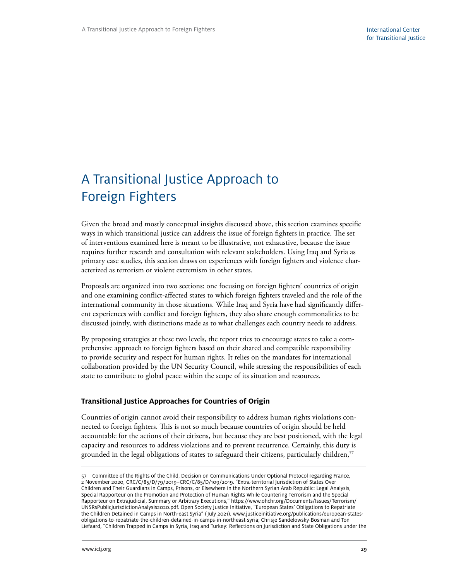# <span id="page-34-0"></span>A Transitional Justice Approach to Foreign Fighters

Given the broad and mostly conceptual insights discussed above, this section examines specific ways in which transitional justice can address the issue of foreign fighters in practice. The set of interventions examined here is meant to be illustrative, not exhaustive, because the issue requires further research and consultation with relevant stakeholders. Using Iraq and Syria as primary case studies, this section draws on experiences with foreign fighters and violence characterized as terrorism or violent extremism in other states.

Proposals are organized into two sections: one focusing on foreign fighters' countries of origin and one examining conflict-affected states to which foreign fighters traveled and the role of the international community in those situations. While Iraq and Syria have had significantly different experiences with conflict and foreign fighters, they also share enough commonalities to be discussed jointly, with distinctions made as to what challenges each country needs to address.

By proposing strategies at these two levels, the report tries to encourage states to take a comprehensive approach to foreign fighters based on their shared and compatible responsibility to provide security and respect for human rights. It relies on the mandates for international collaboration provided by the UN Security Council, while stressing the responsibilities of each state to contribute to global peace within the scope of its situation and resources.

#### **Transitional Justice Approaches for Countries of Origin**

Countries of origin cannot avoid their responsibility to address human rights violations connected to foreign fighters. This is not so much because countries of origin should be held accountable for the actions of their citizens, but because they are best positioned, with the legal capacity and resources to address violations and to prevent recurrence. Certainly, this duty is grounded in the legal obligations of states to safeguard their citizens, particularly children,<sup>57</sup>

<sup>57</sup> Committee of the Rights of the Child, Decision on Communications Under Optional Protocol regarding France, 2 November 2020, CRC/C/85/D/79/2019–CRC/C/85/D/109/2019. "Extra-territorial Jurisdiction of States Over Children and Their Guardians in Camps, Prisons, or Elsewhere in the Northern Syrian Arab Republic: Legal Analysis, Special Rapporteur on the Promotion and Protection of Human Rights While Countering Terrorism and the Special Rapporteur on Extrajudicial, Summary or Arbitrary Executions," [https://www.ohchr.org/Documents/Issues/Terrorism/](https://www.ohchr.org/Documents/Issues/Terrorism/UNSRsPublicJurisdictionAnalysis2020.pdf) [UNSRsPublicJurisdictionAnalysis2020.pdf.](https://www.ohchr.org/Documents/Issues/Terrorism/UNSRsPublicJurisdictionAnalysis2020.pdf) Open Society Justice Initiative, "European States' Obligations to Repatriate the Children Detained in Camps in North-east Syria" (July 2021), www.justiceinitiative.org/publications/european-statesobligations-to-repatriate-the-children-detained-in-camps-in-northeast-syria; Chrisje Sandelowsky-Bosman and Ton Liefaard, "Children Trapped in Camps in Syria, Iraq and Turkey: Reflections on Jurisdiction and State Obligations under the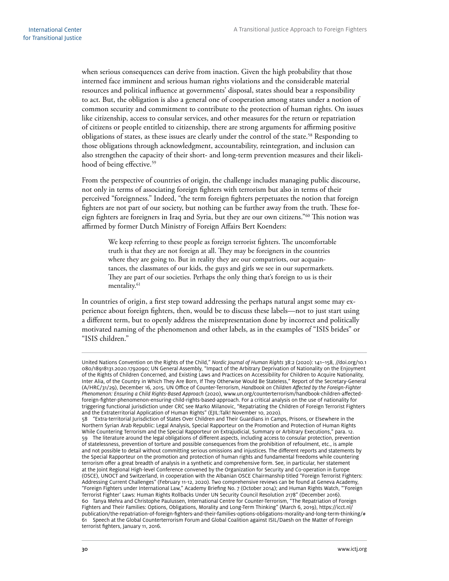when serious consequences can derive from inaction. Given the high probability that those interned face imminent and serious human rights violations and the considerable material resources and political influence at governments' disposal, states should bear a responsibility to act. But, the obligation is also a general one of cooperation among states under a notion of common security and commitment to contribute to the protection of human rights. On issues like citizenship, access to consular services, and other measures for the return or repatriation of citizens or people entitled to citizenship, there are strong arguments for affirming positive obligations of states, as these issues are clearly under the control of the state.<sup>58</sup> Responding to those obligations through acknowledgment, accountability, reintegration, and inclusion can also strengthen the capacity of their short- and long-term prevention measures and their likelihood of being effective.<sup>59</sup>

From the perspective of countries of origin, the challenge includes managing public discourse, not only in terms of associating foreign fighters with terrorism but also in terms of their perceived "foreignness." Indeed, "the term foreign fighters perpetuates the notion that foreign fighters are not part of our society, but nothing can be further away from the truth. These foreign fighters are foreigners in Iraq and Syria, but they are our own citizens."60 This notion was affirmed by former Dutch Ministry of Foreign Affairs Bert Koenders:

We keep referring to these people as foreign terrorist fighters. The uncomfortable truth is that they are not foreign at all. They may be foreigners in the countries where they are going to. But in reality they are our compatriots, our acquaintances, the classmates of our kids, the guys and girls we see in our supermarkets. They are part of our societies. Perhaps the only thing that's foreign to us is their mentality.<sup>61</sup>

In countries of origin, a first step toward addressing the perhaps natural angst some may experience about foreign fighters, then, would be to discuss these labels—not to just start using a different term, but to openly address the misrepresentation done by incorrect and politically motivated naming of the phenomenon and other labels, as in the examples of "ISIS brides" or "ISIS children."

United Nations Convention on the Rights of the Child," *Nordic Journal of Human Rights* 38:2 (2020): 141–158, //doi.org/10.1 080/18918131.2020.1792090; UN General Assembly, "Impact of the Arbitrary Deprivation of Nationality on the Enjoyment of the Rights of Children Concerned, and Existing Laws and Practices on Accessibility for Children to Acquire Nationality, Inter Alia, of the Country in Which They Are Born, If They Otherwise Would Be Stateless," Report of the Secretary-General (A/HRC/31/29), December 16, 2015. UN Office of Counter-Terrorism, *Handbook on Children Affected by the Foreign-Fighter Phenomenon: Ensuring a Child Rights-Based Approach* (2020), www.un.org/counterterrorism/handbook-children-affectedforeign-fighter-phenomenon-ensuring-child-rights-based-approach. For a critical analysis on the use of nationality for triggering functional jurisdiction under CRC see Marko Milanovic, "Repatriating the Children of Foreign Terrorist Fighters and the Extraterritorial Application of Human Rights" (EJIL:Talk! November 10, 2020).

<sup>58</sup> "Extra-territorial Jurisdiction of States Over Children and Their Guardians in Camps, Prisons, or Elsewhere in the Northern Syrian Arab Republic: Legal Analysis, Special Rapporteur on the Promotion and Protection of Human Rights While Countering Terrorism and the Special Rapporteur on Extrajudicial, Summary or Arbitrary Executions," para. 12. 59 The literature around the legal obligations of different aspects, including access to consular protection, prevention of statelessness, prevention of torture and possible consequences from the prohibition of refoulment, etc., is ample and not possible to detail without committing serious omissions and injustices. The different reports and statements by the Special Rapporteur on the promotion and protection of human rights and fundamental freedoms while countering terrorism offer a great breadth of analysis in a synthetic and comprehensive form. See, in particular, her statement at the Joint Regional High-level Conference convened by the Organization for Security and Co-operation in Europe (OSCE), UNOCT and Switzerland, in cooperation with the Albanian OSCE Chairmanship titled "Foreign Terrorist Fighters: Addressing Current Challenges" (February 11-12, 2020). Two comprehensive reviews can be found at Geneva Academy, "Foreign Fighters under International Law," Academy Briefing No. 7 (October 2014); and Human Rights Watch, "'Foreign Terrorist Fighter' Laws: Human Rights Rollbacks Under UN Security Council Resolution 2178" (December 2016). 60 Tanya Mehra and Christophe Paulussen, International Centre for Counter-Terrorism, "The Repatriation of Foreign Fighters and Their Families: Options, Obligations, Morality and Long-Term Thinking" (March 6, 2019), [https://icct.nl/](https://icct.nl/publication/the-repatriation-of-foreign-fighters-and-their-families-options-obligations-morality-and-long-term-thinking/) [publication/the-repatriation-of-foreign-fighters-and-their-families-options-obligations-morality-and-long-term-thinking/#](https://icct.nl/publication/the-repatriation-of-foreign-fighters-and-their-families-options-obligations-morality-and-long-term-thinking/) 61 Speech at the Global Counterterrorism Forum and Global Coalition against ISIL/Daesh on the Matter of Foreign terrorist fighters, January 11, 2016.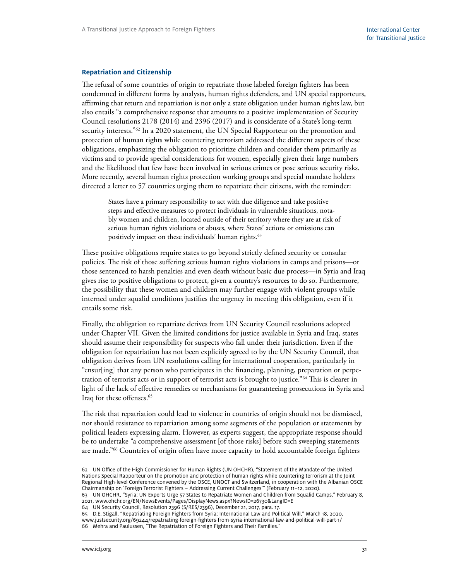#### <span id="page-36-0"></span>**Repatriation and Citizenship**

The refusal of some countries of origin to repatriate those labeled foreign fighters has been condemned in different forms by analysts, human rights defenders, and UN special rapporteurs, affirming that return and repatriation is not only a state obligation under human rights law, but also entails "a comprehensive response that amounts to a positive implementation of Security Council resolutions 2178 (2014) and 2396 (2017) and is considerate of a State's long-term security interests."<sup>62</sup> In a 2020 statement, the UN Special Rapporteur on the promotion and protection of human rights while countering terrorism addressed the different aspects of these obligations, emphasizing the obligation to prioritize children and consider them primarily as victims and to provide special considerations for women, especially given their large numbers and the likelihood that few have been involved in serious crimes or pose serious security risks. More recently, several human rights protection working groups and special mandate holders directed a letter to 57 countries urging them to repatriate their citizens, with the reminder:

States have a primary responsibility to act with due diligence and take positive steps and effective measures to protect individuals in vulnerable situations, notably women and children, located outside of their territory where they are at risk of serious human rights violations or abuses, where States' actions or omissions can positively impact on these individuals' human rights.<sup>63</sup>

These positive obligations require states to go beyond strictly defined security or consular policies. The risk of those suffering serious human rights violations in camps and prisons—or those sentenced to harsh penalties and even death without basic due process—in Syria and Iraq gives rise to positive obligations to protect, given a country's resources to do so. Furthermore, the possibility that these women and children may further engage with violent groups while interned under squalid conditions justifies the urgency in meeting this obligation, even if it entails some risk.

Finally, the obligation to repatriate derives from UN Security Council resolutions adopted under Chapter VII. Given the limited conditions for justice available in Syria and Iraq, states should assume their responsibility for suspects who fall under their jurisdiction. Even if the obligation for repatriation has not been explicitly agreed to by the UN Security Council, that obligation derives from UN resolutions calling for international cooperation, particularly in "ensur[ing] that any person who participates in the financing, planning, preparation or perpetration of terrorist acts or in support of terrorist acts is brought to justice."64 This is clearer in light of the lack of effective remedies or mechanisms for guaranteeing prosecutions in Syria and Iraq for these offenses.<sup>65</sup>

The risk that repatriation could lead to violence in countries of origin should not be dismissed, nor should resistance to repatriation among some segments of the population or statements by political leaders expressing alarm. However, as experts suggest, the appropriate response should be to undertake "a comprehensive assessment [of those risks] before such sweeping statements are made."66 Countries of origin often have more capacity to hold accountable foreign fighters

64 UN Security Council, Resolution 2396 (S/RES/2396), December 21, 2017, para. 17.

65 D.E. Stigall, "Repatriating Foreign Fighters from Syria: International Law and Political Will," March 18, 2020,

www.justsecurity.org/69244/repatriating-foreign-fighters-from-syria-international-law-and-political-will-part-1/

<sup>62</sup> UN Office of the High Commissioner for Human Rights (UN OHCHR), "Statement of the Mandate of the United Nations Special Rapporteur on the promotion and protection of human rights while countering terrorism at the Joint Regional High-level Conference convened by the OSCE, UNOCT and Switzerland, in cooperation with the Albanian OSCE Chairmanship on 'Foreign Terrorist Fighters – Addressing Current Challenges'" (February 11–12, 2020).

<sup>63</sup> UN OHCHR, "Syria: UN Experts Urge 57 States to Repatriate Women and Children from Squalid Camps," February 8, 2021, www.ohchr.org/EN/NewsEvents/Pages/DisplayNews.aspx?NewsID=26730&LangID=E

<sup>66</sup> Mehra and Paulussen, "The Repatriation of Foreign Fighters and Their Families."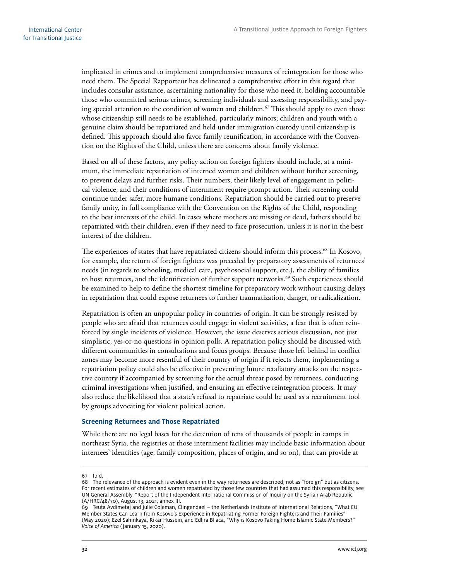<span id="page-37-0"></span>implicated in crimes and to implement comprehensive measures of reintegration for those who need them. The Special Rapporteur has delineated a comprehensive effort in this regard that includes consular assistance, ascertaining nationality for those who need it, holding accountable those who committed serious crimes, screening individuals and assessing responsibility, and paying special attention to the condition of women and children.<sup>67</sup> This should apply to even those whose citizenship still needs to be established, particularly minors; children and youth with a genuine claim should be repatriated and held under immigration custody until citizenship is defined. This approach should also favor family reunification, in accordance with the Convention on the Rights of the Child, unless there are concerns about family violence.

Based on all of these factors, any policy action on foreign fighters should include, at a minimum, the immediate repatriation of interned women and children without further screening, to prevent delays and further risks. Their numbers, their likely level of engagement in political violence, and their conditions of internment require prompt action. Their screening could continue under safer, more humane conditions. Repatriation should be carried out to preserve family unity, in full compliance with the Convention on the Rights of the Child, responding to the best interests of the child. In cases where mothers are missing or dead, fathers should be repatriated with their children, even if they need to face prosecution, unless it is not in the best interest of the children.

The experiences of states that have repatriated citizens should inform this process.<sup>68</sup> In Kosovo, for example, the return of foreign fighters was preceded by preparatory assessments of returnees' needs (in regards to schooling, medical care, psychosocial support, etc.), the ability of families to host returnees, and the identification of further support networks.<sup>69</sup> Such experiences should be examined to help to define the shortest timeline for preparatory work without causing delays in repatriation that could expose returnees to further traumatization, danger, or radicalization.

Repatriation is often an unpopular policy in countries of origin. It can be strongly resisted by people who are afraid that returnees could engage in violent activities, a fear that is often reinforced by single incidents of violence. However, the issue deserves serious discussion, not just simplistic, yes-or-no questions in opinion polls. A repatriation policy should be discussed with different communities in consultations and focus groups. Because those left behind in conflict zones may become more resentful of their country of origin if it rejects them, implementing a repatriation policy could also be effective in preventing future retaliatory attacks on the respective country if accompanied by screening for the actual threat posed by returnees, conducting criminal investigations when justified, and ensuring an effective reintegration process. It may also reduce the likelihood that a state's refusal to repatriate could be used as a recruitment tool by groups advocating for violent political action.

#### **Screening Returnees and Those Repatriated**

While there are no legal bases for the detention of tens of thousands of people in camps in northeast Syria, the registries at those internment facilities may include basic information about internees' identities (age, family composition, places of origin, and so on), that can provide at

<sup>67</sup> Ibid.

<sup>68</sup> The relevance of the approach is evident even in the way returnees are described, not as "foreign" but as citizens. For recent estimates of children and women repatriated by those few countries that had assumed this responsibility, see UN General Assembly, "Report of the Independent International Commission of Inquiry on the Syrian Arab Republic (A/HRC/48/70), August 13, 2021, annex III.

<sup>69</sup> Teuta Avdimetaj and Julie Coleman, Clingendael – the Netherlands Institute of International Relations, "What EU Member States Can Learn from Kosovo's Experience in Repatriating Former Foreign Fighters and Their Families" (May 2020); Ezel Sahinkaya, Rikar Hussein, and Edlira Bllaca, "Why is Kosovo Taking Home Islamic State Members?" *Voice of America* ( January 15, 2020).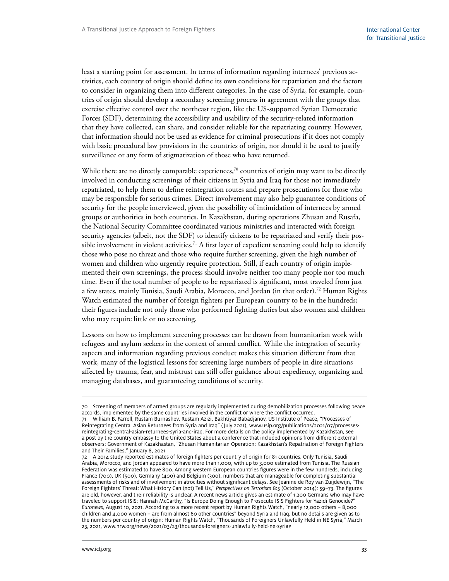least a starting point for assessment. In terms of information regarding internees' previous activities, each country of origin should define its own conditions for repatriation and the factors to consider in organizing them into different categories. In the case of Syria, for example, countries of origin should develop a secondary screening process in agreement with the groups that exercise effective control over the northeast region, like the US-supported Syrian Democratic Forces (SDF), determining the accessibility and usability of the security-related information that they have collected, can share, and consider reliable for the repatriating country. However, that information should not be used as evidence for criminal prosecutions if it does not comply with basic procedural law provisions in the countries of origin, nor should it be used to justify surveillance or any form of stigmatization of those who have returned.

While there are no directly comparable experiences, $7^\circ$  countries of origin may want to be directly involved in conducting screenings of their citizens in Syria and Iraq for those not immediately repatriated, to help them to define reintegration routes and prepare prosecutions for those who may be responsible for serious crimes. Direct involvement may also help guarantee conditions of security for the people interviewed, given the possibility of intimidation of internees by armed groups or authorities in both countries. In Kazakhstan, during operations Zhusan and Rusafa, the National Security Committee coordinated various ministries and interacted with foreign security agencies (albeit, not the SDF) to identify citizens to be repatriated and verify their possible involvement in violent activities.<sup>71</sup> A first layer of expedient screening could help to identify those who pose no threat and those who require further screening, given the high number of women and children who urgently require protection. Still, if each country of origin implemented their own screenings, the process should involve neither too many people nor too much time. Even if the total number of people to be repatriated is significant, most traveled from just a few states, mainly Tunisia, Saudi Arabia, Morocco, and Jordan (in that order).72 Human Rights Watch estimated the number of foreign fighters per European country to be in the hundreds; their figures include not only those who performed fighting duties but also women and children who may require little or no screening.

Lessons on how to implement screening processes can be drawn from humanitarian work with refugees and asylum seekers in the context of armed conflict. While the integration of security aspects and information regarding previous conduct makes this situation different from that work, many of the logistical lessons for screening large numbers of people in dire situations affected by trauma, fear, and mistrust can still offer guidance about expediency, organizing and managing databases, and guaranteeing conditions of security.

<sup>70</sup> Screening of members of armed groups are regularly implemented during demobilization processes following peace accords, implemented by the same countries involved in the conflict or where the conflict occurred.

<sup>71</sup> William B. Farrell, Rustam Burnashev, Rustam Azizi, Bakhtiyar Babadjanov, US Institute of Peace, "Processes of Reintegrating Central Asian Returnees from Syria and Iraq" ( July 2021), www.usip.org/publications/2021/07/processesreintegrating-central-asian-returnees-syria-and-iraq. For more details on the policy implemented by Kazakhstan, see a post by the country embassy to the United States about a conference that included opinions from different external observers: Government of Kazakhastan, "Zhusan Humanitarian Operation: Kazakhstan's Repatriation of Foreign Fighters and Their Families," January 8, 2021

<sup>72</sup> A 2014 study reported estimates of foreign fighters per country of origin for 81 countries. Only Tunisia, Saudi Arabia, Morocco, and Jordan appeared to have more than 1,000, with up to 3,000 estimated from Tunisia. The Russian Federation was estimated to have 800. Among western European countries figures were in the few hundreds, including France (700), UK (500), Germany (400) and Belgium (300), numbers that are manageable for completing substantial assessments of risks and of involvement in atrocities without significant delays. See Jeanine de Roy van Zuijdewijn, "The Foreign Fighters' Threat: What History Can (not) Tell Us," *Perspectives on Terrorism* 8:5 (October 2014): 59–73. The figures are old, however, and their reliability is unclear. A recent news article gives an estimate of 1,200 Germans who may have traveled to support ISIS: Hannah McCarthy, "Is Europe Doing Enough to Prosecute ISIS Fighters for Yazidi Genocide?" *Euronews,* August 10, 2021. According to a more recent report by Human Rights Watch, "nearly 12,000 others – 8,000 children and 4,000 women – are from almost 60 other countries" beyond Syria and Iraq, but no details are given as to the numbers per country of origin: Human Rights Watch, "Thousands of Foreigners Unlawfully Held in NE Syria," March 23, 2021, www.hrw.org/news/2021/03/23/thousands-foreigners-unlawfully-held-ne-syria#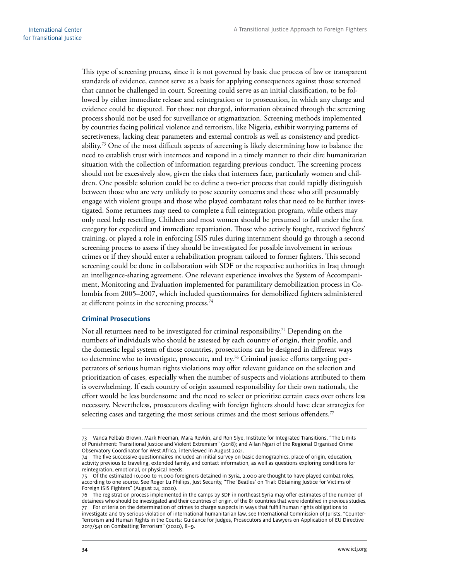<span id="page-39-0"></span>This type of screening process, since it is not governed by basic due process of law or transparent standards of evidence, cannot serve as a basis for applying consequences against those screened that cannot be challenged in court. Screening could serve as an initial classification, to be followed by either immediate release and reintegration or to prosecution, in which any charge and evidence could be disputed. For those not charged, information obtained through the screening process should not be used for surveillance or stigmatization. Screening methods implemented by countries facing political violence and terrorism, like Nigeria, exhibit worrying patterns of secretiveness, lacking clear parameters and external controls as well as consistency and predictability.73 One of the most difficult aspects of screening is likely determining how to balance the need to establish trust with internees and respond in a timely manner to their dire humanitarian situation with the collection of information regarding previous conduct. The screening process should not be excessively slow, given the risks that internees face, particularly women and children. One possible solution could be to define a two-tier process that could rapidly distinguish between those who are very unlikely to pose security concerns and those who still presumably engage with violent groups and those who played combatant roles that need to be further investigated. Some returnees may need to complete a full reintegration program, while others may only need help resettling. Children and most women should be presumed to fall under the first category for expedited and immediate repatriation. Those who actively fought, received fighters' training, or played a role in enforcing ISIS rules during internment should go through a second screening process to assess if they should be investigated for possible involvement in serious crimes or if they should enter a rehabilitation program tailored to former fighters. This second screening could be done in collaboration with SDF or the respective authorities in Iraq through an intelligence-sharing agreement. One relevant experience involves the System of Accompaniment, Monitoring and Evaluation implemented for paramilitary demobilization process in Colombia from 2005–2007, which included questionnaires for demobilized fighters administered at different points in the screening process.<sup>74</sup>

#### **Criminal Prosecutions**

Not all returnees need to be investigated for criminal responsibility.<sup>75</sup> Depending on the numbers of individuals who should be assessed by each country of origin, their profile, and the domestic legal system of those countries, prosecutions can be designed in different ways to determine who to investigate, prosecute, and try.<sup>76</sup> Criminal justice efforts targeting perpetrators of serious human rights violations may offer relevant guidance on the selection and prioritization of cases, especially when the number of suspects and violations attributed to them is overwhelming. If each country of origin assumed responsibility for their own nationals, the effort would be less burdensome and the need to select or prioritize certain cases over others less necessary. Nevertheless, prosecutors dealing with foreign fighters should have clear strategies for selecting cases and targeting the most serious crimes and the most serious offenders.<sup>77</sup>

<sup>73</sup> Vanda Felbab-Brown, Mark Freeman, Mara Revkin, and Ron Slye, Institute for Integrated Transitions, "The Limits of Punishment: Transitional Justice and Violent Extremism" (2018); and Allan Ngari of the Regional Organised Crime Observatory Coordinator for West Africa, interviewed in August 2021.

<sup>74</sup> The five successive questionnaires included an initial survey on basic demographics, place of origin, education, activity previous to traveling, extended family, and contact information, as well as questions exploring conditions for reintegration, emotional, or physical needs.

<sup>75</sup> Of the estimated 10,000 to 11,000 foreigners detained in Syria, 2,000 are thought to have played combat roles, according to one source. See Roger Lu Phillips, Just Security, "The 'Beatles' on Trial: Obtaining Justice for Victims of Foreign ISIS Fighters" (August 24, 2020).

<sup>76</sup> The registration process implemented in the camps by SDF in northeast Syria may offer estimates of the number of detainees who should be investigated and their countries of origin, of the 81 countries that were identified in previous studies. 77 For criteria on the determination of crimes to charge suspects in ways that fulfill human rights obligations to

investigate and try serious violation of international humanitarian law, see International Commission of Jurists, "Counter-Terrorism and Human Rights in the Courts: Guidance for Judges, Prosecutors and Lawyers on Application of EU Directive 2017/541 on Combatting Terrorism" (2020), 8–9.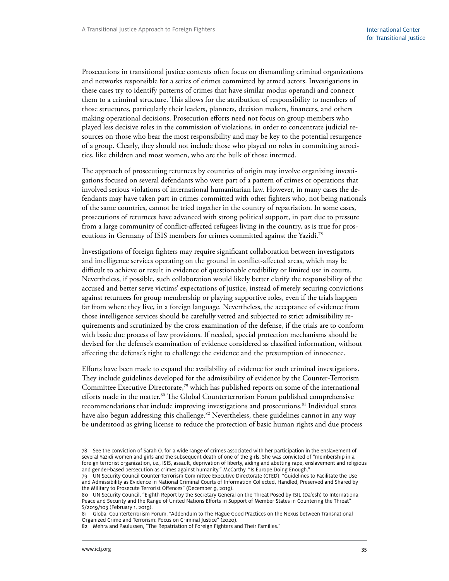Prosecutions in transitional justice contexts often focus on dismantling criminal organizations and networks responsible for a series of crimes committed by armed actors. Investigations in these cases try to identify patterns of crimes that have similar modus operandi and connect them to a criminal structure. This allows for the attribution of responsibility to members of those structures, particularly their leaders, planners, decision makers, financers, and others making operational decisions. Prosecution efforts need not focus on group members who played less decisive roles in the commission of violations, in order to concentrate judicial resources on those who bear the most responsibility and may be key to the potential resurgence of a group. Clearly, they should not include those who played no roles in committing atrocities, like children and most women, who are the bulk of those interned.

The approach of prosecuting returnees by countries of origin may involve organizing investigations focused on several defendants who were part of a pattern of crimes or operations that involved serious violations of international humanitarian law. However, in many cases the defendants may have taken part in crimes committed with other fighters who, not being nationals of the same countries, cannot be tried together in the country of repatriation. In some cases, prosecutions of returnees have advanced with strong political support, in part due to pressure from a large community of conflict-affected refugees living in the country, as is true for prosecutions in Germany of ISIS members for crimes committed against the Yazidi.78

Investigations of foreign fighters may require significant collaboration between investigators and intelligence services operating on the ground in conflict-affected areas, which may be difficult to achieve or result in evidence of questionable credibility or limited use in courts. Nevertheless, if possible, such collaboration would likely better clarify the responsibility of the accused and better serve victims' expectations of justice, instead of merely securing convictions against returnees for group membership or playing supportive roles, even if the trials happen far from where they live, in a foreign language. Nevertheless, the acceptance of evidence from those intelligence services should be carefully vetted and subjected to strict admissibility requirements and scrutinized by the cross examination of the defense, if the trials are to conform with basic due process of law provisions. If needed, special protection mechanisms should be devised for the defense's examination of evidence considered as classified information, without affecting the defense's right to challenge the evidence and the presumption of innocence.

Efforts have been made to expand the availability of evidence for such criminal investigations. They include guidelines developed for the admissibility of evidence by the Counter-Terrorism Committee Executive Directorate,79 which has published reports on some of the international efforts made in the matter.<sup>80</sup> The Global Counterterrorism Forum published comprehensive recommendations that include improving investigations and prosecutions.<sup>81</sup> Individual states have also begun addressing this challenge.<sup>82</sup> Nevertheless, these guidelines cannot in any way be understood as giving license to reduce the protection of basic human rights and due process

<sup>78</sup> See the conviction of Sarah O. for a wide range of crimes associated with her participation in the enslavement of several Yazidi women and girls and the subsequent death of one of the girls. She was convicted of "membership in a foreign terrorist organization, i.e., ISIS, assault, deprivation of liberty, aiding and abetting rape, enslavement and religious and gender-based persecution as crimes against humanity." McCarthy, "Is Europe Doing Enough."

<sup>79</sup> UN Security Council Counter-Terrorism Committee Executive Directorate (CTED), "Guidelines to Facilitate the Use and Admissibility as Evidence in National Criminal Courts of Information Collected, Handled, Preserved and Shared by the Military to Prosecute Terrorist Offences" (December 9, 2019).

<sup>80</sup> UN Security Council, "Eighth Report by the Secretary General on the Threat Posed by ISIL (Da'esh) to International Peace and Security and the Range of United Nations Efforts in Support of Member States in Countering the Threat" S/2019/103 (February 1, 2019).

<sup>81</sup> Global Counterterrorism Forum, "Addendum to The Hague Good Practices on the Nexus between Transnational Organized Crime and Terrorism: Focus on Criminal Justice" (2020).

<sup>82</sup> Mehra and Paulussen, "The Repatriation of Foreign Fighters and Their Families."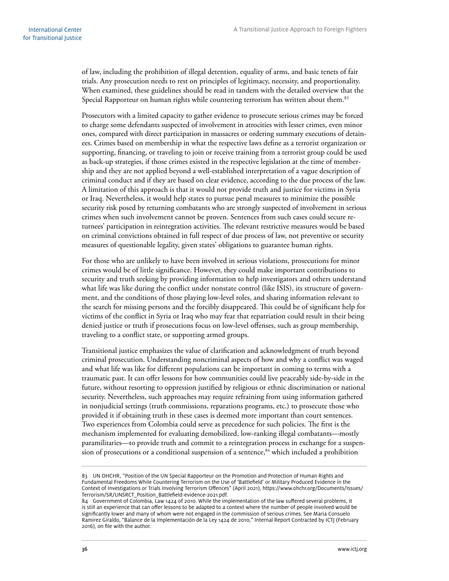of law, including the prohibition of illegal detention, equality of arms, and basic tenets of fair trials. Any prosecution needs to rest on principles of legitimacy, necessity, and proportionality. When examined, these guidelines should be read in tandem with the detailed overview that the Special Rapporteur on human rights while countering terrorism has written about them.<sup>83</sup>

Prosecutors with a limited capacity to gather evidence to prosecute serious crimes may be forced to charge some defendants suspected of involvement in atrocities with lesser crimes, even minor ones, compared with direct participation in massacres or ordering summary executions of detainees. Crimes based on membership in what the respective laws define as a terrorist organization or supporting, financing, or traveling to join or receive training from a terrorist group could be used as back-up strategies, if those crimes existed in the respective legislation at the time of membership and they are not applied beyond a well-established interpretation of a vague description of criminal conduct and if they are based on clear evidence, according to the due process of the law. A limitation of this approach is that it would not provide truth and justice for victims in Syria or Iraq. Nevertheless, it would help states to pursue penal measures to minimize the possible security risk posed by returning combatants who are strongly suspected of involvement in serious crimes when such involvement cannot be proven. Sentences from such cases could secure returnees' participation in reintegration activities. The relevant restrictive measures would be based on criminal convictions obtained in full respect of due process of law, not preventive or security measures of questionable legality, given states' obligations to guarantee human rights.

For those who are unlikely to have been involved in serious violations, prosecutions for minor crimes would be of little significance. However, they could make important contributions to security and truth seeking by providing information to help investigators and others understand what life was like during the conflict under nonstate control (like ISIS), its structure of government, and the conditions of those playing low-level roles, and sharing information relevant to the search for missing persons and the forcibly disappeared. This could be of significant help for victims of the conflict in Syria or Iraq who may fear that repatriation could result in their being denied justice or truth if prosecutions focus on low-level offenses, such as group membership, traveling to a conflict state, or supporting armed groups.

Transitional justice emphasizes the value of clarification and acknowledgment of truth beyond criminal prosecution. Understanding noncriminal aspects of how and why a conflict was waged and what life was like for different populations can be important in coming to terms with a traumatic past. It can offer lessons for how communities could live peaceably side-by-side in the future, without resorting to oppression justified by religious or ethnic discrimination or national security. Nevertheless, such approaches may require refraining from using information gathered in nonjudicial settings (truth commissions, reparations programs, etc.) to prosecute those who provided it if obtaining truth in these cases is deemed more important than court sentences. Two experiences from Colombia could serve as precedence for such policies. The first is the mechanism implemented for evaluating demobilized, low-ranking illegal combatants—mostly paramilitaries—to provide truth and commit to a reintegration process in exchange for a suspension of prosecutions or a conditional suspension of a sentence, $84$  which included a prohibition

<sup>83</sup> UN OHCHR, "Position of the UN Special Rapporteur on the Promotion and Protection of Human Rights and Fundamental Freedoms While Countering Terrorism on the Use of 'Battlefield' or Military Produced Evidence in the Context of Investigations or Trials Involving Terrorism Offences" (April 2021), [https://www.ohchr.org/Documents/Issues/](https://www.ohchr.org/Documents/Issues/Terrorism/SR/UNSRCT_Position_Battlefield-evidence-2021.pdf) [Terrorism/SR/UNSRCT\\_Position\\_Battlefield-evidence-2021.pdf.](https://www.ohchr.org/Documents/Issues/Terrorism/SR/UNSRCT_Position_Battlefield-evidence-2021.pdf)

<sup>84</sup> Government of Colombia, Law 1424 of 2010. While the implementation of the law suffered several problems, it is still an experience that can offer lessons to be adapted to a context where the number of people involved would be significantly lower and many of whom were not engaged in the commission of serious crimes. See Maria Consuelo Ramirez Giraldo, "Balance de la Implementación de la Ley 1424 de 2010," Internal Report Contracted by ICTJ (February 2016), on file with the author.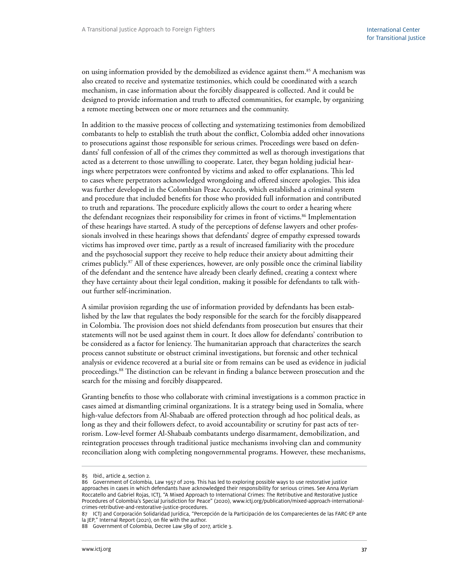on using information provided by the demobilized as evidence against them.<sup>85</sup> A mechanism was also created to receive and systematize testimonies, which could be coordinated with a search mechanism, in case information about the forcibly disappeared is collected. And it could be designed to provide information and truth to affected communities, for example, by organizing a remote meeting between one or more returnees and the community.

In addition to the massive process of collecting and systematizing testimonies from demobilized combatants to help to establish the truth about the conflict, Colombia added other innovations to prosecutions against those responsible for serious crimes. Proceedings were based on defendants' full confession of all of the crimes they committed as well as thorough investigations that acted as a deterrent to those unwilling to cooperate. Later, they began holding judicial hearings where perpetrators were confronted by victims and asked to offer explanations. This led to cases where perpetrators acknowledged wrongdoing and offered sincere apologies. This idea was further developed in the Colombian Peace Accords, which established a criminal system and procedure that included benefits for those who provided full information and contributed to truth and reparations. The procedure explicitly allows the court to order a hearing where the defendant recognizes their responsibility for crimes in front of victims.<sup>86</sup> Implementation of these hearings have started. A study of the perceptions of defense lawyers and other professionals involved in these hearings shows that defendants' degree of empathy expressed towards victims has improved over time, partly as a result of increased familiarity with the procedure and the psychosocial support they receive to help reduce their anxiety about admitting their crimes publicly.87 All of these experiences, however, are only possible once the criminal liability of the defendant and the sentence have already been clearly defined, creating a context where they have certainty about their legal condition, making it possible for defendants to talk without further self-incrimination.

A similar provision regarding the use of information provided by defendants has been established by the law that regulates the body responsible for the search for the forcibly disappeared in Colombia. The provision does not shield defendants from prosecution but ensures that their statements will not be used against them in court. It does allow for defendants' contribution to be considered as a factor for leniency. The humanitarian approach that characterizes the search process cannot substitute or obstruct criminal investigations, but forensic and other technical analysis or evidence recovered at a burial site or from remains can be used as evidence in judicial proceedings.88 The distinction can be relevant in finding a balance between prosecution and the search for the missing and forcibly disappeared.

Granting benefits to those who collaborate with criminal investigations is a common practice in cases aimed at dismantling criminal organizations. It is a strategy being used in Somalia, where high-value defectors from Al-Shabaab are offered protection through ad hoc political deals, as long as they and their followers defect, to avoid accountability or scrutiny for past acts of terrorism. Low-level former Al-Shabaab combatants undergo disarmament, demobilization, and reintegration processes through traditional justice mechanisms involving clan and community reconciliation along with completing nongovernmental programs. However, these mechanisms,

<sup>85</sup> Ibid., article 4, section 2.

<sup>86</sup> Government of Colombia, Law 1957 of 2019. This has led to exploring possible ways to use restorative justice approaches in cases in which defendants have acknowledged their responsibility for serious crimes. See Anna Myriam Roccatello and Gabriel Rojas, ICTJ, "A Mixed Approach to International Crimes: The Retributive and Restorative Justice Procedures of Colombia's Special Jurisdiction for Peace" (2020), www.ictj.org/publication/mixed-approach-internationalcrimes-retributive-and-restorative-justice-procedures.

<sup>87</sup> ICTJ and Corporación Solidaridad Jurídica, "Percepción de la Participación de los Comparecientes de las FARC-EP ante la JEP," Internal Report (2021), on file with the author.

<sup>88</sup> Government of Colombia, Decree Law 589 of 2017, article 3.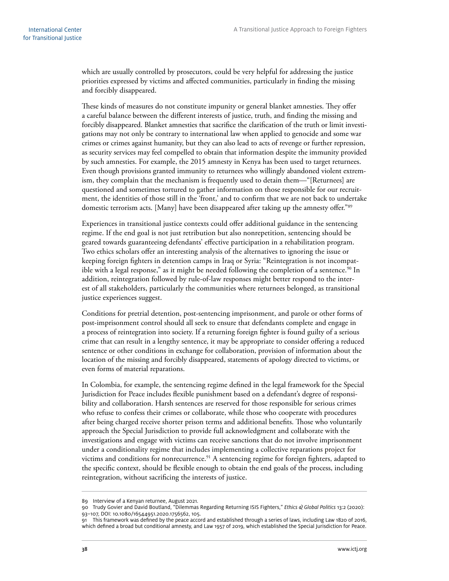which are usually controlled by prosecutors, could be very helpful for addressing the justice priorities expressed by victims and affected communities, particularly in finding the missing and forcibly disappeared.

These kinds of measures do not constitute impunity or general blanket amnesties. They offer a careful balance between the different interests of justice, truth, and finding the missing and forcibly disappeared. Blanket amnesties that sacrifice the clarification of the truth or limit investigations may not only be contrary to international law when applied to genocide and some war crimes or crimes against humanity, but they can also lead to acts of revenge or further repression, as security services may feel compelled to obtain that information despite the immunity provided by such amnesties. For example, the 2015 amnesty in Kenya has been used to target returnees. Even though provisions granted immunity to returnees who willingly abandoned violent extremism, they complain that the mechanism is frequently used to detain them—"[Returnees] are questioned and sometimes tortured to gather information on those responsible for our recruitment, the identities of those still in the 'front,' and to confirm that we are not back to undertake domestic terrorism acts. [Many] have been disappeared after taking up the amnesty offer."89

Experiences in transitional justice contexts could offer additional guidance in the sentencing regime. If the end goal is not just retribution but also nonrepetition, sentencing should be geared towards guaranteeing defendants' effective participation in a rehabilitation program. Two ethics scholars offer an interesting analysis of the alternatives to ignoring the issue or keeping foreign fighters in detention camps in Iraq or Syria: "Reintegration is not incompatible with a legal response," as it might be needed following the completion of a sentence. $90$  In addition, reintegration followed by rule-of-law responses might better respond to the interest of all stakeholders, particularly the communities where returnees belonged, as transitional justice experiences suggest.

Conditions for pretrial detention, post-sentencing imprisonment, and parole or other forms of post-imprisonment control should all seek to ensure that defendants complete and engage in a process of reintegration into society. If a returning foreign fighter is found guilty of a serious crime that can result in a lengthy sentence, it may be appropriate to consider offering a reduced sentence or other conditions in exchange for collaboration, provision of information about the location of the missing and forcibly disappeared, statements of apology directed to victims, or even forms of material reparations.

In Colombia, for example, the sentencing regime defined in the legal framework for the Special Jurisdiction for Peace includes flexible punishment based on a defendant's degree of responsibility and collaboration. Harsh sentences are reserved for those responsible for serious crimes who refuse to confess their crimes or collaborate, while those who cooperate with procedures after being charged receive shorter prison terms and additional benefits. Those who voluntarily approach the Special Jurisdiction to provide full acknowledgment and collaborate with the investigations and engage with victims can receive sanctions that do not involve imprisonment under a conditionality regime that includes implementing a collective reparations project for victims and conditions for nonrecurrence.<sup>91</sup> A sentencing regime for foreign fighters, adapted to the specific context, should be flexible enough to obtain the end goals of the process, including reintegration, without sacrificing the interests of justice.

<sup>89</sup> Interview of a Kenyan returnee, August 2021.

<sup>90</sup> Trudy Govier and David Boutland, "Dilemmas Regarding Returning ISIS Fighters," *Ethics & Global Politics* 13:2 (2020): 93–107, DOI: 10.1080/16544951.2020.1756562, 105.

<sup>91</sup> This framework was defined by the peace accord and established through a series of laws, including Law 1820 of 2016, which defined a broad but conditional amnesty, and Law 1957 of 2019, which established the Special Jurisdiction for Peace.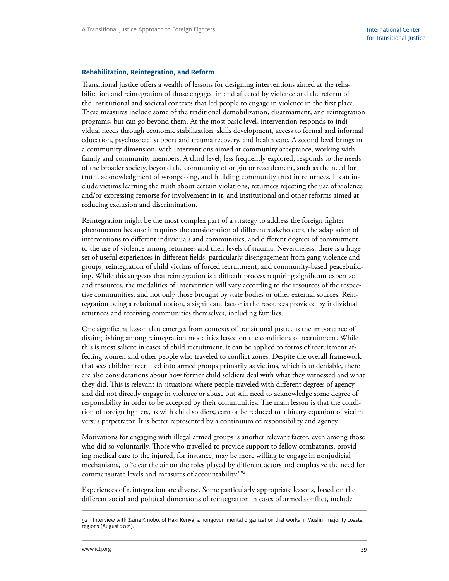#### <span id="page-44-0"></span>**Rehabilitation, Reintegration, and Reform**

Transitional justice offers a wealth of lessons for designing interventions aimed at the rehabilitation and reintegration of those engaged in and affected by violence and the reform of the institutional and societal contexts that led people to engage in violence in the first place. These measures include some of the traditional demobilization, disarmament, and reintegration programs, but can go beyond them. At the most basic level, intervention responds to individual needs through economic stabilization, skills development, access to formal and informal education, psychosocial support and trauma recovery, and health care. A second level brings in a community dimension, with interventions aimed at community acceptance, working with family and community members. A third level, less frequently explored, responds to the needs of the broader society, beyond the community of origin or resettlement, such as the need for truth, acknowledgment of wrongdoing, and building community trust in returnees. It can include victims learning the truth about certain violations, returnees rejecting the use of violence and/or expressing remorse for involvement in it, and institutional and other reforms aimed at reducing exclusion and discrimination.

Reintegration might be the most complex part of a strategy to address the foreign fighter phenomenon because it requires the consideration of different stakeholders, the adaptation of interventions to different individuals and communities, and different degrees of commitment to the use of violence among returnees and their levels of trauma. Nevertheless, there is a huge set of useful experiences in different fields, particularly disengagement from gang violence and groups, reintegration of child victims of forced recruitment, and community-based peacebuilding. While this suggests that reintegration is a difficult process requiring significant expertise and resources, the modalities of intervention will vary according to the resources of the respective communities, and not only those brought by state bodies or other external sources. Reintegration being a relational notion, a significant factor is the resources provided by individual returnees and receiving communities themselves, including families.

One significant lesson that emerges from contexts of transitional justice is the importance of distinguishing among reintegration modalities based on the conditions of recruitment. While this is most salient in cases of child recruitment, it can be applied to forms of recruitment affecting women and other people who traveled to conflict zones. Despite the overall framework that sees children recruited into armed groups primarily as victims, which is undeniable, there are also considerations about how former child soldiers deal with what they witnessed and what they did. This is relevant in situations where people traveled with different degrees of agency and did not directly engage in violence or abuse but still need to acknowledge some degree of responsibility in order to be accepted by their communities. The main lesson is that the condition of foreign fighters, as with child soldiers, cannot be reduced to a binary equation of victim versus perpetrator. It is better represented by a continuum of responsibility and agency.

Motivations for engaging with illegal armed groups is another relevant factor, even among those who did so voluntarily. Those who travelled to provide support to fellow combatants, providing medical care to the injured, for instance, may be more willing to engage in nonjudicial mechanisms, to "clear the air on the roles played by different actors and emphasize the need for commensurate levels and measures of accountability."92

Experiences of reintegration are diverse. Some particularly appropriate lessons, based on the different social and political dimensions of reintegration in cases of armed conflict, include

<sup>92</sup> Interview with Zaina Kmobo, of Haki Kenya, a nongovernmental organization that works in Muslim-majority coastal regions (August 2021).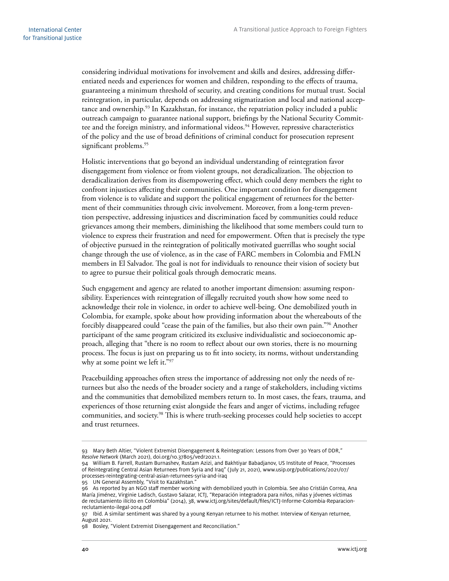considering individual motivations for involvement and skills and desires, addressing differentiated needs and experiences for women and children, responding to the effects of trauma, guaranteeing a minimum threshold of security, and creating conditions for mutual trust. Social reintegration, in particular, depends on addressing stigmatization and local and national acceptance and ownership.<sup>93</sup> In Kazakhstan, for instance, the repatriation policy included a public outreach campaign to guarantee national support, briefings by the National Security Committee and the foreign ministry, and informational videos.<sup>94</sup> However, repressive characteristics of the policy and the use of broad definitions of criminal conduct for prosecution represent significant problems.<sup>95</sup>

Holistic interventions that go beyond an individual understanding of reintegration favor disengagement from violence or from violent groups, not deradicalization. The objection to deradicalization derives from its disempowering effect, which could deny members the right to confront injustices affecting their communities. One important condition for disengagement from violence is to validate and support the political engagement of returnees for the betterment of their communities through civic involvement. Moreover, from a long-term prevention perspective, addressing injustices and discrimination faced by communities could reduce grievances among their members, diminishing the likelihood that some members could turn to violence to express their frustration and need for empowerment. Often that is precisely the type of objective pursued in the reintegration of politically motivated guerrillas who sought social change through the use of violence, as in the case of FARC members in Colombia and FMLN members in El Salvador. The goal is not for individuals to renounce their vision of society but to agree to pursue their political goals through democratic means.

Such engagement and agency are related to another important dimension: assuming responsibility. Experiences with reintegration of illegally recruited youth show how some need to acknowledge their role in violence, in order to achieve well-being. One demobilized youth in Colombia, for example, spoke about how providing information about the whereabouts of the forcibly disappeared could "cease the pain of the families, but also their own pain."96 Another participant of the same program criticized its exclusive individualistic and socioeconomic approach, alleging that "there is no room to reflect about our own stories, there is no mourning process. The focus is just on preparing us to fit into society, its norms, without understanding why at some point we left it."97

Peacebuilding approaches often stress the importance of addressing not only the needs of returnees but also the needs of the broader society and a range of stakeholders, including victims and the communities that demobilized members return to. In most cases, the fears, trauma, and experiences of those returning exist alongside the fears and anger of victims, including refugee communities, and society.<sup>98</sup> This is where truth-seeking processes could help societies to accept and trust returnees.

<sup>93</sup> Mary Beth Altier, "Violent Extremist Disengagement & Reintegration: Lessons from Over 30 Years of DDR," *Resolve Network* (March 2021), doi.org/10.37805/vedr2021.1.

<sup>94</sup> William B. Farrell, Rustam Burnashev, Rustam Azizi, and Bakhtiyar Babadjanov, US Institute of Peace, "Processes of Reintegrating Central Asian Returnees from Syria and Iraq" (July 21, 2021), [www.usip.org/publications/2021/07/](http://www.usip.org/publications/2021/07/processes-reintegrating-central-asian-returnees-syria-and-iraq) [processes-reintegrating-central-asian-returnees-syria-and-iraq](http://www.usip.org/publications/2021/07/processes-reintegrating-central-asian-returnees-syria-and-iraq)

<sup>95</sup> UN General Assembly, "Visit to Kazakhstan."

<sup>96</sup> As reported by an NGO staff member working with demobilized youth in Colombia. See also Cristián Correa, Ana María Jiménez, Virginie Ladisch, Gustavo Salazar, ICTJ, "Reparación integradora para niños, niñas y jóvenes víctimas de reclutamiento ilícito en Colombia" (2014), 38, www.ictj.org/sites/default/files/ICTJ-Informe-Colombia-Reparacionreclutamiento-ilegal-2014.pdf

<sup>97</sup> Ibid. A similar sentiment was shared by a young Kenyan returnee to his mother. Interview of Kenyan returnee, August 2021.

<sup>98</sup> Bosley, "Violent Extremist Disengagement and Reconciliation."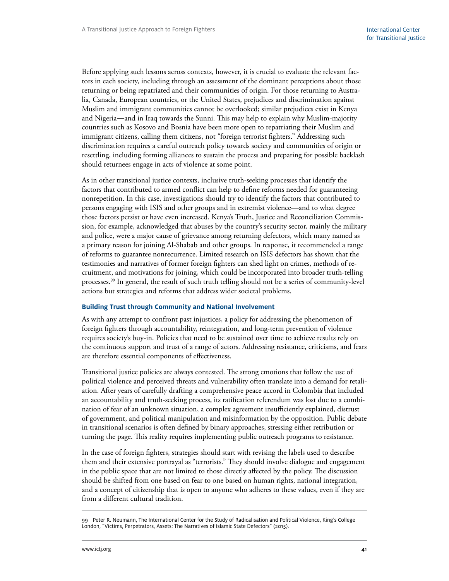<span id="page-46-0"></span>Before applying such lessons across contexts, however, it is crucial to evaluate the relevant factors in each society, including through an assessment of the dominant perceptions about those returning or being repatriated and their communities of origin. For those returning to Australia, Canada, European countries, or the United States, prejudices and discrimination against Muslim and immigrant communities cannot be overlooked; similar prejudices exist in Kenya and Nigeria―and in Iraq towards the Sunni. This may help to explain why Muslim-majority countries such as Kosovo and Bosnia have been more open to repatriating their Muslim and immigrant citizens, calling them citizens, not "foreign terrorist fighters." Addressing such discrimination requires a careful outreach policy towards society and communities of origin or resettling, including forming alliances to sustain the process and preparing for possible backlash should returnees engage in acts of violence at some point.

As in other transitional justice contexts, inclusive truth-seeking processes that identify the factors that contributed to armed conflict can help to define reforms needed for guaranteeing nonrepetition. In this case, investigations should try to identify the factors that contributed to persons engaging with ISIS and other groups and in extremist violence—and to what degree those factors persist or have even increased. Kenya's Truth, Justice and Reconciliation Commission, for example, acknowledged that abuses by the country's security sector, mainly the military and police, were a major cause of grievance among returning defectors, which many named as a primary reason for joining Al-Shabab and other groups. In response, it recommended a range of reforms to guarantee nonrecurrence. Limited research on ISIS defectors has shown that the testimonies and narratives of former foreign fighters can shed light on crimes, methods of recruitment, and motivations for joining, which could be incorporated into broader truth-telling processes.99 In general, the result of such truth telling should not be a series of community-level actions but strategies and reforms that address wider societal problems.

#### **Building Trust through Community and National Involvement**

As with any attempt to confront past injustices, a policy for addressing the phenomenon of foreign fighters through accountability, reintegration, and long-term prevention of violence requires society's buy-in. Policies that need to be sustained over time to achieve results rely on the continuous support and trust of a range of actors. Addressing resistance, criticisms, and fears are therefore essential components of effectiveness.

Transitional justice policies are always contested. The strong emotions that follow the use of political violence and perceived threats and vulnerability often translate into a demand for retaliation. After years of carefully drafting a comprehensive peace accord in Colombia that included an accountability and truth-seeking process, its ratification referendum was lost due to a combination of fear of an unknown situation, a complex agreement insufficiently explained, distrust of government, and political manipulation and misinformation by the opposition. Public debate in transitional scenarios is often defined by binary approaches, stressing either retribution or turning the page. This reality requires implementing public outreach programs to resistance.

In the case of foreign fighters, strategies should start with revising the labels used to describe them and their extensive portrayal as "terrorists." They should involve dialogue and engagement in the public space that are not limited to those directly affected by the policy. The discussion should be shifted from one based on fear to one based on human rights, national integration, and a concept of citizenship that is open to anyone who adheres to these values, even if they are from a different cultural tradition.

<sup>99</sup> Peter R. Neumann, The International Center for the Study of Radicalisation and Political Violence, King's College London, "Victims, Perpetrators, Assets: The Narratives of Islamic State Defectors" (2015).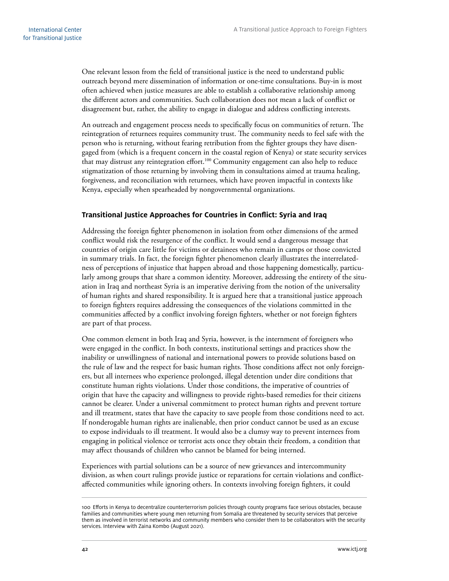<span id="page-47-0"></span>One relevant lesson from the field of transitional justice is the need to understand public outreach beyond mere dissemination of information or one-time consultations. Buy-in is most often achieved when justice measures are able to establish a collaborative relationship among the different actors and communities. Such collaboration does not mean a lack of conflict or disagreement but, rather, the ability to engage in dialogue and address conflicting interests.

An outreach and engagement process needs to specifically focus on communities of return. The reintegration of returnees requires community trust. The community needs to feel safe with the person who is returning, without fearing retribution from the fighter groups they have disengaged from (which is a frequent concern in the coastal region of Kenya) or state security services that may distrust any reintegration effort.<sup>100</sup> Community engagement can also help to reduce stigmatization of those returning by involving them in consultations aimed at trauma healing, forgiveness, and reconciliation with returnees, which have proven impactful in contexts like Kenya, especially when spearheaded by nongovernmental organizations.

#### **Transitional Justice Approaches for Countries in Conflict: Syria and Iraq**

Addressing the foreign fighter phenomenon in isolation from other dimensions of the armed conflict would risk the resurgence of the conflict. It would send a dangerous message that countries of origin care little for victims or detainees who remain in camps or those convicted in summary trials. In fact, the foreign fighter phenomenon clearly illustrates the interrelatedness of perceptions of injustice that happen abroad and those happening domestically, particularly among groups that share a common identity. Moreover, addressing the entirety of the situation in Iraq and northeast Syria is an imperative deriving from the notion of the universality of human rights and shared responsibility. It is argued here that a transitional justice approach to foreign fighters requires addressing the consequences of the violations committed in the communities affected by a conflict involving foreign fighters, whether or not foreign fighters are part of that process.

One common element in both Iraq and Syria, however, is the internment of foreigners who were engaged in the conflict. In both contexts, institutional settings and practices show the inability or unwillingness of national and international powers to provide solutions based on the rule of law and the respect for basic human rights. Those conditions affect not only foreigners, but all internees who experience prolonged, illegal detention under dire conditions that constitute human rights violations. Under those conditions, the imperative of countries of origin that have the capacity and willingness to provide rights-based remedies for their citizens cannot be clearer. Under a universal commitment to protect human rights and prevent torture and ill treatment, states that have the capacity to save people from those conditions need to act. If nonderogable human rights are inalienable, then prior conduct cannot be used as an excuse to expose individuals to ill treatment. It would also be a clumsy way to prevent internees from engaging in political violence or terrorist acts once they obtain their freedom, a condition that may affect thousands of children who cannot be blamed for being interned.

Experiences with partial solutions can be a source of new grievances and intercommunity division, as when court rulings provide justice or reparations for certain violations and conflictaffected communities while ignoring others. In contexts involving foreign fighters, it could

<sup>100</sup> Efforts in Kenya to decentralize counterterrorism policies through county programs face serious obstacles, because families and communities where young men returning from Somalia are threatened by security services that perceive them as involved in terrorist networks and community members who consider them to be collaborators with the security services. Interview with Zaina Kombo (August 2021).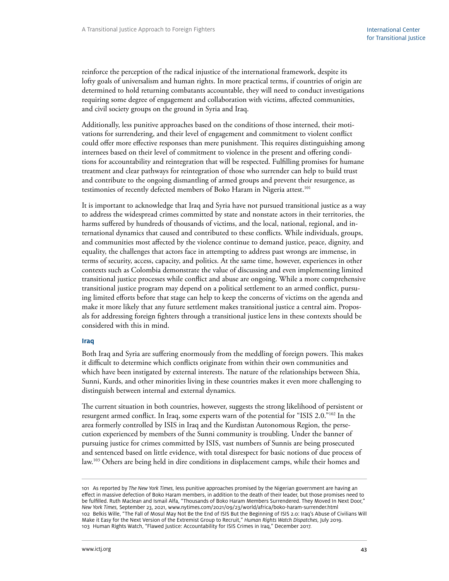<span id="page-48-0"></span>reinforce the perception of the radical injustice of the international framework, despite its lofty goals of universalism and human rights. In more practical terms, if countries of origin are determined to hold returning combatants accountable, they will need to conduct investigations requiring some degree of engagement and collaboration with victims, affected communities, and civil society groups on the ground in Syria and Iraq.

Additionally, less punitive approaches based on the conditions of those interned, their motivations for surrendering, and their level of engagement and commitment to violent conflict could offer more effective responses than mere punishment. This requires distinguishing among internees based on their level of commitment to violence in the present and offering conditions for accountability and reintegration that will be respected. Fulfilling promises for humane treatment and clear pathways for reintegration of those who surrender can help to build trust and contribute to the ongoing dismantling of armed groups and prevent their resurgence, as testimonies of recently defected members of Boko Haram in Nigeria attest.<sup>101</sup>

It is important to acknowledge that Iraq and Syria have not pursued transitional justice as a way to address the widespread crimes committed by state and nonstate actors in their territories, the harms suffered by hundreds of thousands of victims, and the local, national, regional, and international dynamics that caused and contributed to these conflicts. While individuals, groups, and communities most affected by the violence continue to demand justice, peace, dignity, and equality, the challenges that actors face in attempting to address past wrongs are immense, in terms of security, access, capacity, and politics. At the same time, however, experiences in other contexts such as Colombia demonstrate the value of discussing and even implementing limited transitional justice processes while conflict and abuse are ongoing. While a more comprehensive transitional justice program may depend on a political settlement to an armed conflict, pursuing limited efforts before that stage can help to keep the concerns of victims on the agenda and make it more likely that any future settlement makes transitional justice a central aim. Proposals for addressing foreign fighters through a transitional justice lens in these contexts should be considered with this in mind.

#### **Iraq**

Both Iraq and Syria are suffering enormously from the meddling of foreign powers. This makes it difficult to determine which conflicts originate from within their own communities and which have been instigated by external interests. The nature of the relationships between Shia, Sunni, Kurds, and other minorities living in these countries makes it even more challenging to distinguish between internal and external dynamics.

The current situation in both countries, however, suggests the strong likelihood of persistent or resurgent armed conflict. In Iraq, some experts warn of the potential for "ISIS 2.0."102 In the area formerly controlled by ISIS in Iraq and the Kurdistan Autonomous Region, the persecution experienced by members of the Sunni community is troubling. Under the banner of pursuing justice for crimes committed by ISIS, vast numbers of Sunnis are being prosecuted and sentenced based on little evidence, with total disrespect for basic notions of due process of law.103 Others are being held in dire conditions in displacement camps, while their homes and

<sup>101</sup> As reported by *The New York Times,* less punitive approaches promised by the Nigerian government are having an effect in massive defection of Boko Haram members, in addition to the death of their leader, but those promises need to be fulfilled. Ruth Maclean and Ismail Alfa, "Thousands of Boko Haram Members Surrendered. They Moved In Next Door," *New York Times,* September 23, 2021, www.nytimes.com/2021/09/23/world/africa/boko-haram-surrender.html 102 Belkis Wille, "The Fall of Mosul May Not Be the End of ISIS But the Beginning of ISIS 2.0: Iraq's Abuse of Civilians Will Make it Easy for the Next Version of the Extremist Group to Recruit," *Human Rights Watch Dispatches,* July 2019. 103 Human Rights Watch, "Flawed Justice: Accountability for ISIS Crimes in Iraq," December 2017.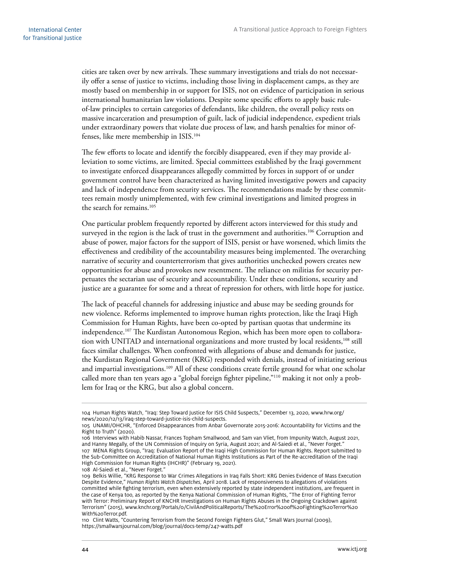cities are taken over by new arrivals. These summary investigations and trials do not necessarily offer a sense of justice to victims, including those living in displacement camps, as they are mostly based on membership in or support for ISIS, not on evidence of participation in serious international humanitarian law violations. Despite some specific efforts to apply basic ruleof-law principles to certain categories of defendants, like children, the overall policy rests on massive incarceration and presumption of guilt, lack of judicial independence, expedient trials under extraordinary powers that violate due process of law, and harsh penalties for minor offenses, like mere membership in ISIS.104

The few efforts to locate and identify the forcibly disappeared, even if they may provide alleviation to some victims, are limited. Special committees established by the Iraqi government to investigate enforced disappearances allegedly committed by forces in support of or under government control have been characterized as having limited investigative powers and capacity and lack of independence from security services. The recommendations made by these committees remain mostly unimplemented, with few criminal investigations and limited progress in the search for remains.<sup>105</sup>

One particular problem frequently reported by different actors interviewed for this study and surveyed in the region is the lack of trust in the government and authorities.<sup>106</sup> Corruption and abuse of power, major factors for the support of ISIS, persist or have worsened, which limits the effectiveness and credibility of the accountability measures being implemented. The overarching narrative of security and counterterrorism that gives authorities unchecked powers creates new opportunities for abuse and provokes new resentment. The reliance on militias for security perpetuates the sectarian use of security and accountability. Under these conditions, security and justice are a guarantee for some and a threat of repression for others, with little hope for justice.

The lack of peaceful channels for addressing injustice and abuse may be seeding grounds for new violence. Reforms implemented to improve human rights protection, like the Iraqi High Commission for Human Rights, have been co-opted by partisan quotas that undermine its independence.107 The Kurdistan Autonomous Region, which has been more open to collaboration with UNITAD and international organizations and more trusted by local residents,<sup>108</sup> still faces similar challenges. When confronted with allegations of abuse and demands for justice, the Kurdistan Regional Government (KRG) responded with denials, instead of initiating serious and impartial investigations.<sup>109</sup> All of these conditions create fertile ground for what one scholar called more than ten years ago a "global foreign fighter pipeline,"110 making it not only a problem for Iraq or the KRG, but also a global concern.

<sup>104</sup> Human Rights Watch, "Iraq: Step Toward Justice for ISIS Child Suspects," December 13, 2020, [www.hrw.org/](https://www.hrw.org/news/2020/12/13/iraq-step-toward-justice-isis-child-suspects) [news/2020/12/13/iraq-step-toward-justice-isis-child-suspects](https://www.hrw.org/news/2020/12/13/iraq-step-toward-justice-isis-child-suspects).

<sup>105</sup> UNAMI/OHCHR, "Enforced Disappearances from Anbar Governorate 2015-2016: Accountability for Victims and the Right to Truth" (2020).

<sup>106</sup> Interviews with Habib Nassar, Frances Topham Smallwood, and Sam van Vliet, from Impunity Watch, August 2021, and Hanny Megally, of the UN Commission of Inquiry on Syria, August 2021; and Al-Saiedi et al., "Never Forget." 107 MENA Rights Group, "Iraq: Evaluation Report of the Iraqi High Commission for Human Rights. Report submitted to the Sub-Committee on Accreditation of National Human Rights Institutions as Part of the Re-accreditation of the Iraqi High Commission for Human Rights (IHCHR)" (February 19, 2021).

<sup>108</sup> Al-Saiedi et al., "Never Forget."

<sup>109</sup> Belkis Willie, "KRG Response to War Crimes Allegations in Iraq Falls Short: KRG Denies Evidence of Mass Execution Despite Evidence," *Human Rights Watch Dispatches,* April 2018. Lack of responsiveness to allegations of violations committed while fighting terrorism, even when extensively reported by state independent institutions, are frequent in the case of Kenya too, as reported by the Kenya National Commission of Human Rights, "The Error of Fighting Terror with Terror: Preliminary Report of KNCHR Investigations on Human Rights Abuses in the Ongoing Crackdown against Terrorism" (2015), [www.knchr.org/Portals/0/CivilAndPoliticalReports/The%20Error%20of%20Fighting%20Terror%20](http://www.knchr.org/Portals/0/CivilAndPoliticalReports/The%20Error%20of%20Fighting%20Terror%20With%20Terror.pdf) [With%20Terror.pdf.](http://www.knchr.org/Portals/0/CivilAndPoliticalReports/The%20Error%20of%20Fighting%20Terror%20With%20Terror.pdf)

<sup>110</sup> Clint Watts, "Countering Terrorism from the Second Foreign Fighters Glut," Small Wars Journal (2009), https://smallwarsjournal.com/blog/journal/docs-temp/247-watts.pdf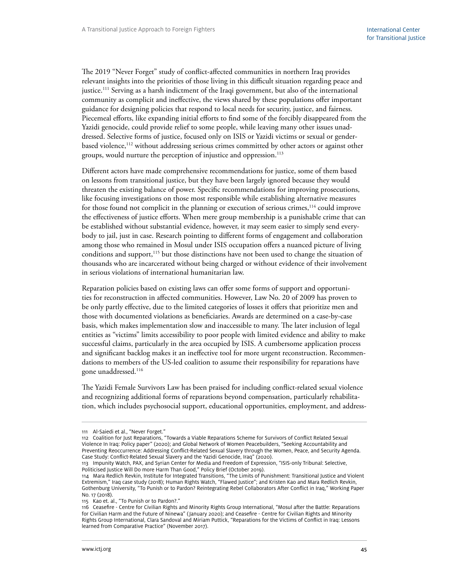The 2019 "Never Forget" study of conflict-affected communities in northern Iraq provides relevant insights into the priorities of those living in this difficult situation regarding peace and justice.111 Serving as a harsh indictment of the Iraqi government, but also of the international community as complicit and ineffective, the views shared by these populations offer important guidance for designing policies that respond to local needs for security, justice, and fairness. Piecemeal efforts, like expanding initial efforts to find some of the forcibly disappeared from the Yazidi genocide, could provide relief to some people, while leaving many other issues unaddressed. Selective forms of justice, focused only on ISIS or Yazidi victims or sexual or genderbased violence,<sup>112</sup> without addressing serious crimes committed by other actors or against other groups, would nurture the perception of injustice and oppression.<sup>113</sup>

Different actors have made comprehensive recommendations for justice, some of them based on lessons from transitional justice, but they have been largely ignored because they would threaten the existing balance of power. Specific recommendations for improving prosecutions, like focusing investigations on those most responsible while establishing alternative measures for those found not complicit in the planning or execution of serious crimes,<sup>114</sup> could improve the effectiveness of justice efforts. When mere group membership is a punishable crime that can be established without substantial evidence, however, it may seem easier to simply send everybody to jail, just in case. Research pointing to different forms of engagement and collaboration among those who remained in Mosul under ISIS occupation offers a nuanced picture of living conditions and support,<sup>115</sup> but those distinctions have not been used to change the situation of thousands who are incarcerated without being charged or without evidence of their involvement in serious violations of international humanitarian law.

Reparation policies based on existing laws can offer some forms of support and opportunities for reconstruction in affected communities. However, Law No. 20 of 2009 has proven to be only partly effective, due to the limited categories of losses it offers that prioritize men and those with documented violations as beneficiaries. Awards are determined on a case-by-case basis, which makes implementation slow and inaccessible to many. The later inclusion of legal entities as "victims" limits accessibility to poor people with limited evidence and ability to make successful claims, particularly in the area occupied by ISIS. A cumbersome application process and significant backlog makes it an ineffective tool for more urgent reconstruction. Recommendations to members of the US-led coalition to assume their responsibility for reparations have gone unaddressed.116

The Yazidi Female Survivors Law has been praised for including conflict-related sexual violence and recognizing additional forms of reparations beyond compensation, particularly rehabilitation, which includes psychosocial support, educational opportunities, employment, and address-

<sup>111</sup> Al-Saiedi et al., "Never Forget."

<sup>112</sup> Coalition for Just Reparations, "Towards a Viable Reparations Scheme for Survivors of Conflict Related Sexual Violence In Iraq: Policy paper" (2020); and Global Network of Women Peacebuilders, "Seeking Accountability and Preventing Reoccurrence: Addressing Conflict-Related Sexual Slavery through the Women, Peace, and Security Agenda. Case Study: Conflict-Related Sexual Slavery and the Yazidi Genocide, Iraq" (2020).

<sup>113</sup> Impunity Watch, PAX, and Syrian Center for Media and Freedom of Expression, "ISIS-only Tribunal: Selective, Politicised Justice Will Do more Harm Than Good," Policy Brief (October 2019).

<sup>114</sup> Mara Redlich Revkin, Institute for Integrated Transitions, "The Limits of Punishment: Transitional Justice and Violent Extremism," Iraq case study (2018); Human Rights Watch, "Flawed Justice"; and Kristen Kao and Mara Redlich Revkin, Gothenburg University, "To Punish or to Pardon? Reintegrating Rebel Collaborators After Conflict in Iraq," Working Paper No. 17 (2018).

<sup>115</sup> Kao et. al., "To Punish or to Pardon?."

<sup>116</sup> Ceasefire - Centre for Civilian Rights and Minority Rights Group International, "Mosul after the Battle: Reparations for Civilian Harm and the Future of Ninewa" (January 2020); and Ceasefire - Centre for Civilian Rights and Minority Rights Group International, Clara Sandoval and Miriam Puttick, "Reparations for the Victims of Conflict in Iraq: Lessons learned from Comparative Practice" (November 2017).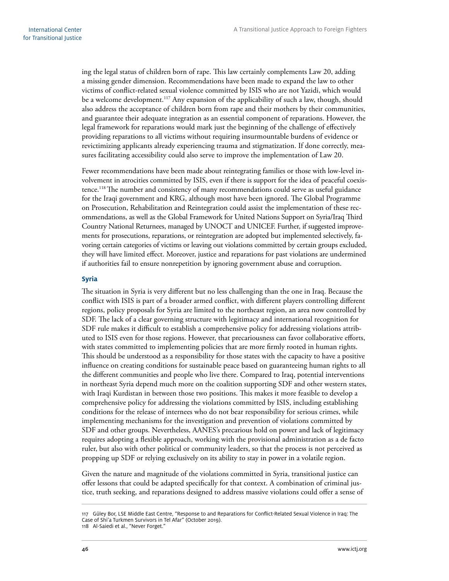<span id="page-51-0"></span>ing the legal status of children born of rape. This law certainly complements Law 20, adding a missing gender dimension. Recommendations have been made to expand the law to other victims of conflict-related sexual violence committed by ISIS who are not Yazidi, which would be a welcome development.<sup>117</sup> Any expansion of the applicability of such a law, though, should also address the acceptance of children born from rape and their mothers by their communities, and guarantee their adequate integration as an essential component of reparations. However, the legal framework for reparations would mark just the beginning of the challenge of effectively providing reparations to all victims without requiring insurmountable burdens of evidence or revictimizing applicants already experiencing trauma and stigmatization. If done correctly, measures facilitating accessibility could also serve to improve the implementation of Law 20.

Fewer recommendations have been made about reintegrating families or those with low-level involvement in atrocities committed by ISIS, even if there is support for the idea of peaceful coexistence.<sup>118</sup> The number and consistency of many recommendations could serve as useful guidance for the Iraqi government and KRG, although most have been ignored. The Global Programme on Prosecution, Rehabilitation and Reintegration could assist the implementation of these recommendations, as well as the Global Framework for United Nations Support on Syria/Iraq Third Country National Returnees, managed by UNOCT and UNICEF. Further, if suggested improvements for prosecutions, reparations, or reintegration are adopted but implemented selectively, favoring certain categories of victims or leaving out violations committed by certain groups excluded, they will have limited effect. Moreover, justice and reparations for past violations are undermined if authorities fail to ensure nonrepetition by ignoring government abuse and corruption.

#### **Syria**

The situation in Syria is very different but no less challenging than the one in Iraq. Because the conflict with ISIS is part of a broader armed conflict, with different players controlling different regions, policy proposals for Syria are limited to the northeast region, an area now controlled by SDF. The lack of a clear governing structure with legitimacy and international recognition for SDF rule makes it difficult to establish a comprehensive policy for addressing violations attributed to ISIS even for those regions. However, that precariousness can favor collaborative efforts, with states committed to implementing policies that are more firmly rooted in human rights. This should be understood as a responsibility for those states with the capacity to have a positive influence on creating conditions for sustainable peace based on guaranteeing human rights to all the different communities and people who live there. Compared to Iraq, potential interventions in northeast Syria depend much more on the coalition supporting SDF and other western states, with Iraqi Kurdistan in between those two positions. This makes it more feasible to develop a comprehensive policy for addressing the violations committed by ISIS, including establishing conditions for the release of internees who do not bear responsibility for serious crimes, while implementing mechanisms for the investigation and prevention of violations committed by SDF and other groups. Nevertheless, AANES's precarious hold on power and lack of legitimacy requires adopting a flexible approach, working with the provisional administration as a de facto ruler, but also with other political or community leaders, so that the process is not perceived as propping up SDF or relying exclusively on its ability to stay in power in a volatile region.

Given the nature and magnitude of the violations committed in Syria, transitional justice can offer lessons that could be adapted specifically for that context. A combination of criminal justice, truth seeking, and reparations designed to address massive violations could offer a sense of

<sup>117</sup> Güley Bor, LSE Middle East Centre, "Response to and Reparations for Conflict-Related Sexual Violence in Iraq: The Case of Shi'a Turkmen Survivors in Tel Afar" (October 2019).

<sup>118</sup> Al-Saiedi et al., "Never Forget."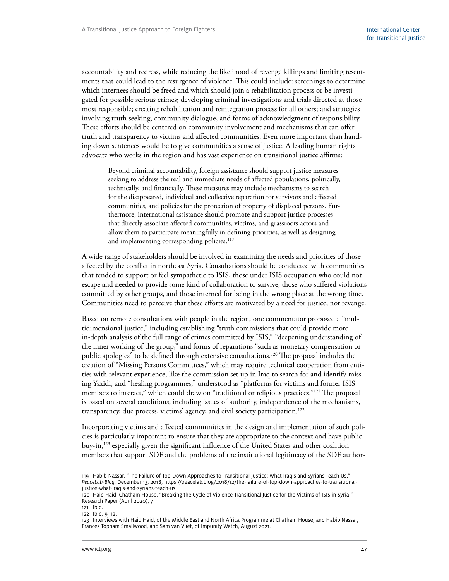accountability and redress, while reducing the likelihood of revenge killings and limiting resentments that could lead to the resurgence of violence. This could include: screenings to determine which internees should be freed and which should join a rehabilitation process or be investigated for possible serious crimes; developing criminal investigations and trials directed at those most responsible; creating rehabilitation and reintegration process for all others; and strategies involving truth seeking, community dialogue, and forms of acknowledgment of responsibility. These efforts should be centered on community involvement and mechanisms that can offer truth and transparency to victims and affected communities. Even more important than handing down sentences would be to give communities a sense of justice. A leading human rights advocate who works in the region and has vast experience on transitional justice affirms:

Beyond criminal accountability, foreign assistance should support justice measures seeking to address the real and immediate needs of affected populations, politically, technically, and financially. These measures may include mechanisms to search for the disappeared, individual and collective reparation for survivors and affected communities, and policies for the protection of property of displaced persons. Furthermore, international assistance should promote and support justice processes that directly associate affected communities, victims, and grassroots actors and allow them to participate meaningfully in defining priorities, as well as designing and implementing corresponding policies.<sup>119</sup>

A wide range of stakeholders should be involved in examining the needs and priorities of those affected by the conflict in northeast Syria. Consultations should be conducted with communities that tended to support or feel sympathetic to ISIS, those under ISIS occupation who could not escape and needed to provide some kind of collaboration to survive, those who suffered violations committed by other groups, and those interned for being in the wrong place at the wrong time. Communities need to perceive that these efforts are motivated by a need for justice, not revenge.

Based on remote consultations with people in the region, one commentator proposed a "multidimensional justice," including establishing "truth commissions that could provide more in-depth analysis of the full range of crimes committed by ISIS," "deepening understanding of the inner working of the group," and forms of reparations "such as monetary compensation or public apologies" to be defined through extensive consultations.<sup>120</sup> The proposal includes the creation of "Missing Persons Committees," which may require technical cooperation from entities with relevant experience, like the commission set up in Iraq to search for and identify missing Yazidi, and "healing programmes," understood as "platforms for victims and former ISIS members to interact," which could draw on "traditional or religious practices."121 The proposal is based on several conditions, including issues of authority, independence of the mechanisms, transparency, due process, victims' agency, and civil society participation.<sup>122</sup>

Incorporating victims and affected communities in the design and implementation of such policies is particularly important to ensure that they are appropriate to the context and have public buy-in,<sup>123</sup> especially given the significant influence of the United States and other coalition members that support SDF and the problems of the institutional legitimacy of the SDF author-

<sup>119</sup> Habib Nassar, "The Failure of Top-Down Approaches to Transitional Justice: What Iraqis and Syrians Teach Us," *PeaceLab-Blog,* December 13, 2018, https://peacelab.blog/2018/12/the-failure-of-top-down-approaches-to-transitionaljustice-what-iraqis-and-syrians-teach-us

<sup>120</sup> Haid Haid, Chatham House, "Breaking the Cycle of Violence Transitional Justice for the Victims of ISIS in Syria," Research Paper (April 2020), 7

<sup>121</sup> Ibid.

<sup>122</sup> Ibid, 9–12.

<sup>123</sup> Interviews with Haid Haid, of the Middle East and North Africa Programme at Chatham House; and Habib Nassar, Frances Topham Smallwood, and Sam van Vliet, of Impunity Watch, August 2021.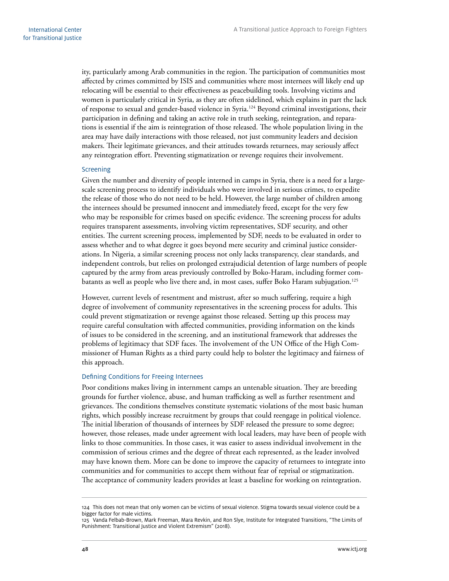<span id="page-53-0"></span>ity, particularly among Arab communities in the region. The participation of communities most affected by crimes committed by ISIS and communities where most internees will likely end up relocating will be essential to their effectiveness as peacebuilding tools. Involving victims and women is particularly critical in Syria, as they are often sidelined, which explains in part the lack of response to sexual and gender-based violence in Syria.<sup>124</sup> Beyond criminal investigations, their participation in defining and taking an active role in truth seeking, reintegration, and reparations is essential if the aim is reintegration of those released. The whole population living in the area may have daily interactions with those released, not just community leaders and decision makers. Their legitimate grievances, and their attitudes towards returnees, may seriously affect any reintegration effort. Preventing stigmatization or revenge requires their involvement.

#### **Screening**

Given the number and diversity of people interned in camps in Syria, there is a need for a largescale screening process to identify individuals who were involved in serious crimes, to expedite the release of those who do not need to be held. However, the large number of children among the internees should be presumed innocent and immediately freed, except for the very few who may be responsible for crimes based on specific evidence. The screening process for adults requires transparent assessments, involving victim representatives, SDF security, and other entities. The current screening process, implemented by SDF, needs to be evaluated in order to assess whether and to what degree it goes beyond mere security and criminal justice considerations. In Nigeria, a similar screening process not only lacks transparency, clear standards, and independent controls, but relies on prolonged extrajudicial detention of large numbers of people captured by the army from areas previously controlled by Boko-Haram, including former combatants as well as people who live there and, in most cases, suffer Boko Haram subjugation.125

However, current levels of resentment and mistrust, after so much suffering, require a high degree of involvement of community representatives in the screening process for adults. This could prevent stigmatization or revenge against those released. Setting up this process may require careful consultation with affected communities, providing information on the kinds of issues to be considered in the screening, and an institutional framework that addresses the problems of legitimacy that SDF faces. The involvement of the UN Office of the High Commissioner of Human Rights as a third party could help to bolster the legitimacy and fairness of this approach.

#### Defining Conditions for Freeing Internees

Poor conditions makes living in internment camps an untenable situation. They are breeding grounds for further violence, abuse, and human trafficking as well as further resentment and grievances. The conditions themselves constitute systematic violations of the most basic human rights, which possibly increase recruitment by groups that could reengage in political violence. The initial liberation of thousands of internees by SDF released the pressure to some degree; however, those releases, made under agreement with local leaders, may have been of people with links to those communities. In those cases, it was easier to assess individual involvement in the commission of serious crimes and the degree of threat each represented, as the leader involved may have known them. More can be done to improve the capacity of returnees to integrate into communities and for communities to accept them without fear of reprisal or stigmatization. The acceptance of community leaders provides at least a baseline for working on reintegration.

<sup>124</sup> This does not mean that only women can be victims of sexual violence. Stigma towards sexual violence could be a bigger factor for male victims.

<sup>125</sup> Vanda Felbab-Brown, Mark Freeman, Mara Revkin, and Ron Slye, Institute for Integrated Transitions, "The Limits of Punishment: Transitional Justice and Violent Extremism" (2018).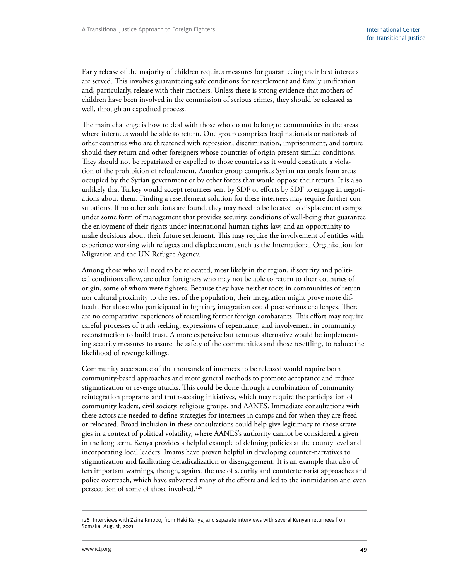Early release of the majority of children requires measures for guaranteeing their best interests are served. This involves guaranteeing safe conditions for resettlement and family unification and, particularly, release with their mothers. Unless there is strong evidence that mothers of children have been involved in the commission of serious crimes, they should be released as well, through an expedited process.

The main challenge is how to deal with those who do not belong to communities in the areas where internees would be able to return. One group comprises Iraqi nationals or nationals of other countries who are threatened with repression, discrimination, imprisonment, and torture should they return and other foreigners whose countries of origin present similar conditions. They should not be repatriated or expelled to those countries as it would constitute a violation of the prohibition of refoulement. Another group comprises Syrian nationals from areas occupied by the Syrian government or by other forces that would oppose their return. It is also unlikely that Turkey would accept returnees sent by SDF or efforts by SDF to engage in negotiations about them. Finding a resettlement solution for these internees may require further consultations. If no other solutions are found, they may need to be located to displacement camps under some form of management that provides security, conditions of well-being that guarantee the enjoyment of their rights under international human rights law, and an opportunity to make decisions about their future settlement. This may require the involvement of entities with experience working with refugees and displacement, such as the International Organization for Migration and the UN Refugee Agency.

Among those who will need to be relocated, most likely in the region, if security and political conditions allow, are other foreigners who may not be able to return to their countries of origin, some of whom were fighters. Because they have neither roots in communities of return nor cultural proximity to the rest of the population, their integration might prove more difficult. For those who participated in fighting, integration could pose serious challenges. There are no comparative experiences of resettling former foreign combatants. This effort may require careful processes of truth seeking, expressions of repentance, and involvement in community reconstruction to build trust. A more expensive but tenuous alternative would be implementing security measures to assure the safety of the communities and those resettling, to reduce the likelihood of revenge killings.

Community acceptance of the thousands of internees to be released would require both community-based approaches and more general methods to promote acceptance and reduce stigmatization or revenge attacks. This could be done through a combination of community reintegration programs and truth-seeking initiatives, which may require the participation of community leaders, civil society, religious groups, and AANES. Immediate consultations with these actors are needed to define strategies for internees in camps and for when they are freed or relocated. Broad inclusion in these consultations could help give legitimacy to those strategies in a context of political volatility, where AANES's authority cannot be considered a given in the long term. Kenya provides a helpful example of defining policies at the county level and incorporating local leaders. Imams have proven helpful in developing counter-narratives to stigmatization and facilitating deradicalization or disengagement. It is an example that also offers important warnings, though, against the use of security and counterterrorist approaches and police overreach, which have subverted many of the efforts and led to the intimidation and even persecution of some of those involved.<sup>126</sup>

<sup>126</sup> Interviews with Zaina Kmobo, from Haki Kenya, and separate interviews with several Kenyan returnees from Somalia, August, 2021.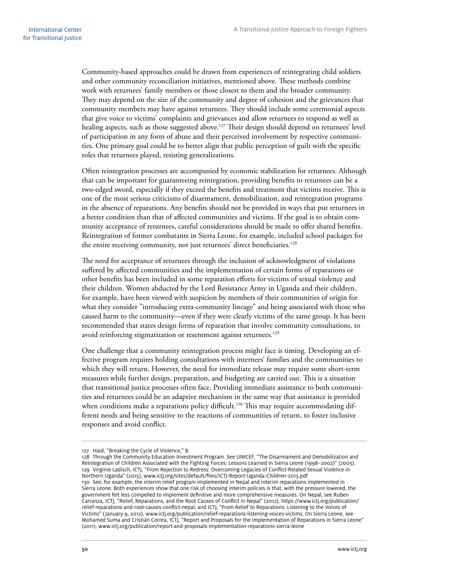Community-based approaches could be drawn from experiences of reintegrating child soldiers and other community reconciliation initiatives, mentioned above. These methods combine work with returnees' family members or those closest to them and the broader community. They may depend on the size of the community and degree of cohesion and the grievances that community members may have against returnees. They should include some ceremonial aspects that give voice to victims' complaints and grievances and allow returnees to respond as well as healing aspects, such as those suggested above.<sup>127</sup> Their design should depend on returnees' level of participation in any form of abuse and their perceived involvement by respective communities. One primary goal could be to better align that public perception of guilt with the specific roles that returnees played, resisting generalizations.

Often reintegration processes are accompanied by economic stabilization for returnees. Although that can be important for guaranteeing reintegration, providing benefits to returnees can be a two-edged sword, especially if they exceed the benefits and treatment that victims receive. This is one of the most serious criticisms of disarmament, demobilization, and reintegration programs in the absence of reparations. Any benefits should not be provided in ways that put returnees in a better condition than that of affected communities and victims. If the goal is to obtain community acceptance of returnees, careful considerations should be made to offer shared benefits. Reintegration of former combatants in Sierra Leone, for example, included school packages for the entire receiving community, not just returnees' direct beneficiaries.<sup>128</sup>

The need for acceptance of returnees through the inclusion of acknowledgment of violations suffered by affected communities and the implementation of certain forms of reparations or other benefits has been included in some reparation efforts for victims of sexual violence and their children. Women abducted by the Lord Resistance Army in Uganda and their children, for example, have been viewed with suspicion by members of their communities of origin for what they consider "introducing extra-community lineage" and being associated with those who caused harm to the community—even if they were clearly victims of the same group. It has been recommended that states design forms of reparation that involve community consultations, to avoid reinforcing stigmatization or resentment against returnees.<sup>129</sup>

One challenge that a community reintegration process might face is timing. Developing an effective program requires holding consultations with internees' families and the communities to which they will return. However, the need for immediate release may require some short-term measures while further design, preparation, and budgeting are carried out. This is a situation that transitional justice processes often face. Providing immediate assistance to both communities and returnees could be an adaptive mechanism in the same way that assistance is provided when conditions make a reparations policy difficult.<sup>130</sup> This may require accommodating different needs and being sensitive to the reactions of communities of return, to foster inclusive responses and avoid conflict.

<sup>127</sup> Haid, "Breaking the Cycle of Violence," 8.

<sup>128</sup> Through the Community Education Investment Program. See UNICEF, "The Disarmament and Demobilization and Reintegration of Children Associated with the Fighting Forces: Lessons Learned in Sierra Leone (1998–2002)" (2005). 129 Virginie Ladisch, ICTJ, "From Rejection to Redress: Overcoming Legacies of Conflict-Related Sexual Violence in Northern Uganda" (2015), www.ictj.org/sites/default/files/ICTJ-Report-Uganda-Children-2015.pdf 130 See, for example, the interim relief program implemented in Nepal and interim reparations implemented in Sierra Leone. Both experiences show that one risk of choosing interim policies is that, with the pressure lowered, the government felt less compelled to implement definitive and more comprehensive measures. On Nepal, see Ruben Carranza, ICTJ, "Relief, Reparations, and the Root Causes of Conflict in Nepal" (2012), [https://www.ictj.org/publication/](https://www.ictj.org/publication/relief-reparations-and-root-causes-conflict-nepal) [relief-reparations-and-root-causes-conflict-nepal;](https://www.ictj.org/publication/relief-reparations-and-root-causes-conflict-nepal) and ICTJ, "From Relief to Reparations: Listening to the Voices of Victims" (January 9, 2012), www.ictj.org/publication/relief-reparations-listening-voices-victims. On Sierra Leone, see Mohamed Suma and Cristián Correa, ICTJ, "Report and Proposals for the Implementation of Reparations in Sierra Leone" (2011), www.ictj.org/publication/report-and-proposals-implementation-reparations-sierra-leone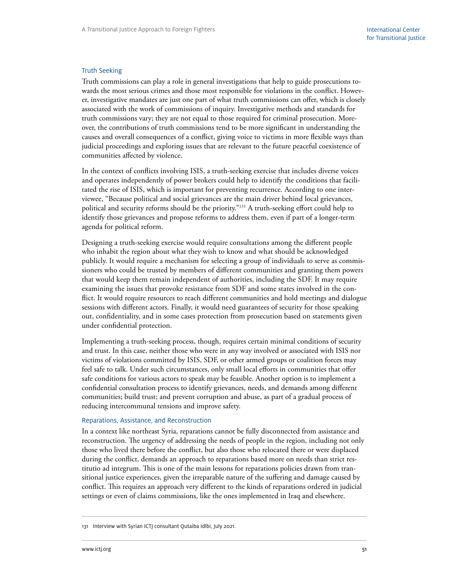#### <span id="page-56-0"></span>Truth Seeking

Truth commissions can play a role in general investigations that help to guide prosecutions towards the most serious crimes and those most responsible for violations in the conflict. However, investigative mandates are just one part of what truth commissions can offer, which is closely associated with the work of commissions of inquiry. Investigative methods and standards for truth commissions vary; they are not equal to those required for criminal prosecution. Moreover, the contributions of truth commissions tend to be more significant in understanding the causes and overall consequences of a conflict, giving voice to victims in more flexible ways than judicial proceedings and exploring issues that are relevant to the future peaceful coexistence of communities affected by violence.

In the context of conflicts involving ISIS, a truth-seeking exercise that includes diverse voices and operates independently of power brokers could help to identify the conditions that facilitated the rise of ISIS, which is important for preventing recurrence. According to one interviewee, "Because political and social grievances are the main driver behind local grievances, political and security reforms should be the priority."131 A truth-seeking effort could help to identify those grievances and propose reforms to address them, even if part of a longer-term agenda for political reform.

Designing a truth-seeking exercise would require consultations among the different people who inhabit the region about what they wish to know and what should be acknowledged publicly. It would require a mechanism for selecting a group of individuals to serve as commissioners who could be trusted by members of different communities and granting them powers that would keep them remain independent of authorities, including the SDF. It may require examining the issues that provoke resistance from SDF and some states involved in the conflict. It would require resources to reach different communities and hold meetings and dialogue sessions with different actors. Finally, it would need guarantees of security for those speaking out, confidentiality, and in some cases protection from prosecution based on statements given under confidential protection.

Implementing a truth-seeking process, though, requires certain minimal conditions of security and trust. In this case, neither those who were in any way involved or associated with ISIS nor victims of violations committed by ISIS, SDF, or other armed groups or coalition forces may feel safe to talk. Under such circumstances, only small local efforts in communities that offer safe conditions for various actors to speak may be feasible. Another option is to implement a confidential consultation process to identify grievances, needs, and demands among different communities; build trust; and prevent corruption and abuse, as part of a gradual process of reducing intercommunal tensions and improve safety.

#### Reparations, Assistance, and Reconstruction

In a context like northeast Syria, reparations cannot be fully disconnected from assistance and reconstruction. The urgency of addressing the needs of people in the region, including not only those who lived there before the conflict, but also those who relocated there or were displaced during the conflict, demands an approach to reparations based more on needs than strict restitutio ad integrum. This is one of the main lessons for reparations policies drawn from transitional justice experiences, given the irreparable nature of the suffering and damage caused by conflict. This requires an approach very different to the kinds of reparations ordered in judicial settings or even of claims commissions, like the ones implemented in Iraq and elsewhere.

<sup>131</sup> Interview with Syrian ICTJ consultant Qutaiba Idlbi, July 2021.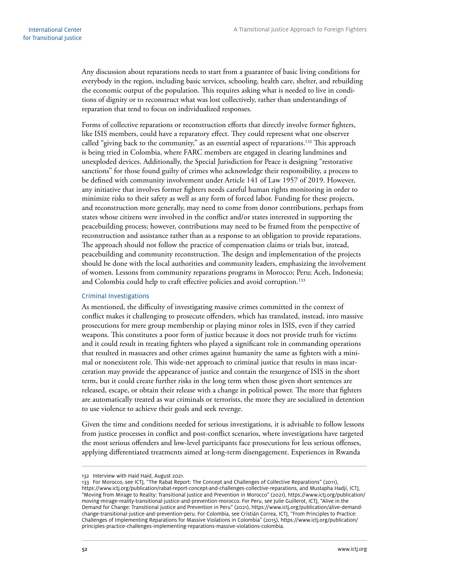<span id="page-57-0"></span>Any discussion about reparations needs to start from a guarantee of basic living conditions for everybody in the region, including basic services, schooling, health care, shelter, and rebuilding the economic output of the population. This requires asking what is needed to live in conditions of dignity or to reconstruct what was lost collectively, rather than understandings of reparation that tend to focus on individualized responses.

Forms of collective reparations or reconstruction efforts that directly involve former fighters, like ISIS members, could have a reparatory effect. They could represent what one observer called "giving back to the community," as an essential aspect of reparations.<sup>132</sup> This approach is being tried in Colombia, where FARC members are engaged in clearing landmines and unexploded devices. Additionally, the Special Jurisdiction for Peace is designing "restorative sanctions" for those found guilty of crimes who acknowledge their responsibility, a process to be defined with community involvement under Article 141 of Law 1957 of 2019. However, any initiative that involves former fighters needs careful human rights monitoring in order to minimize risks to their safety as well as any form of forced labor. Funding for these projects, and reconstruction more generally, may need to come from donor contributions, perhaps from states whose citizens were involved in the conflict and/or states interested in supporting the peacebuilding process; however, contributions may need to be framed from the perspective of reconstruction and assistance rather than as a response to an obligation to provide reparations. The approach should not follow the practice of compensation claims or trials but, instead, peacebuilding and community reconstruction. The design and implementation of the projects should be done with the local authorities and community leaders, emphasizing the involvement of women. Lessons from community reparations programs in Morocco; Peru; Aceh, Indonesia; and Colombia could help to craft effective policies and avoid corruption.<sup>133</sup>

#### Criminal Investigations

As mentioned, the difficulty of investigating massive crimes committed in the context of conflict makes it challenging to prosecute offenders, which has translated, instead, into massive prosecutions for mere group membership or playing minor roles in ISIS, even if they carried weapons. This constitutes a poor form of justice because it does not provide truth for victims and it could result in treating fighters who played a significant role in commanding operations that resulted in massacres and other crimes against humanity the same as fighters with a minimal or nonexistent role. This wide-net approach to criminal justice that results in mass incarceration may provide the appearance of justice and contain the resurgence of ISIS in the short term, but it could create further risks in the long term when those given short sentences are released, escape, or obtain their release with a change in political power. The more that fighters are automatically treated as war criminals or terrorists, the more they are socialized in detention to use violence to achieve their goals and seek revenge.

Given the time and conditions needed for serious investigations, it is advisable to follow lessons from justice processes in conflict and post-conflict scenarios, where investigations have targeted the most serious offenders and low-level participants face prosecutions for less serious offenses, applying differentiated treatments aimed at long-term disengagement. Experiences in Rwanda

<sup>132</sup> Interview with Haid Haid, August 2021.

<sup>133</sup> For Morocco, see ICTJ, "The Rabat Report: The Concept and Challenges of Collective Reparations" (2011), https://www.ictj.org/publication/rabat-report-concept-and-challenges-collective-reparations, and Mustapha Hadji, ICTJ, "Moving from Mirage to Reality: Transitional Justice and Prevention in Morocco" (2021), [https://www.ictj.org/publication/](https://www.ictj.org/publication/moving-mirage-reality-transitional-justice-and-prevention-morocco) [moving-mirage-reality-transitional-justice-and-prevention-morocco](https://www.ictj.org/publication/moving-mirage-reality-transitional-justice-and-prevention-morocco). For Peru, see Julie Guillerot, ICTJ, "Alive in the Demand for Change: Transitional Justice and Prevention in Peru" (2021), https://www.ictj.org/publication/alive-demandchange-transitional-justice-and-prevention-peru. For Colombia, see Cristián Correa, ICTJ, "From Principles to Practice: Challenges of Implementing Reparations for Massive Violations in Colombia" (2015), [https://www.ictj.org/publication/](https://www.ictj.org/publication/principles-practice-challenges-implementing-reparations-massive-violations-colombia) [principles-practice-challenges-implementing-reparations-massive-violations-colombia.](https://www.ictj.org/publication/principles-practice-challenges-implementing-reparations-massive-violations-colombia)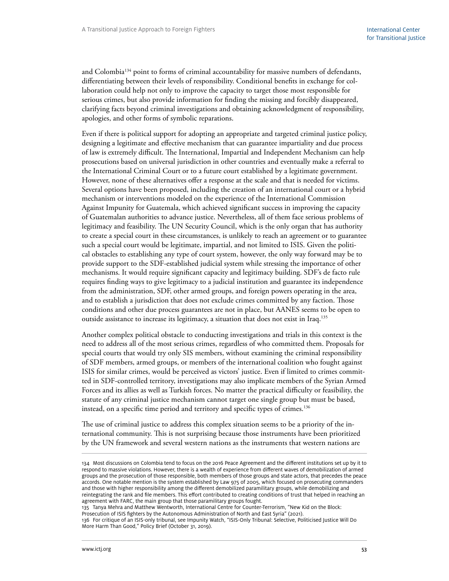and Colombia134 point to forms of criminal accountability for massive numbers of defendants, differentiating between their levels of responsibility. Conditional benefits in exchange for collaboration could help not only to improve the capacity to target those most responsible for serious crimes, but also provide information for finding the missing and forcibly disappeared, clarifying facts beyond criminal investigations and obtaining acknowledgment of responsibility, apologies, and other forms of symbolic reparations.

Even if there is political support for adopting an appropriate and targeted criminal justice policy, designing a legitimate and effective mechanism that can guarantee impartiality and due process of law is extremely difficult. The International, Impartial and Independent Mechanism can help prosecutions based on universal jurisdiction in other countries and eventually make a referral to the International Criminal Court or to a future court established by a legitimate government. However, none of these alternatives offer a response at the scale and that is needed for victims. Several options have been proposed, including the creation of an international court or a hybrid mechanism or interventions modeled on the experience of the International Commission Against Impunity for Guatemala, which achieved significant success in improving the capacity of Guatemalan authorities to advance justice. Nevertheless, all of them face serious problems of legitimacy and feasibility. The UN Security Council, which is the only organ that has authority to create a special court in these circumstances, is unlikely to reach an agreement or to guarantee such a special court would be legitimate, impartial, and not limited to ISIS. Given the political obstacles to establishing any type of court system, however, the only way forward may be to provide support to the SDF-established judicial system while stressing the importance of other mechanisms. It would require significant capacity and legitimacy building. SDF's de facto rule requires finding ways to give legitimacy to a judicial institution and guarantee its independence from the administration, SDF, other armed groups, and foreign powers operating in the area, and to establish a jurisdiction that does not exclude crimes committed by any faction. Those conditions and other due process guarantees are not in place, but AANES seems to be open to outside assistance to increase its legitimacy, a situation that does not exist in Iraq.<sup>135</sup>

Another complex political obstacle to conducting investigations and trials in this context is the need to address all of the most serious crimes, regardless of who committed them. Proposals for special courts that would try only SIS members, without examining the criminal responsibility of SDF members, armed groups, or members of the international coalition who fought against ISIS for similar crimes, would be perceived as victors' justice. Even if limited to crimes committed in SDF-controlled territory, investigations may also implicate members of the Syrian Armed Forces and its allies as well as Turkish forces. No matter the practical difficulty or feasibility, the statute of any criminal justice mechanism cannot target one single group but must be based, instead, on a specific time period and territory and specific types of crimes.<sup>136</sup>

The use of criminal justice to address this complex situation seems to be a priority of the international community. This is not surprising because those instruments have been prioritized by the UN framework and several western nations as the instruments that western nations are

135 Tanya Mehra and Matthew Wentworth, International Centre for Counter-Terrorism, "New Kid on the Block: Prosecution of ISIS fighters by the Autonomous Administration of North and East Syria" (2021). 136 For critique of an ISIS-only tribunal, see Impunity Watch, "ISIS-Only Tribunal: Selective, Politicised Justice Will Do

<sup>134</sup> Most discussions on Colombia tend to focus on the 2016 Peace Agreement and the different institutions set up by it to respond to massive violations. However, there is a wealth of experience from different waves of demobilization of armed groups and the prosecution of those responsible, both members of those groups and state actors, that precedes the peace accords. One notable mention is the system established by Law 975 of 2005, which focused on prosecuting commanders and those with higher responsibility among the different demobilized paramilitary groups, while demobilizing and reintegrating the rank and file members. This effort contributed to creating conditions of trust that helped in reaching an agreement with FARC, the main group that those paramilitary groups fought.

More Harm Than Good," Policy Brief (October 31, 2019).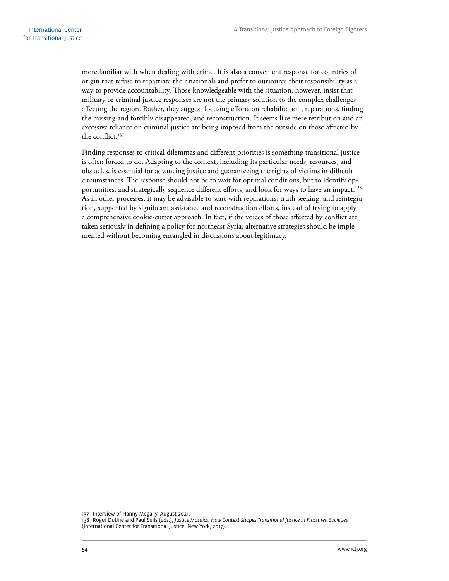more familiar with when dealing with crime. It is also a convenient response for countries of origin that refuse to repatriate their nationals and prefer to outsource their responsibility as a way to provide accountability. Those knowledgeable with the situation, however, insist that military or criminal justice responses are not the primary solution to the complex challenges affecting the region. Rather, they suggest focusing efforts on rehabilitation, reparations, finding the missing and forcibly disappeared, and reconstruction. It seems like mere retribution and an excessive reliance on criminal justice are being imposed from the outside on those affected by the conflict.<sup>137</sup>

Finding responses to critical dilemmas and different priorities is something transitional justice is often forced to do. Adapting to the context, including its particular needs, resources, and obstacles, is essential for advancing justice and guaranteeing the rights of victims in difficult circumstances. The response should not be to wait for optimal conditions, but to identify opportunities, and strategically sequence different efforts, and look for ways to have an impact.<sup>138</sup> As in other processes, it may be advisable to start with reparations, truth seeking, and reintegration, supported by significant assistance and reconstruction efforts, instead of trying to apply a comprehensive cookie-cutter approach. In fact, if the voices of those affected by conflict are taken seriously in defining a policy for northeast Syria, alternative strategies should be implemented without becoming entangled in discussions about legitimacy.

137 Interview of Hanny Megally, August 2021.

<sup>138</sup> Roger Duthie and Paul Seils (eds.), *Justice Mosaics: How Context Shapes Transitional Justice in Fractured Societies*  (International Center for Transitional Justice, New York, 2017).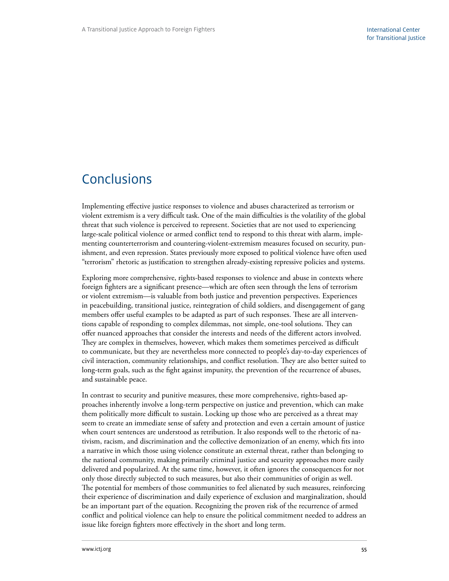## <span id="page-60-0"></span>Conclusions

Implementing effective justice responses to violence and abuses characterized as terrorism or violent extremism is a very difficult task. One of the main difficulties is the volatility of the global threat that such violence is perceived to represent. Societies that are not used to experiencing large-scale political violence or armed conflict tend to respond to this threat with alarm, implementing counterterrorism and countering-violent-extremism measures focused on security, punishment, and even repression. States previously more exposed to political violence have often used "terrorism" rhetoric as justification to strengthen already-existing repressive policies and systems.

Exploring more comprehensive, rights-based responses to violence and abuse in contexts where foreign fighters are a significant presence—which are often seen through the lens of terrorism or violent extremism—is valuable from both justice and prevention perspectives. Experiences in peacebuilding, transitional justice, reintegration of child soldiers, and disengagement of gang members offer useful examples to be adapted as part of such responses. These are all interventions capable of responding to complex dilemmas, not simple, one-tool solutions. They can offer nuanced approaches that consider the interests and needs of the different actors involved. They are complex in themselves, however, which makes them sometimes perceived as difficult to communicate, but they are nevertheless more connected to people's day-to-day experiences of civil interaction, community relationships, and conflict resolution. They are also better suited to long-term goals, such as the fight against impunity, the prevention of the recurrence of abuses, and sustainable peace.

In contrast to security and punitive measures, these more comprehensive, rights-based approaches inherently involve a long-term perspective on justice and prevention, which can make them politically more difficult to sustain. Locking up those who are perceived as a threat may seem to create an immediate sense of safety and protection and even a certain amount of justice when court sentences are understood as retribution. It also responds well to the rhetoric of nativism, racism, and discrimination and the collective demonization of an enemy, which fits into a narrative in which those using violence constitute an external threat, rather than belonging to the national community, making primarily criminal justice and security approaches more easily delivered and popularized. At the same time, however, it often ignores the consequences for not only those directly subjected to such measures, but also their communities of origin as well. The potential for members of those communities to feel alienated by such measures, reinforcing their experience of discrimination and daily experience of exclusion and marginalization, should be an important part of the equation. Recognizing the proven risk of the recurrence of armed conflict and political violence can help to ensure the political commitment needed to address an issue like foreign fighters more effectively in the short and long term.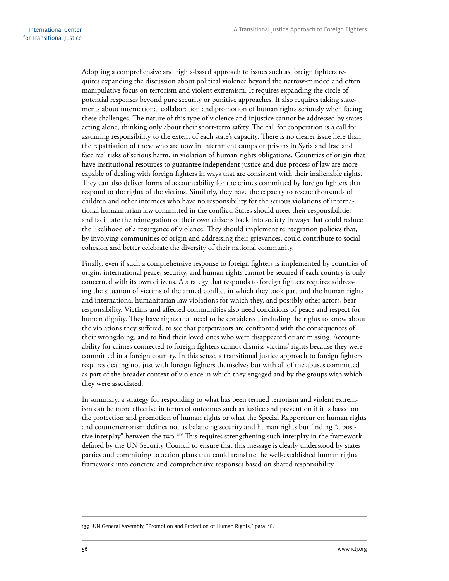Adopting a comprehensive and rights-based approach to issues such as foreign fighters requires expanding the discussion about political violence beyond the narrow-minded and often manipulative focus on terrorism and violent extremism. It requires expanding the circle of potential responses beyond pure security or punitive approaches. It also requires taking statements about international collaboration and promotion of human rights seriously when facing these challenges. The nature of this type of violence and injustice cannot be addressed by states acting alone, thinking only about their short-term safety. The call for cooperation is a call for assuming responsibility to the extent of each state's capacity. There is no clearer issue here than the repatriation of those who are now in internment camps or prisons in Syria and Iraq and face real risks of serious harm, in violation of human rights obligations. Countries of origin that have institutional resources to guarantee independent justice and due process of law are more capable of dealing with foreign fighters in ways that are consistent with their inalienable rights. They can also deliver forms of accountability for the crimes committed by foreign fighters that respond to the rights of the victims. Similarly, they have the capacity to rescue thousands of children and other internees who have no responsibility for the serious violations of international humanitarian law committed in the conflict. States should meet their responsibilities and facilitate the reintegration of their own citizens back into society in ways that could reduce the likelihood of a resurgence of violence. They should implement reintegration policies that, by involving communities of origin and addressing their grievances, could contribute to social cohesion and better celebrate the diversity of their national community.

Finally, even if such a comprehensive response to foreign fighters is implemented by countries of origin, international peace, security, and human rights cannot be secured if each country is only concerned with its own citizens. A strategy that responds to foreign fighters requires addressing the situation of victims of the armed conflict in which they took part and the human rights and international humanitarian law violations for which they, and possibly other actors, bear responsibility. Victims and affected communities also need conditions of peace and respect for human dignity. They have rights that need to be considered, including the rights to know about the violations they suffered, to see that perpetrators are confronted with the consequences of their wrongdoing, and to find their loved ones who were disappeared or are missing. Accountability for crimes connected to foreign fighters cannot dismiss victims' rights because they were committed in a foreign country. In this sense, a transitional justice approach to foreign fighters requires dealing not just with foreign fighters themselves but with all of the abuses committed as part of the broader context of violence in which they engaged and by the groups with which they were associated.

In summary, a strategy for responding to what has been termed terrorism and violent extremism can be more effective in terms of outcomes such as justice and prevention if it is based on the protection and promotion of human rights or what the Special Rapporteur on human rights and counterterrorism defines not as balancing security and human rights but finding "a positive interplay" between the two.<sup>139</sup> This requires strengthening such interplay in the framework defined by the UN Security Council to ensure that this message is clearly understood by states parties and committing to action plans that could translate the well-established human rights framework into concrete and comprehensive responses based on shared responsibility.

<sup>139</sup> UN General Assembly, "Promotion and Protection of Human Rights," para. 18.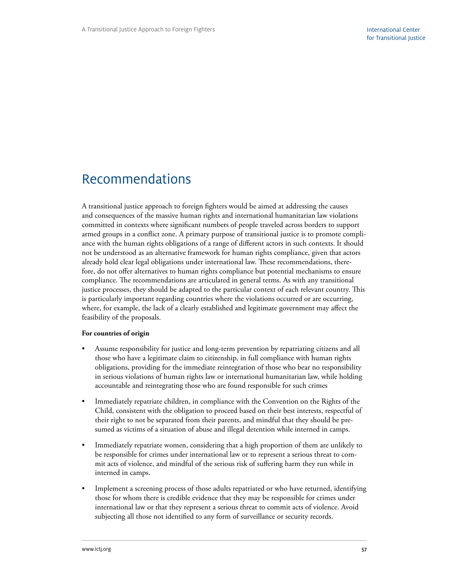# <span id="page-62-0"></span>Recommendations

A transitional justice approach to foreign fighters would be aimed at addressing the causes and consequences of the massive human rights and international humanitarian law violations committed in contexts where significant numbers of people traveled across borders to support armed groups in a conflict zone. A primary purpose of transitional justice is to promote compliance with the human rights obligations of a range of different actors in such contexts. It should not be understood as an alternative framework for human rights compliance, given that actors already hold clear legal obligations under international law. These recommendations, therefore, do not offer alternatives to human rights compliance but potential mechanisms to ensure compliance. The recommendations are articulated in general terms. As with any transitional justice processes, they should be adapted to the particular context of each relevant country. This is particularly important regarding countries where the violations occurred or are occurring, where, for example, the lack of a clearly established and legitimate government may affect the feasibility of the proposals.

#### **For countries of origin**

- Assume responsibility for justice and long-term prevention by repatriating citizens and all those who have a legitimate claim to citizenship, in full compliance with human rights obligations, providing for the immediate reintegration of those who bear no responsibility in serious violations of human rights law or international humanitarian law, while holding accountable and reintegrating those who are found responsible for such crimes
- Immediately repatriate children, in compliance with the Convention on the Rights of the Child, consistent with the obligation to proceed based on their best interests, respectful of their right to not be separated from their parents, and mindful that they should be presumed as victims of a situation of abuse and illegal detention while interned in camps.
- Immediately repatriate women, considering that a high proportion of them are unlikely to be responsible for crimes under international law or to represent a serious threat to commit acts of violence, and mindful of the serious risk of suffering harm they run while in interned in camps.
- Implement a screening process of those adults repatriated or who have returned, identifying those for whom there is credible evidence that they may be responsible for crimes under international law or that they represent a serious threat to commit acts of violence. Avoid subjecting all those not identified to any form of surveillance or security records.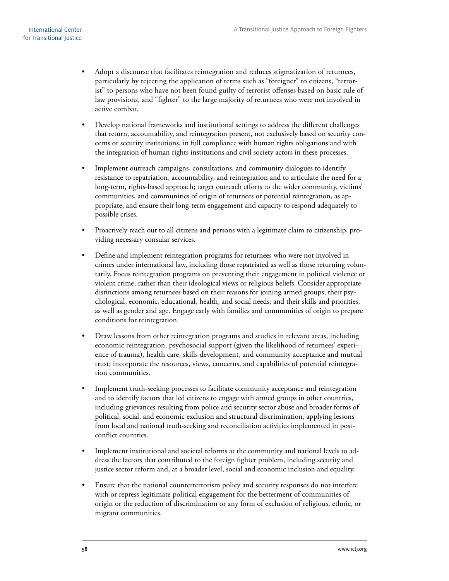- Adopt a discourse that facilitates reintegration and reduces stigmatization of returnees, particularly by rejecting the application of terms such as "foreigner" to citizens, "terrorist" to persons who have not been found guilty of terrorist offenses based on basic rule of law provisions, and "fighter" to the large majority of returnees who were not involved in active combat.
- Develop national frameworks and institutional settings to address the different challenges that return, accountability, and reintegration present, not exclusively based on security concerns or security institutions, in full compliance with human rights obligations and with the integration of human rights institutions and civil society actors in these processes.
- Implement outreach campaigns, consultations, and community dialogues to identify resistance to repatriation, accountability, and reintegration and to articulate the need for a long-term, rights-based approach; target outreach efforts to the wider community, victims' communities, and communities of origin of returnees or potential reintegration, as appropriate, and ensure their long-term engagement and capacity to respond adequately to possible crises.
- Proactively reach out to all citizens and persons with a legitimate claim to citizenship, providing necessary consular services.
- Define and implement reintegration programs for returnees who were not involved in crimes under international law, including those repatriated as well as those returning voluntarily. Focus reintegration programs on preventing their engagement in political violence or violent crime, rather than their ideological views or religious beliefs. Consider appropriate distinctions among returnees based on their reasons for joining armed groups; their psychological, economic, educational, health, and social needs; and their skills and priorities, as well as gender and age. Engage early with families and communities of origin to prepare conditions for reintegration.
- Draw lessons from other reintegration programs and studies in relevant areas, including economic reintegration, psychosocial support (given the likelihood of returnees' experience of trauma), health care, skills development, and community acceptance and mutual trust; incorporate the resources, views, concerns, and capabilities of potential reintegration communities.
- Implement truth-seeking processes to facilitate community acceptance and reintegration and to identify factors that led citizens to engage with armed groups in other countries, including grievances resulting from police and security sector abuse and broader forms of political, social, and economic exclusion and structural discrimination, applying lessons from local and national truth-seeking and reconciliation activities implemented in postconflict countries.
- Implement institutional and societal reforms at the community and national levels to address the factors that contributed to the foreign fighter problem, including security and justice sector reform and, at a broader level, social and economic inclusion and equality.
- Ensure that the national counterterrorism policy and security responses do not interfere with or repress legitimate political engagement for the betterment of communities of origin or the reduction of discrimination or any form of exclusion of religious, ethnic, or migrant communities.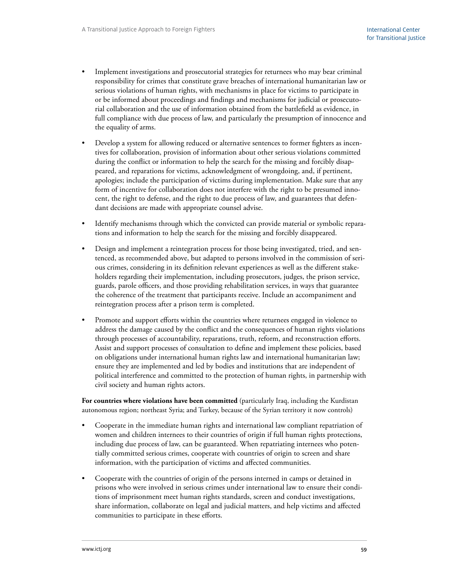- Implement investigations and prosecutorial strategies for returnees who may bear criminal responsibility for crimes that constitute grave breaches of international humanitarian law or serious violations of human rights, with mechanisms in place for victims to participate in or be informed about proceedings and findings and mechanisms for judicial or prosecutorial collaboration and the use of information obtained from the battlefield as evidence, in full compliance with due process of law, and particularly the presumption of innocence and the equality of arms.
- Develop a system for allowing reduced or alternative sentences to former fighters as incentives for collaboration, provision of information about other serious violations committed during the conflict or information to help the search for the missing and forcibly disappeared, and reparations for victims, acknowledgment of wrongdoing, and, if pertinent, apologies; include the participation of victims during implementation. Make sure that any form of incentive for collaboration does not interfere with the right to be presumed innocent, the right to defense, and the right to due process of law, and guarantees that defendant decisions are made with appropriate counsel advise.
- Identify mechanisms through which the convicted can provide material or symbolic reparations and information to help the search for the missing and forcibly disappeared.
- Design and implement a reintegration process for those being investigated, tried, and sentenced, as recommended above, but adapted to persons involved in the commission of serious crimes, considering in its definition relevant experiences as well as the different stakeholders regarding their implementation, including prosecutors, judges, the prison service, guards, parole officers, and those providing rehabilitation services, in ways that guarantee the coherence of the treatment that participants receive. Include an accompaniment and reintegration process after a prison term is completed.
- Promote and support efforts within the countries where returnees engaged in violence to address the damage caused by the conflict and the consequences of human rights violations through processes of accountability, reparations, truth, reform, and reconstruction efforts. Assist and support processes of consultation to define and implement these policies, based on obligations under international human rights law and international humanitarian law; ensure they are implemented and led by bodies and institutions that are independent of political interference and committed to the protection of human rights, in partnership with civil society and human rights actors.

**For countries where violations have been committed** (particularly Iraq, including the Kurdistan autonomous region; northeast Syria; and Turkey, because of the Syrian territory it now controls)

- Cooperate in the immediate human rights and international law compliant repatriation of women and children internees to their countries of origin if full human rights protections, including due process of law, can be guaranteed. When repatriating internees who potentially committed serious crimes, cooperate with countries of origin to screen and share information, with the participation of victims and affected communities.
- Cooperate with the countries of origin of the persons interned in camps or detained in prisons who were involved in serious crimes under international law to ensure their conditions of imprisonment meet human rights standards, screen and conduct investigations, share information, collaborate on legal and judicial matters, and help victims and affected communities to participate in these efforts.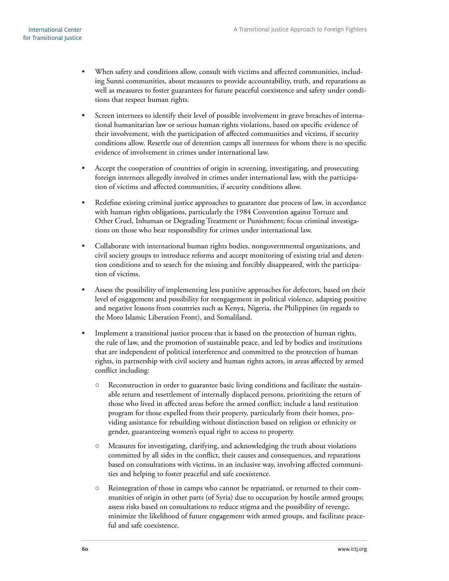- When safety and conditions allow, consult with victims and affected communities, including Sunni communities, about measures to provide accountability, truth, and reparations as well as measures to foster guarantees for future peaceful coexistence and safety under conditions that respect human rights.
- Screen internees to identify their level of possible involvement in grave breaches of international humanitarian law or serious human rights violations, based on specific evidence of their involvement, with the participation of affected communities and victims, if security conditions allow. Resettle out of detention camps all internees for whom there is no specific evidence of involvement in crimes under international law.
- Accept the cooperation of countries of origin in screening, investigating, and prosecuting foreign internees allegedly involved in crimes under international law, with the participation of victims and affected communities, if security conditions allow.
- Redefine existing criminal justice approaches to guarantee due process of law, in accordance with human rights obligations, particularly the 1984 Convention against Torture and Other Cruel, Inhuman or Degrading Treatment or Punishment; focus criminal investigations on those who bear responsibility for crimes under international law.
- Collaborate with international human rights bodies, nongovernmental organizations, and civil society groups to introduce reforms and accept monitoring of existing trial and detention conditions and to search for the missing and forcibly disappeared, with the participation of victims.
- Assess the possibility of implementing less punitive approaches for defectors, based on their level of engagement and possibility for reengagement in political violence, adapting positive and negative lessons from countries such as Kenya, Nigeria, the Philippines (in regards to the Moro Islamic Liberation Front), and Somaliland.
- Implement a transitional justice process that is based on the protection of human rights, the rule of law, and the promotion of sustainable peace, and led by bodies and institutions that are independent of political interference and committed to the protection of human rights, in partnership with civil society and human rights actors, in areas affected by armed conflict including:
	- Reconstruction in order to guarantee basic living conditions and facilitate the sustainable return and resettlement of internally displaced persons, prioritizing the return of those who lived in affected areas before the armed conflict; include a land restitution program for those expelled from their property, particularly from their homes, providing assistance for rebuilding without distinction based on religion or ethnicity or gender, guaranteeing women's equal right to access to property.
	- Measures for investigating, clarifying, and acknowledging the truth about violations committed by all sides in the conflict, their causes and consequences, and reparations based on consultations with victims, in an inclusive way, involving affected communities and helping to foster peaceful and safe coexistence.
	- Reintegration of those in camps who cannot be repatriated, or returned to their communities of origin in other parts (of Syria) due to occupation by hostile armed groups; assess risks based on consultations to reduce stigma and the possibility of revenge, minimize the likelihood of future engagement with armed groups, and facilitate peaceful and safe coexistence.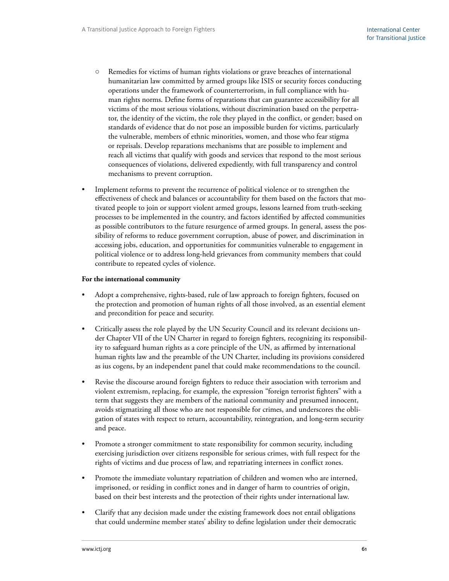- Remedies for victims of human rights violations or grave breaches of international humanitarian law committed by armed groups like ISIS or security forces conducting operations under the framework of counterterrorism, in full compliance with human rights norms. Define forms of reparations that can guarantee accessibility for all victims of the most serious violations, without discrimination based on the perpetrator, the identity of the victim, the role they played in the conflict, or gender; based on standards of evidence that do not pose an impossible burden for victims, particularly the vulnerable, members of ethnic minorities, women, and those who fear stigma or reprisals. Develop reparations mechanisms that are possible to implement and reach all victims that qualify with goods and services that respond to the most serious consequences of violations, delivered expediently, with full transparency and control mechanisms to prevent corruption.
- Implement reforms to prevent the recurrence of political violence or to strengthen the effectiveness of check and balances or accountability for them based on the factors that motivated people to join or support violent armed groups, lessons learned from truth-seeking processes to be implemented in the country, and factors identified by affected communities as possible contributors to the future resurgence of armed groups. In general, assess the possibility of reforms to reduce government corruption, abuse of power, and discrimination in accessing jobs, education, and opportunities for communities vulnerable to engagement in political violence or to address long-held grievances from community members that could contribute to repeated cycles of violence.

#### **For the international community**

- Adopt a comprehensive, rights-based, rule of law approach to foreign fighters, focused on the protection and promotion of human rights of all those involved, as an essential element and precondition for peace and security.
- Critically assess the role played by the UN Security Council and its relevant decisions under Chapter VII of the UN Charter in regard to foreign fighters, recognizing its responsibility to safeguard human rights as a core principle of the UN, as affirmed by international human rights law and the preamble of the UN Charter, including its provisions considered as ius cogens, by an independent panel that could make recommendations to the council.
- Revise the discourse around foreign fighters to reduce their association with terrorism and violent extremism, replacing, for example, the expression "foreign terrorist fighters" with a term that suggests they are members of the national community and presumed innocent, avoids stigmatizing all those who are not responsible for crimes, and underscores the obligation of states with respect to return, accountability, reintegration, and long-term security and peace.
- Promote a stronger commitment to state responsibility for common security, including exercising jurisdiction over citizens responsible for serious crimes, with full respect for the rights of victims and due process of law, and repatriating internees in conflict zones.
- Promote the immediate voluntary repatriation of children and women who are interned, imprisoned, or residing in conflict zones and in danger of harm to countries of origin, based on their best interests and the protection of their rights under international law.
- Clarify that any decision made under the existing framework does not entail obligations that could undermine member states' ability to define legislation under their democratic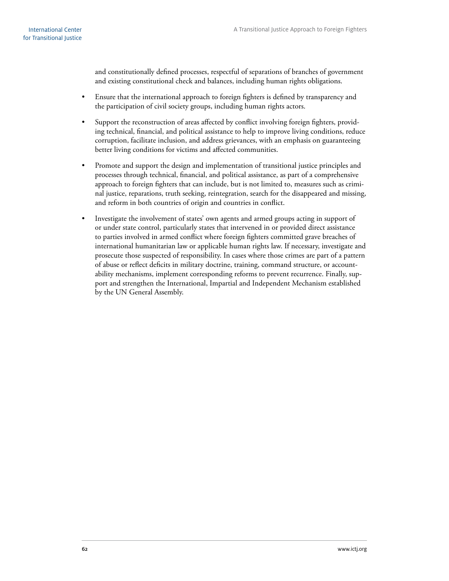and constitutionally defined processes, respectful of separations of branches of government and existing constitutional check and balances, including human rights obligations.

- Ensure that the international approach to foreign fighters is defined by transparency and the participation of civil society groups, including human rights actors.
- Support the reconstruction of areas affected by conflict involving foreign fighters, providing technical, financial, and political assistance to help to improve living conditions, reduce corruption, facilitate inclusion, and address grievances, with an emphasis on guaranteeing better living conditions for victims and affected communities.
- Promote and support the design and implementation of transitional justice principles and processes through technical, financial, and political assistance, as part of a comprehensive approach to foreign fighters that can include, but is not limited to, measures such as criminal justice, reparations, truth seeking, reintegration, search for the disappeared and missing, and reform in both countries of origin and countries in conflict.
- Investigate the involvement of states' own agents and armed groups acting in support of or under state control, particularly states that intervened in or provided direct assistance to parties involved in armed conflict where foreign fighters committed grave breaches of international humanitarian law or applicable human rights law. If necessary, investigate and prosecute those suspected of responsibility. In cases where those crimes are part of a pattern of abuse or reflect deficits in military doctrine, training, command structure, or accountability mechanisms, implement corresponding reforms to prevent recurrence. Finally, support and strengthen the International, Impartial and Independent Mechanism established by the UN General Assembly.